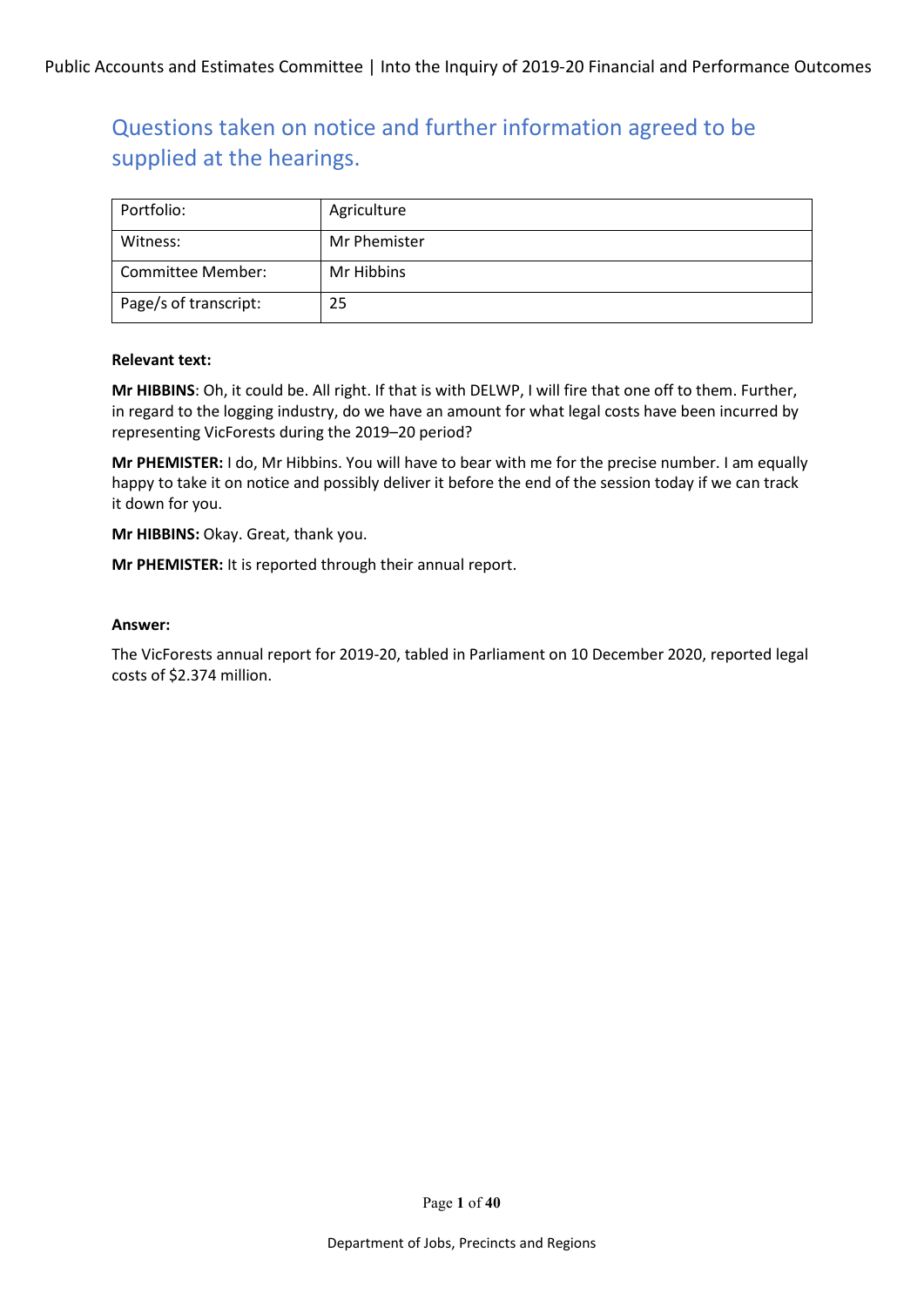| Portfolio:            | Agriculture  |
|-----------------------|--------------|
| Witness:              | Mr Phemister |
| Committee Member:     | Mr Hibbins   |
| Page/s of transcript: | 25           |

#### **Relevant text:**

**Mr HIBBINS**: Oh, it could be. All right. If that is with DELWP, I will fire that one off to them. Further, in regard to the logging industry, do we have an amount for what legal costs have been incurred by representing VicForests during the 2019–20 period?

**Mr PHEMISTER:** I do, Mr Hibbins. You will have to bear with me for the precise number. I am equally happy to take it on notice and possibly deliver it before the end of the session today if we can track it down for you.

**Mr HIBBINS:** Okay. Great, thank you.

**Mr PHEMISTER:** It is reported through their annual report.

#### **Answer:**

The VicForests annual report for 2019-20, tabled in Parliament on 10 December 2020, reported legal costs of \$2.374 million.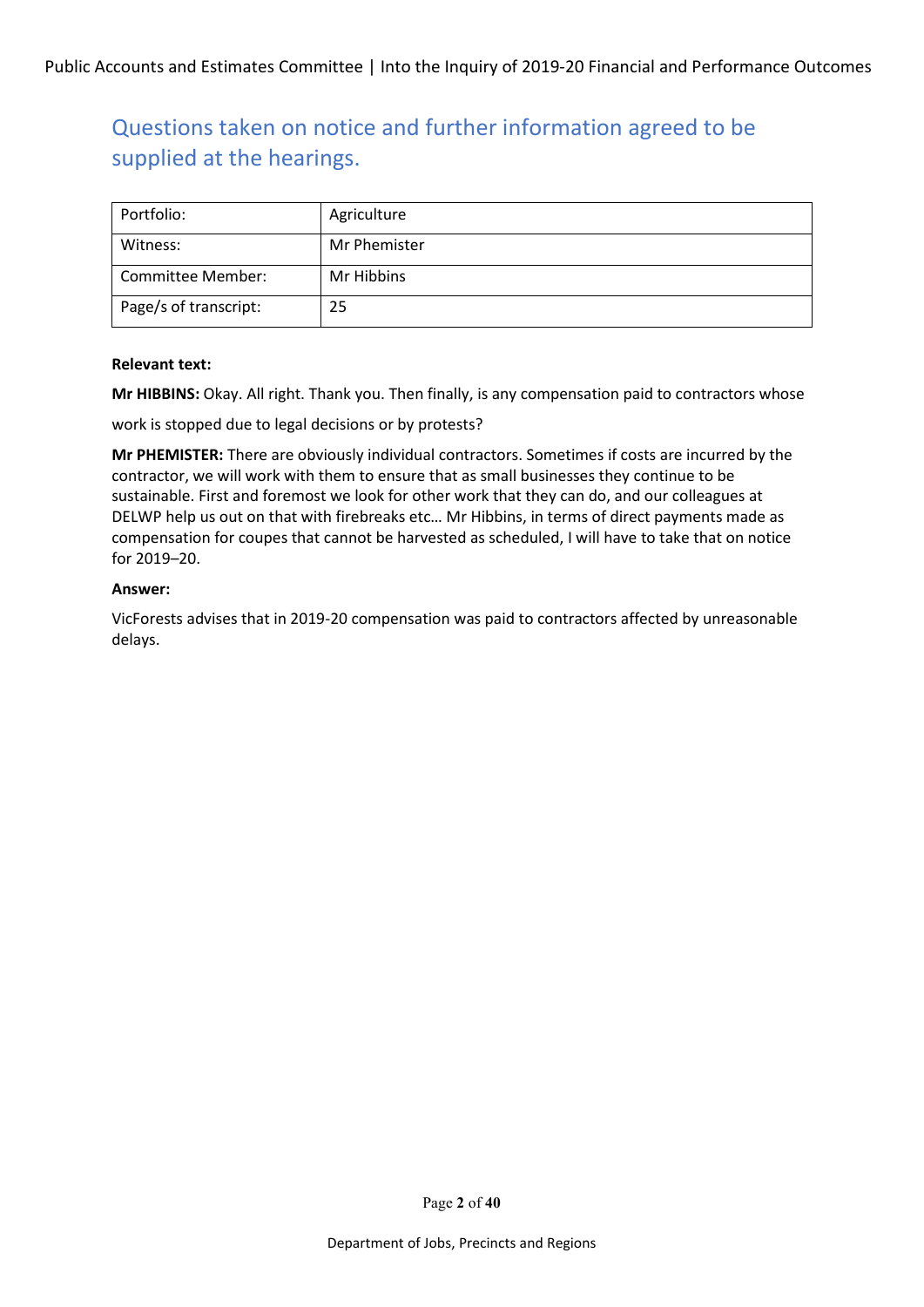| Portfolio:            | Agriculture  |
|-----------------------|--------------|
| Witness:              | Mr Phemister |
| Committee Member:     | Mr Hibbins   |
| Page/s of transcript: | 25           |

#### **Relevant text:**

**Mr HIBBINS:** Okay. All right. Thank you. Then finally, is any compensation paid to contractors whose

work is stopped due to legal decisions or by protests?

**Mr PHEMISTER:** There are obviously individual contractors. Sometimes if costs are incurred by the contractor, we will work with them to ensure that as small businesses they continue to be sustainable. First and foremost we look for other work that they can do, and our colleagues at DELWP help us out on that with firebreaks etc… Mr Hibbins, in terms of direct payments made as compensation for coupes that cannot be harvested as scheduled, I will have to take that on notice for 2019–20.

#### **Answer:**

VicForests advises that in 2019-20 compensation was paid to contractors affected by unreasonable delays.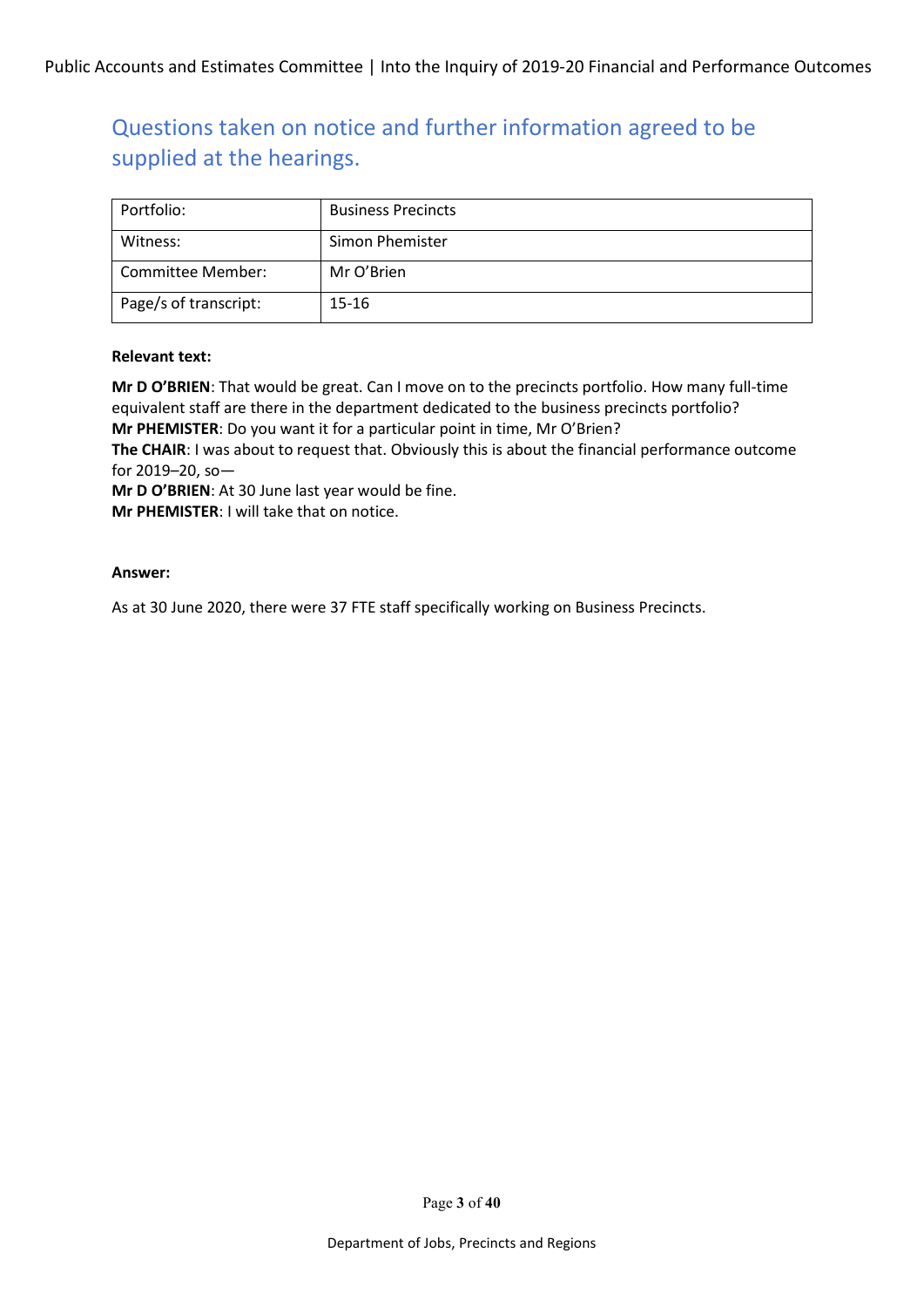| Portfolio:            | <b>Business Precincts</b> |
|-----------------------|---------------------------|
| Witness:              | Simon Phemister           |
| Committee Member:     | Mr O'Brien                |
| Page/s of transcript: | 15-16                     |

#### **Relevant text:**

**Mr D O'BRIEN**: That would be great. Can I move on to the precincts portfolio. How many full-time equivalent staff are there in the department dedicated to the business precincts portfolio? **Mr PHEMISTER**: Do you want it for a particular point in time, Mr O'Brien?

**The CHAIR**: I was about to request that. Obviously this is about the financial performance outcome for 2019–20, so—

**Mr D O'BRIEN**: At 30 June last year would be fine.

**Mr PHEMISTER**: I will take that on notice.

#### **Answer:**

As at 30 June 2020, there were 37 FTE staff specifically working on Business Precincts.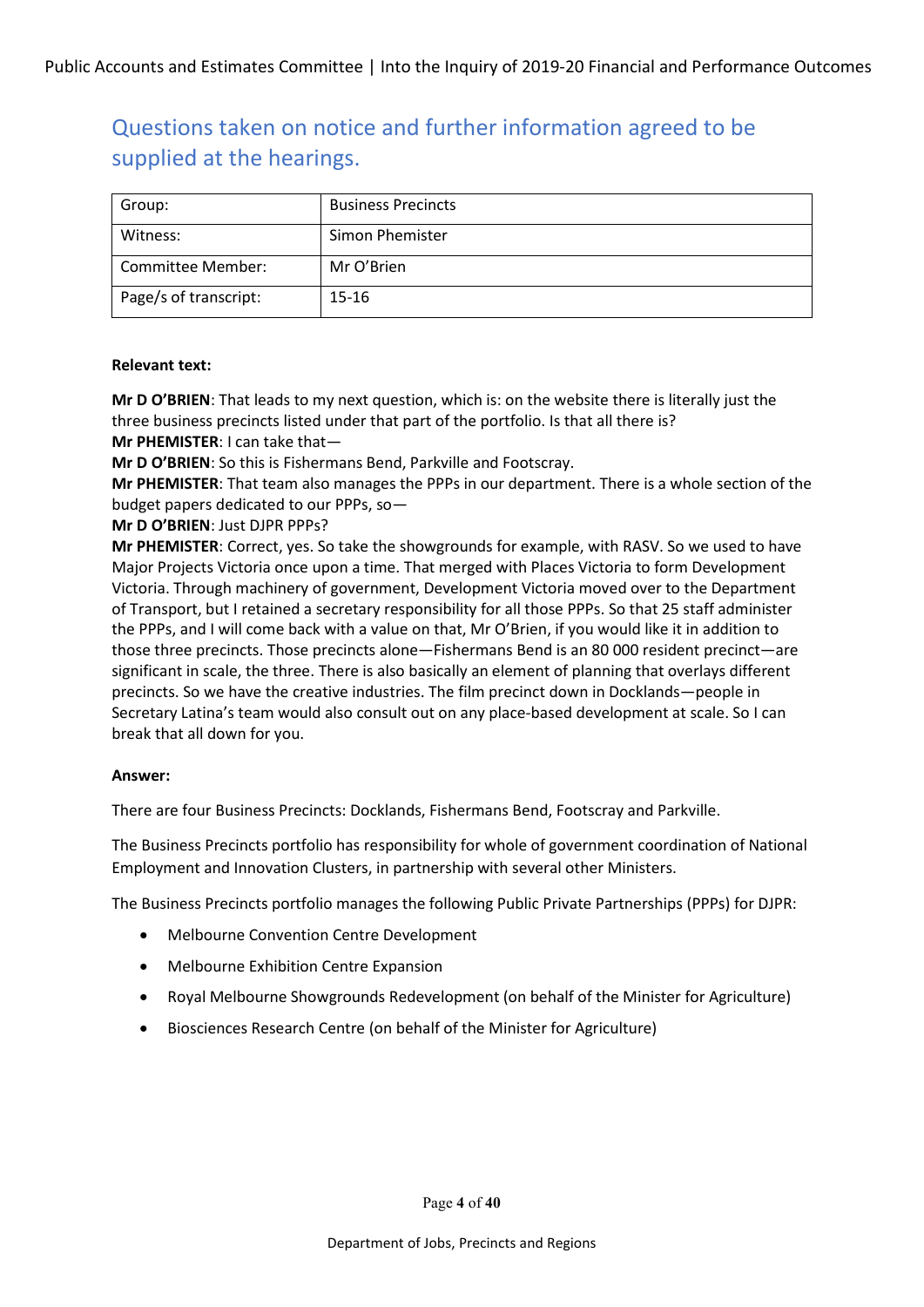| Group:                | <b>Business Precincts</b> |
|-----------------------|---------------------------|
| Witness:              | Simon Phemister           |
| Committee Member:     | Mr O'Brien                |
| Page/s of transcript: | $15 - 16$                 |

#### **Relevant text:**

**Mr D O'BRIEN**: That leads to my next question, which is: on the website there is literally just the three business precincts listed under that part of the portfolio. Is that all there is? **Mr PHEMISTER**: I can take that—

**Mr D O'BRIEN**: So this is Fishermans Bend, Parkville and Footscray.

**Mr PHEMISTER**: That team also manages the PPPs in our department. There is a whole section of the budget papers dedicated to our PPPs, so—

**Mr D O'BRIEN**: Just DJPR PPPs?

**Mr PHEMISTER**: Correct, yes. So take the showgrounds for example, with RASV. So we used to have Major Projects Victoria once upon a time. That merged with Places Victoria to form Development Victoria. Through machinery of government, Development Victoria moved over to the Department of Transport, but I retained a secretary responsibility for all those PPPs. So that 25 staff administer the PPPs, and I will come back with a value on that, Mr O'Brien, if you would like it in addition to those three precincts. Those precincts alone—Fishermans Bend is an 80 000 resident precinct—are significant in scale, the three. There is also basically an element of planning that overlays different precincts. So we have the creative industries. The film precinct down in Docklands—people in Secretary Latina's team would also consult out on any place-based development at scale. So I can break that all down for you.

#### **Answer:**

There are four Business Precincts: Docklands, Fishermans Bend, Footscray and Parkville.

The Business Precincts portfolio has responsibility for whole of government coordination of National Employment and Innovation Clusters, in partnership with several other Ministers.

The Business Precincts portfolio manages the following Public Private Partnerships (PPPs) for DJPR:

- Melbourne Convention Centre Development
- Melbourne Exhibition Centre Expansion
- Royal Melbourne Showgrounds Redevelopment (on behalf of the Minister for Agriculture)
- Biosciences Research Centre (on behalf of the Minister for Agriculture)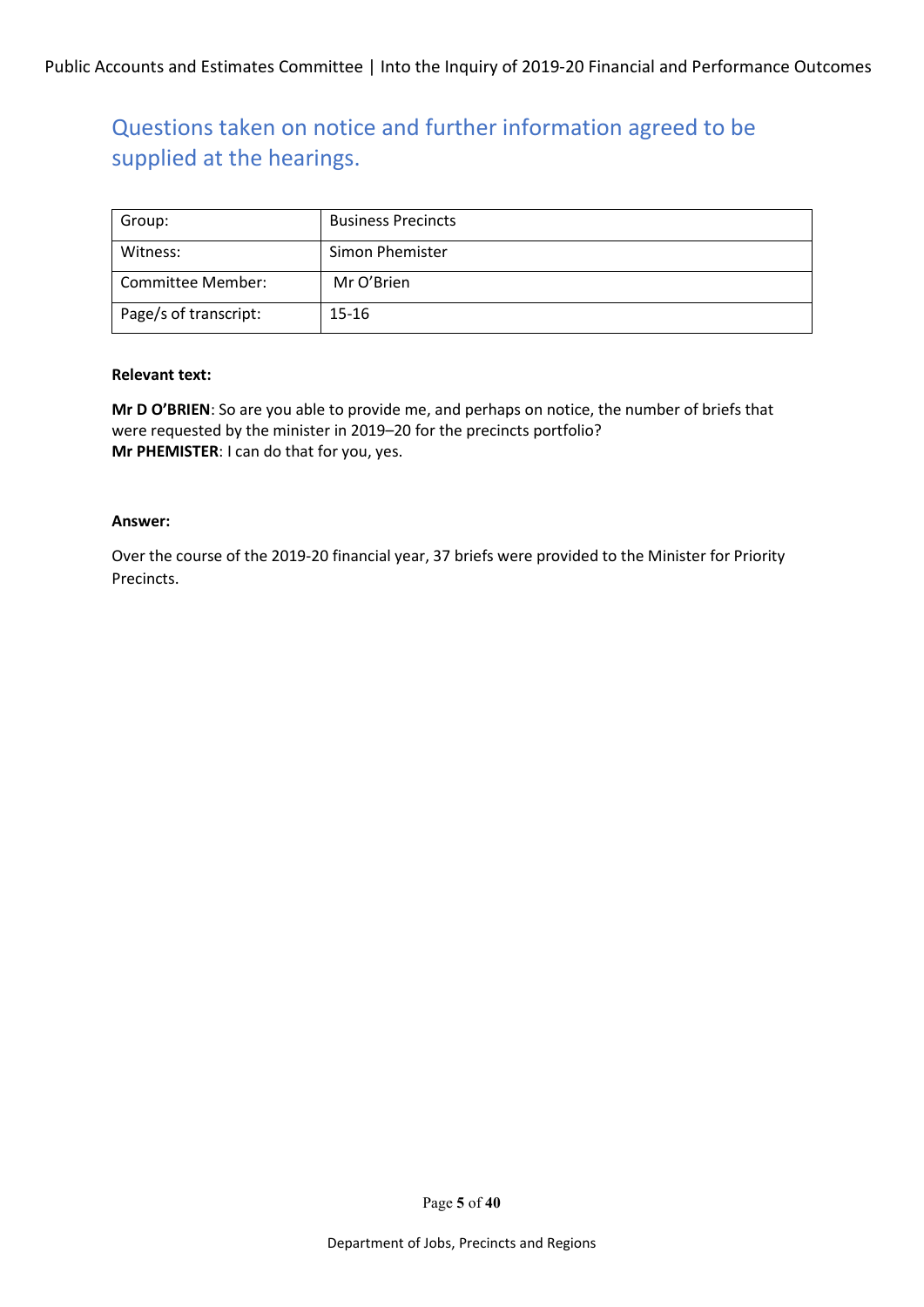| Group:                | <b>Business Precincts</b> |
|-----------------------|---------------------------|
| Witness:              | Simon Phemister           |
| Committee Member:     | Mr O'Brien                |
| Page/s of transcript: | 15-16                     |

#### **Relevant text:**

**Mr D O'BRIEN**: So are you able to provide me, and perhaps on notice, the number of briefs that were requested by the minister in 2019–20 for the precincts portfolio? **Mr PHEMISTER**: I can do that for you, yes.

#### **Answer:**

Over the course of the 2019-20 financial year, 37 briefs were provided to the Minister for Priority Precincts.

Page **5** of **40**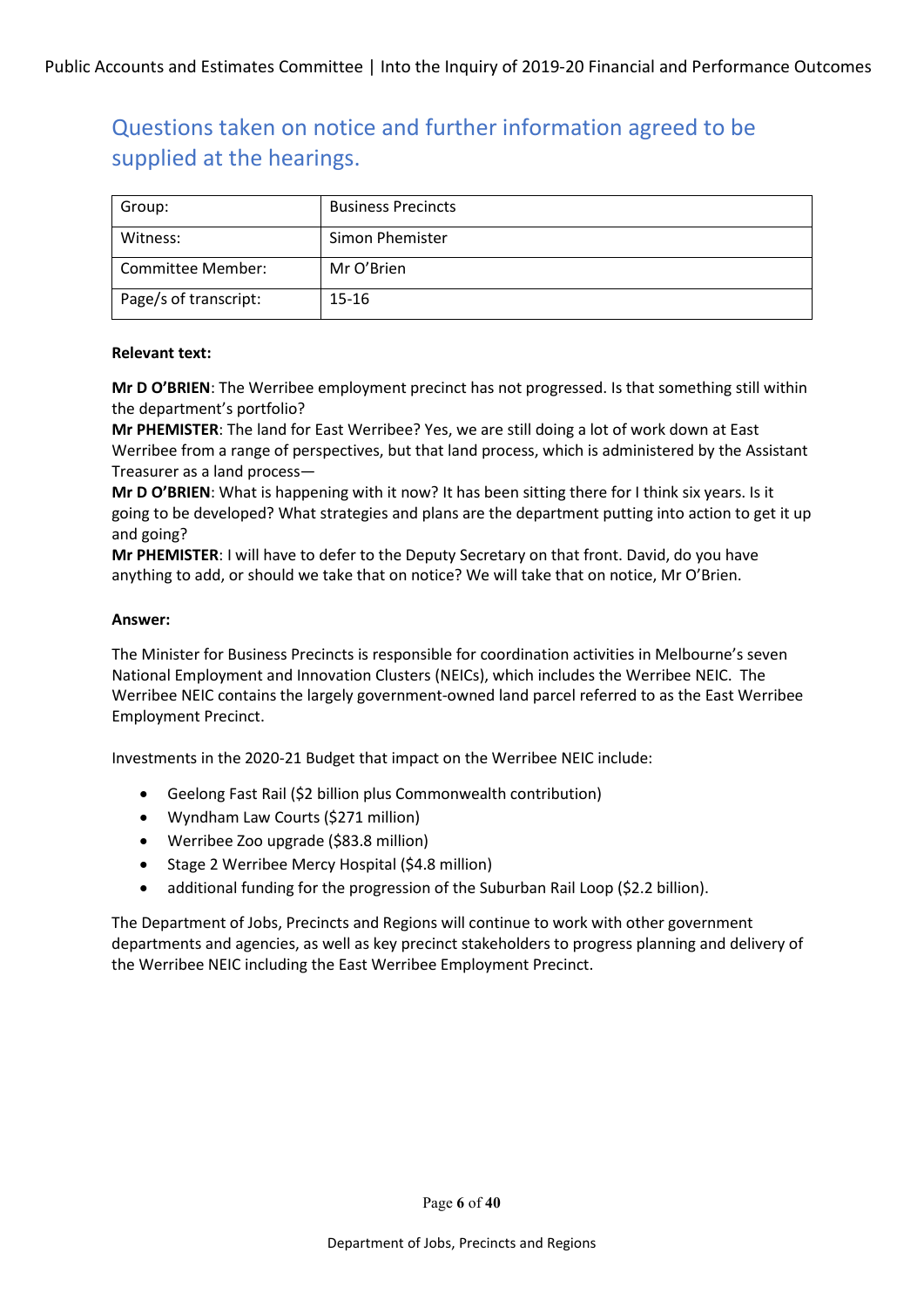| Group:                | <b>Business Precincts</b> |
|-----------------------|---------------------------|
| Witness:              | Simon Phemister           |
| Committee Member:     | Mr O'Brien                |
| Page/s of transcript: | 15-16                     |

#### **Relevant text:**

**Mr D O'BRIEN**: The Werribee employment precinct has not progressed. Is that something still within the department's portfolio?

**Mr PHEMISTER**: The land for East Werribee? Yes, we are still doing a lot of work down at East Werribee from a range of perspectives, but that land process, which is administered by the Assistant Treasurer as a land process—

**Mr D O'BRIEN**: What is happening with it now? It has been sitting there for I think six years. Is it going to be developed? What strategies and plans are the department putting into action to get it up and going?

**Mr PHEMISTER**: I will have to defer to the Deputy Secretary on that front. David, do you have anything to add, or should we take that on notice? We will take that on notice, Mr O'Brien.

#### **Answer:**

The Minister for Business Precincts is responsible for coordination activities in Melbourne's seven National Employment and Innovation Clusters (NEICs), which includes the Werribee NEIC. The Werribee NEIC contains the largely government-owned land parcel referred to as the East Werribee Employment Precinct.

Investments in the 2020-21 Budget that impact on the Werribee NEIC include:

- Geelong Fast Rail (\$2 billion plus Commonwealth contribution)
- Wyndham Law Courts (\$271 million)
- Werribee Zoo upgrade (\$83.8 million)
- Stage 2 Werribee Mercy Hospital (\$4.8 million)
- additional funding for the progression of the Suburban Rail Loop (\$2.2 billion).

The Department of Jobs, Precincts and Regions will continue to work with other government departments and agencies, as well as key precinct stakeholders to progress planning and delivery of the Werribee NEIC including the East Werribee Employment Precinct.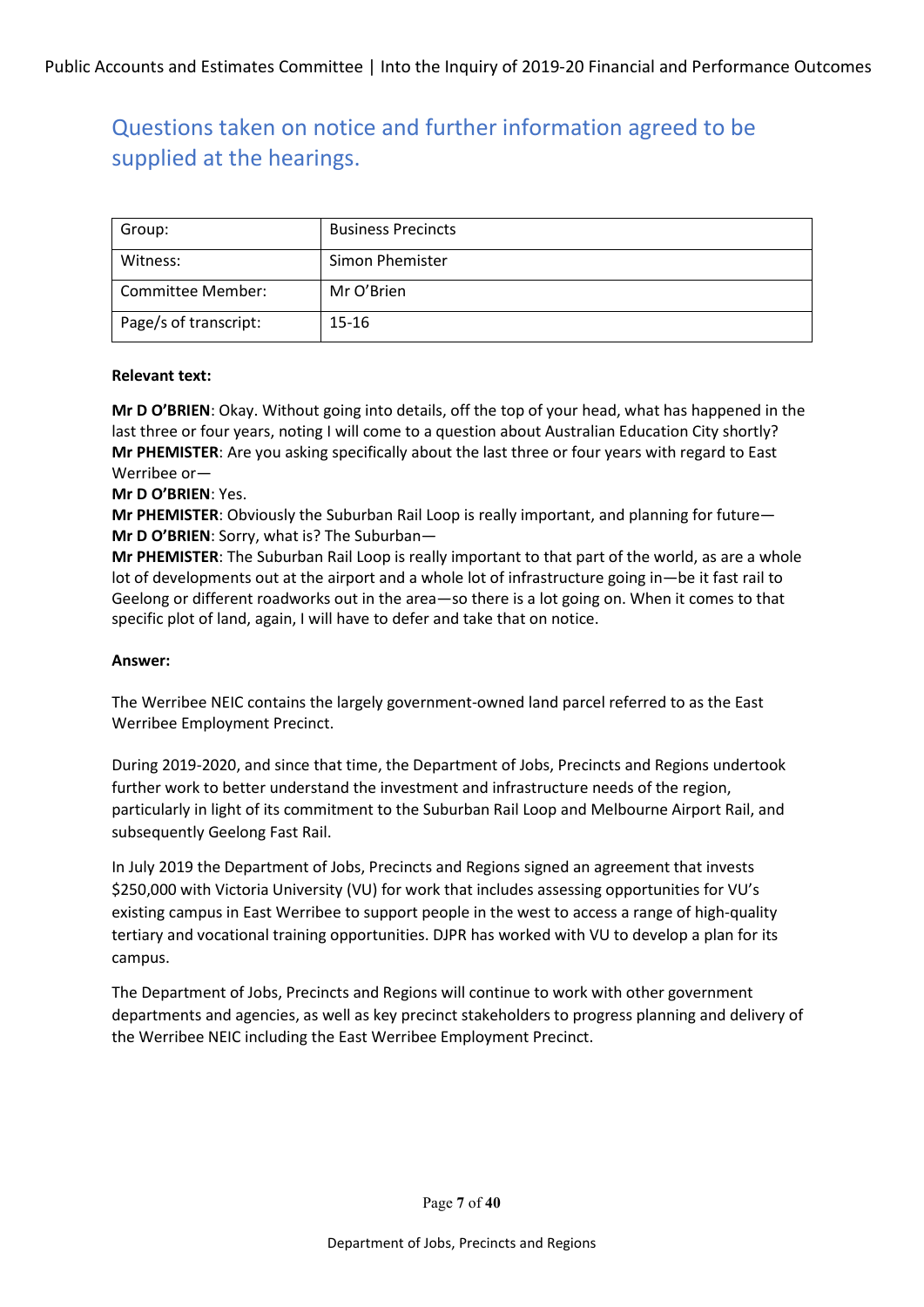| Group:                | <b>Business Precincts</b> |
|-----------------------|---------------------------|
| Witness:              | Simon Phemister           |
| Committee Member:     | Mr O'Brien                |
| Page/s of transcript: | 15-16                     |

#### **Relevant text:**

**Mr D O'BRIEN**: Okay. Without going into details, off the top of your head, what has happened in the last three or four years, noting I will come to a question about Australian Education City shortly? **Mr PHEMISTER**: Are you asking specifically about the last three or four years with regard to East Werribee or—

**Mr D O'BRIEN**: Yes.

**Mr PHEMISTER**: Obviously the Suburban Rail Loop is really important, and planning for future— **Mr D O'BRIEN**: Sorry, what is? The Suburban—

**Mr PHEMISTER**: The Suburban Rail Loop is really important to that part of the world, as are a whole lot of developments out at the airport and a whole lot of infrastructure going in—be it fast rail to Geelong or different roadworks out in the area—so there is a lot going on. When it comes to that specific plot of land, again, I will have to defer and take that on notice.

#### **Answer:**

The Werribee NEIC contains the largely government-owned land parcel referred to as the East Werribee Employment Precinct.

During 2019-2020, and since that time, the Department of Jobs, Precincts and Regions undertook further work to better understand the investment and infrastructure needs of the region, particularly in light of its commitment to the Suburban Rail Loop and Melbourne Airport Rail, and subsequently Geelong Fast Rail.

In July 2019 the Department of Jobs, Precincts and Regions signed an agreement that invests \$250,000 with Victoria University (VU) for work that includes assessing opportunities for VU's existing campus in East Werribee to support people in the west to access a range of high-quality tertiary and vocational training opportunities. DJPR has worked with VU to develop a plan for its campus.

The Department of Jobs, Precincts and Regions will continue to work with other government departments and agencies, as well as key precinct stakeholders to progress planning and delivery of the Werribee NEIC including the East Werribee Employment Precinct.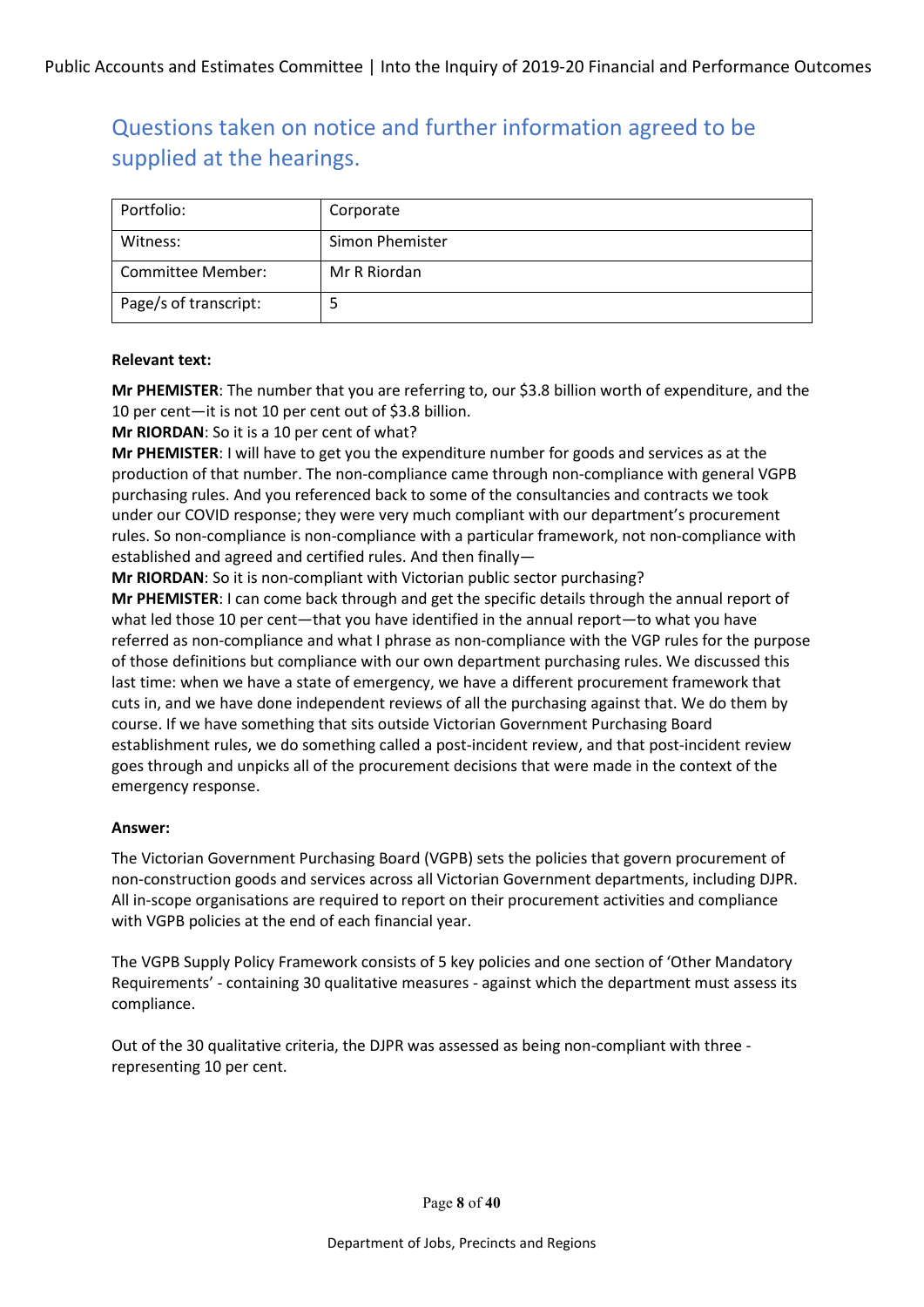| Portfolio:            | Corporate       |
|-----------------------|-----------------|
| Witness:              | Simon Phemister |
| Committee Member:     | Mr R Riordan    |
| Page/s of transcript: |                 |

#### **Relevant text:**

**Mr PHEMISTER**: The number that you are referring to, our \$3.8 billion worth of expenditure, and the 10 per cent—it is not 10 per cent out of \$3.8 billion.

**Mr RIORDAN**: So it is a 10 per cent of what?

**Mr PHEMISTER**: I will have to get you the expenditure number for goods and services as at the production of that number. The non-compliance came through non-compliance with general VGPB purchasing rules. And you referenced back to some of the consultancies and contracts we took under our COVID response; they were very much compliant with our department's procurement rules. So non-compliance is non-compliance with a particular framework, not non-compliance with established and agreed and certified rules. And then finally—

**Mr RIORDAN**: So it is non-compliant with Victorian public sector purchasing?

**Mr PHEMISTER**: I can come back through and get the specific details through the annual report of what led those 10 per cent—that you have identified in the annual report—to what you have referred as non-compliance and what I phrase as non-compliance with the VGP rules for the purpose of those definitions but compliance with our own department purchasing rules. We discussed this last time: when we have a state of emergency, we have a different procurement framework that cuts in, and we have done independent reviews of all the purchasing against that. We do them by course. If we have something that sits outside Victorian Government Purchasing Board establishment rules, we do something called a post-incident review, and that post-incident review goes through and unpicks all of the procurement decisions that were made in the context of the emergency response.

#### **Answer:**

The Victorian Government Purchasing Board (VGPB) sets the policies that govern procurement of non-construction goods and services across all Victorian Government departments, including DJPR. All in-scope organisations are required to report on their procurement activities and compliance with VGPB policies at the end of each financial year.

The VGPB Supply Policy Framework consists of 5 key policies and one section of 'Other Mandatory Requirements' - containing 30 qualitative measures - against which the department must assess its compliance.

Out of the 30 qualitative criteria, the DJPR was assessed as being non-compliant with three representing 10 per cent.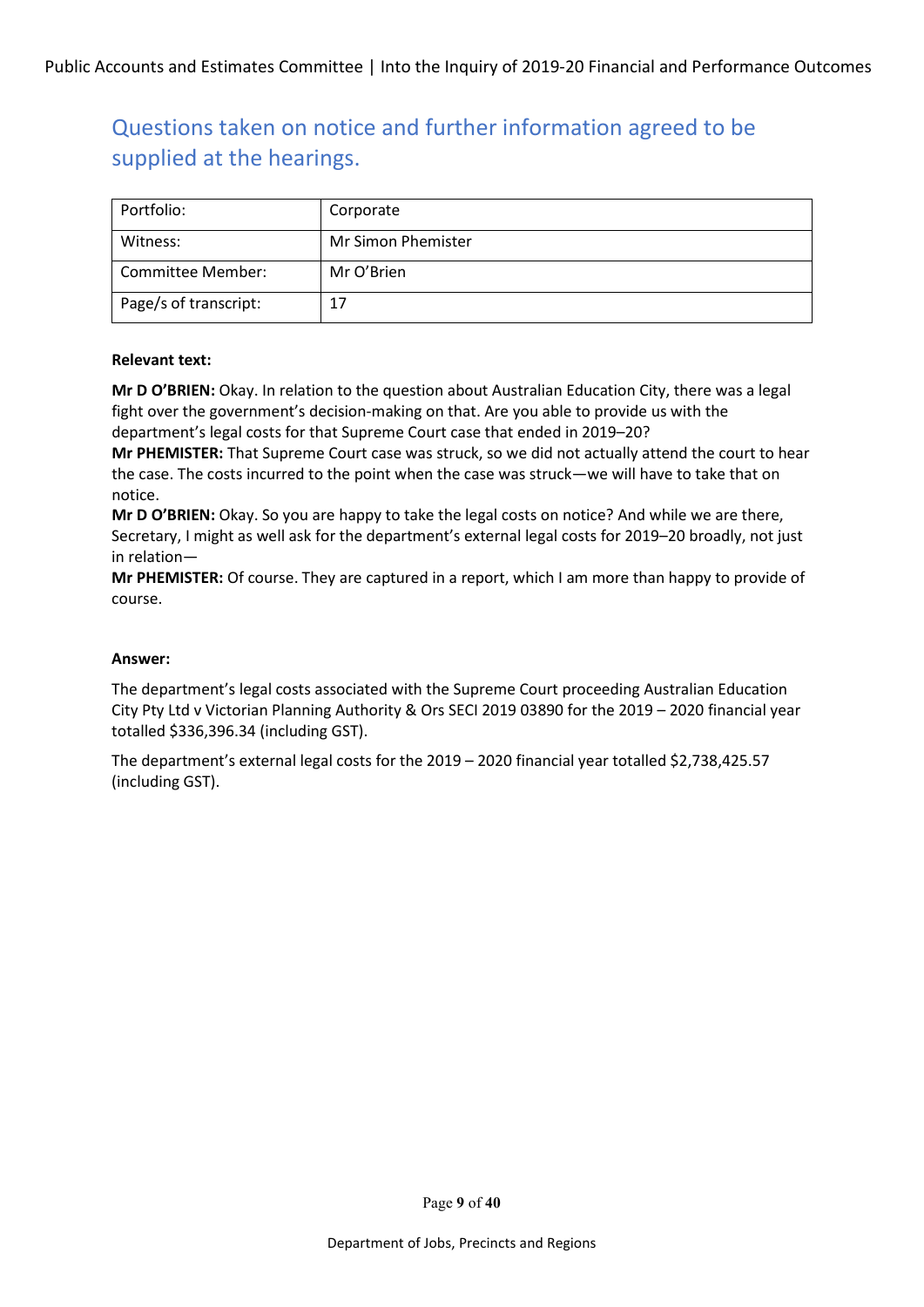| Portfolio:            | Corporate          |
|-----------------------|--------------------|
| Witness:              | Mr Simon Phemister |
| Committee Member:     | Mr O'Brien         |
| Page/s of transcript: | 17                 |

#### **Relevant text:**

**Mr D O'BRIEN:** Okay. In relation to the question about Australian Education City, there was a legal fight over the government's decision-making on that. Are you able to provide us with the department's legal costs for that Supreme Court case that ended in 2019–20?

**Mr PHEMISTER:** That Supreme Court case was struck, so we did not actually attend the court to hear the case. The costs incurred to the point when the case was struck—we will have to take that on notice.

**Mr D O'BRIEN:** Okay. So you are happy to take the legal costs on notice? And while we are there, Secretary, I might as well ask for the department's external legal costs for 2019–20 broadly, not just in relation—

**Mr PHEMISTER:** Of course. They are captured in a report, which I am more than happy to provide of course.

### **Answer:**

The department's legal costs associated with the Supreme Court proceeding Australian Education City Pty Ltd v Victorian Planning Authority & Ors SECI 2019 03890 for the 2019 – 2020 financial year totalled \$336,396.34 (including GST).

The department's external legal costs for the 2019 – 2020 financial year totalled \$2,738,425.57 (including GST).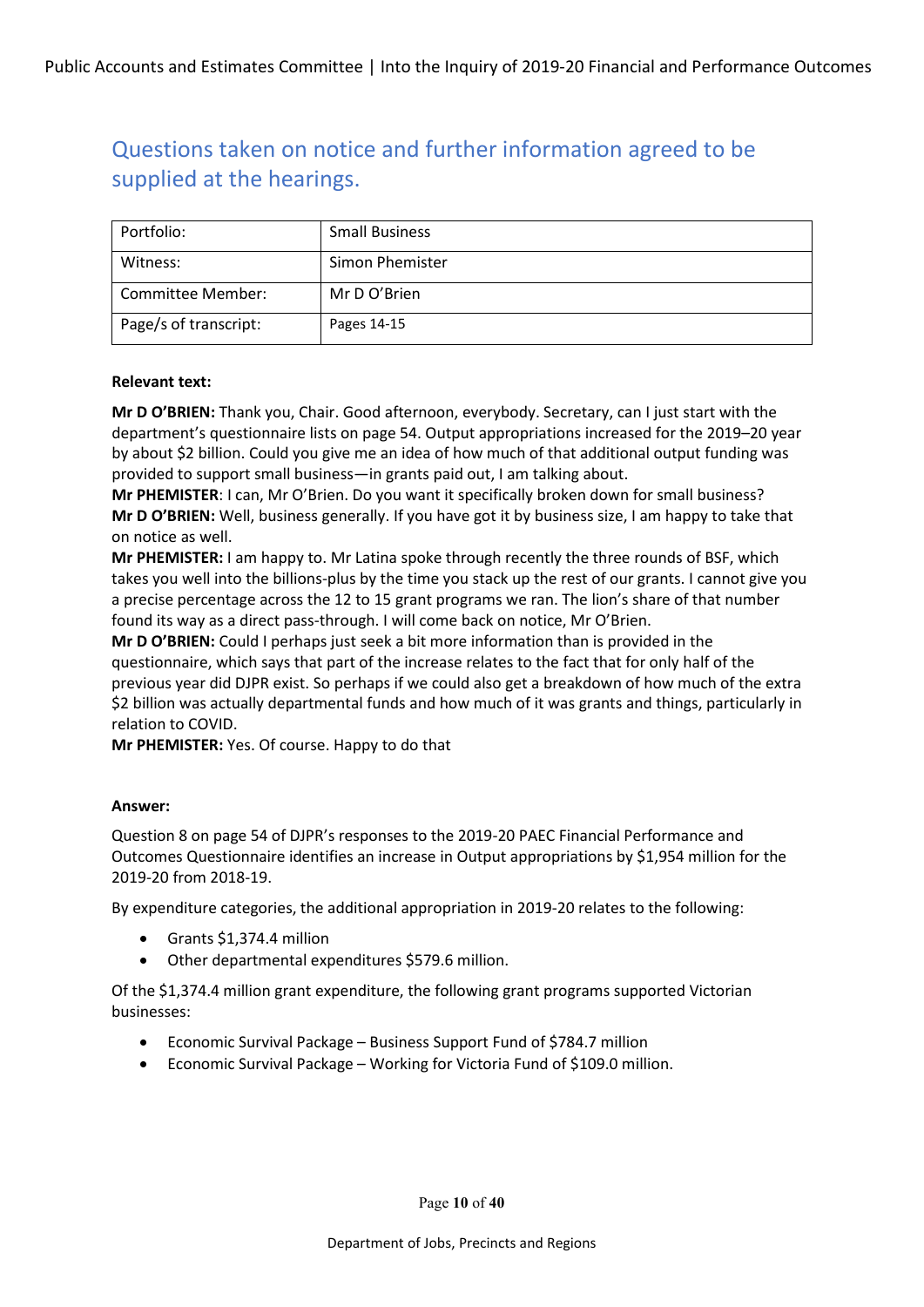| Portfolio:            | <b>Small Business</b> |
|-----------------------|-----------------------|
| Witness:              | Simon Phemister       |
| Committee Member:     | Mr D O'Brien          |
| Page/s of transcript: | Pages 14-15           |

#### **Relevant text:**

**Mr D O'BRIEN:** Thank you, Chair. Good afternoon, everybody. Secretary, can I just start with the department's questionnaire lists on page 54. Output appropriations increased for the 2019–20 year by about \$2 billion. Could you give me an idea of how much of that additional output funding was provided to support small business—in grants paid out, I am talking about.

**Mr PHEMISTER**: I can, Mr O'Brien. Do you want it specifically broken down for small business? **Mr D O'BRIEN:** Well, business generally. If you have got it by business size, I am happy to take that on notice as well.

**Mr PHEMISTER:** I am happy to. Mr Latina spoke through recently the three rounds of BSF, which takes you well into the billions-plus by the time you stack up the rest of our grants. I cannot give you a precise percentage across the 12 to 15 grant programs we ran. The lion's share of that number found its way as a direct pass-through. I will come back on notice, Mr O'Brien.

**Mr D O'BRIEN:** Could I perhaps just seek a bit more information than is provided in the questionnaire, which says that part of the increase relates to the fact that for only half of the previous year did DJPR exist. So perhaps if we could also get a breakdown of how much of the extra \$2 billion was actually departmental funds and how much of it was grants and things, particularly in relation to COVID.

**Mr PHEMISTER:** Yes. Of course. Happy to do that

#### **Answer:**

Question 8 on page 54 of DJPR's responses to the 2019-20 PAEC Financial Performance and Outcomes Questionnaire identifies an increase in Output appropriations by \$1,954 million for the 2019-20 from 2018-19.

By expenditure categories, the additional appropriation in 2019-20 relates to the following:

- Grants \$1,374.4 million
- Other departmental expenditures \$579.6 million.

Of the \$1,374.4 million grant expenditure, the following grant programs supported Victorian businesses:

- Economic Survival Package Business Support Fund of \$784.7 million
- Economic Survival Package Working for Victoria Fund of \$109.0 million.

Page **10** of **40**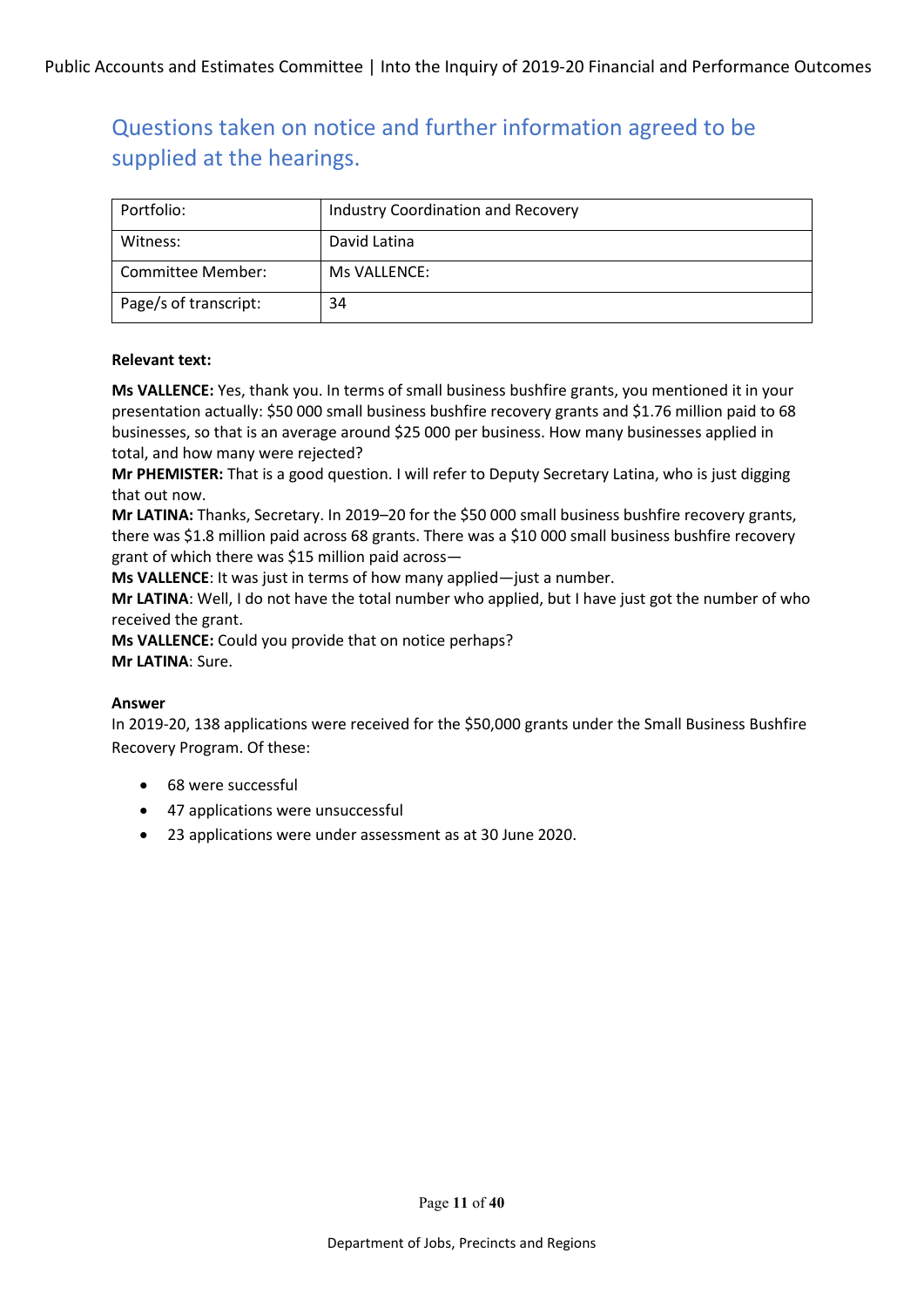| Portfolio:            | Industry Coordination and Recovery |
|-----------------------|------------------------------------|
| Witness:              | David Latina                       |
| Committee Member:     | Ms VALLENCE:                       |
| Page/s of transcript: | 34                                 |

### **Relevant text:**

**Ms VALLENCE:** Yes, thank you. In terms of small business bushfire grants, you mentioned it in your presentation actually: \$50 000 small business bushfire recovery grants and \$1.76 million paid to 68 businesses, so that is an average around \$25 000 per business. How many businesses applied in total, and how many were rejected?

**Mr PHEMISTER:** That is a good question. I will refer to Deputy Secretary Latina, who is just digging that out now.

**Mr LATINA:** Thanks, Secretary. In 2019–20 for the \$50 000 small business bushfire recovery grants, there was \$1.8 million paid across 68 grants. There was a \$10 000 small business bushfire recovery grant of which there was \$15 million paid across—

**Ms VALLENCE**: It was just in terms of how many applied—just a number.

**Mr LATINA**: Well, I do not have the total number who applied, but I have just got the number of who received the grant.

**Ms VALLENCE:** Could you provide that on notice perhaps? **Mr LATINA**: Sure.

#### **Answer**

In 2019-20, 138 applications were received for the \$50,000 grants under the Small Business Bushfire Recovery Program. Of these:

- 68 were successful
- 47 applications were unsuccessful
- 23 applications were under assessment as at 30 June 2020.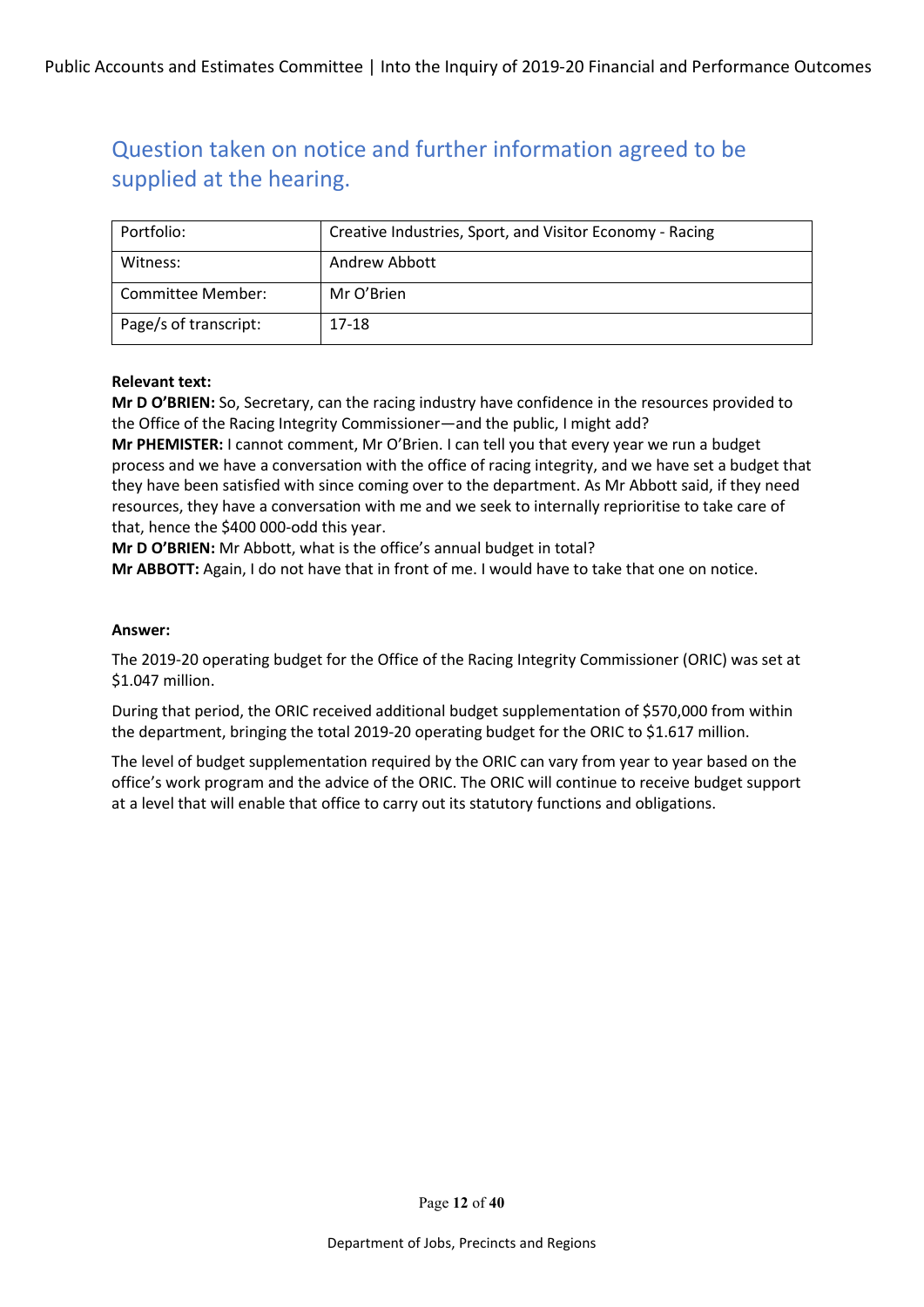| Portfolio:            | Creative Industries, Sport, and Visitor Economy - Racing |
|-----------------------|----------------------------------------------------------|
| Witness:              | Andrew Abbott                                            |
| Committee Member:     | Mr O'Brien                                               |
| Page/s of transcript: | 17-18                                                    |

### **Relevant text:**

**Mr D O'BRIEN:** So, Secretary, can the racing industry have confidence in the resources provided to the Office of the Racing Integrity Commissioner—and the public, I might add?

**Mr PHEMISTER:** I cannot comment, Mr O'Brien. I can tell you that every year we run a budget process and we have a conversation with the office of racing integrity, and we have set a budget that they have been satisfied with since coming over to the department. As Mr Abbott said, if they need resources, they have a conversation with me and we seek to internally reprioritise to take care of that, hence the \$400 000-odd this year.

**Mr D O'BRIEN:** Mr Abbott, what is the office's annual budget in total?

**Mr ABBOTT:** Again, I do not have that in front of me. I would have to take that one on notice.

#### **Answer:**

The 2019-20 operating budget for the Office of the Racing Integrity Commissioner (ORIC) was set at \$1.047 million.

During that period, the ORIC received additional budget supplementation of \$570,000 from within the department, bringing the total 2019-20 operating budget for the ORIC to \$1.617 million.

The level of budget supplementation required by the ORIC can vary from year to year based on the office's work program and the advice of the ORIC. The ORIC will continue to receive budget support at a level that will enable that office to carry out its statutory functions and obligations.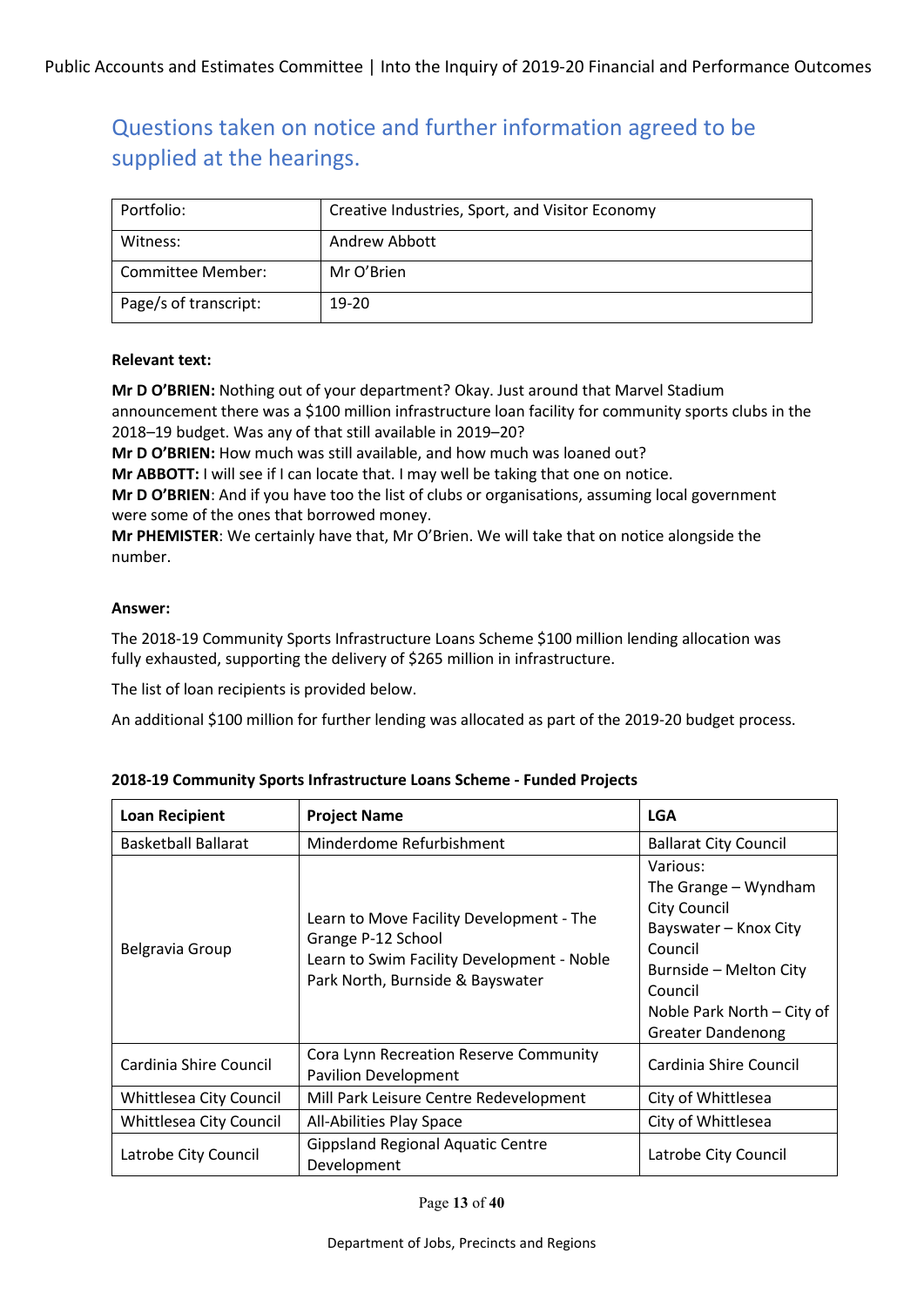| Portfolio:            | Creative Industries, Sport, and Visitor Economy |
|-----------------------|-------------------------------------------------|
| Witness:              | Andrew Abbott                                   |
| Committee Member:     | Mr O'Brien                                      |
| Page/s of transcript: | 19-20                                           |

### **Relevant text:**

**Mr D O'BRIEN:** Nothing out of your department? Okay. Just around that Marvel Stadium announcement there was a \$100 million infrastructure loan facility for community sports clubs in the 2018–19 budget. Was any of that still available in 2019–20?

**Mr D O'BRIEN:** How much was still available, and how much was loaned out?

**Mr ABBOTT:** I will see if I can locate that. I may well be taking that one on notice.

**Mr D O'BRIEN**: And if you have too the list of clubs or organisations, assuming local government were some of the ones that borrowed money.

**Mr PHEMISTER**: We certainly have that, Mr O'Brien. We will take that on notice alongside the number.

### **Answer:**

The 2018-19 Community Sports Infrastructure Loans Scheme \$100 million lending allocation was fully exhausted, supporting the delivery of \$265 million in infrastructure.

The list of loan recipients is provided below.

An additional \$100 million for further lending was allocated as part of the 2019-20 budget process.

| <b>Loan Recipient</b>      | <b>Project Name</b>                                                                                                                              | <b>LGA</b>                                                                                                                                                                                 |
|----------------------------|--------------------------------------------------------------------------------------------------------------------------------------------------|--------------------------------------------------------------------------------------------------------------------------------------------------------------------------------------------|
| <b>Basketball Ballarat</b> | Minderdome Refurbishment                                                                                                                         | <b>Ballarat City Council</b>                                                                                                                                                               |
| Belgravia Group            | Learn to Move Facility Development - The<br>Grange P-12 School<br>Learn to Swim Facility Development - Noble<br>Park North, Burnside & Bayswater | Various:<br>The Grange - Wyndham<br><b>City Council</b><br>Bayswater - Knox City<br>Council<br>Burnside - Melton City<br>Council<br>Noble Park North - City of<br><b>Greater Dandenong</b> |
| Cardinia Shire Council     | Cora Lynn Recreation Reserve Community<br><b>Pavilion Development</b>                                                                            | Cardinia Shire Council                                                                                                                                                                     |
| Whittlesea City Council    | Mill Park Leisure Centre Redevelopment                                                                                                           | City of Whittlesea                                                                                                                                                                         |
| Whittlesea City Council    | All-Abilities Play Space                                                                                                                         | City of Whittlesea                                                                                                                                                                         |
| Latrobe City Council       | <b>Gippsland Regional Aquatic Centre</b><br>Development                                                                                          | Latrobe City Council                                                                                                                                                                       |

**2018-19 Community Sports Infrastructure Loans Scheme - Funded Projects**

Page **13** of **40**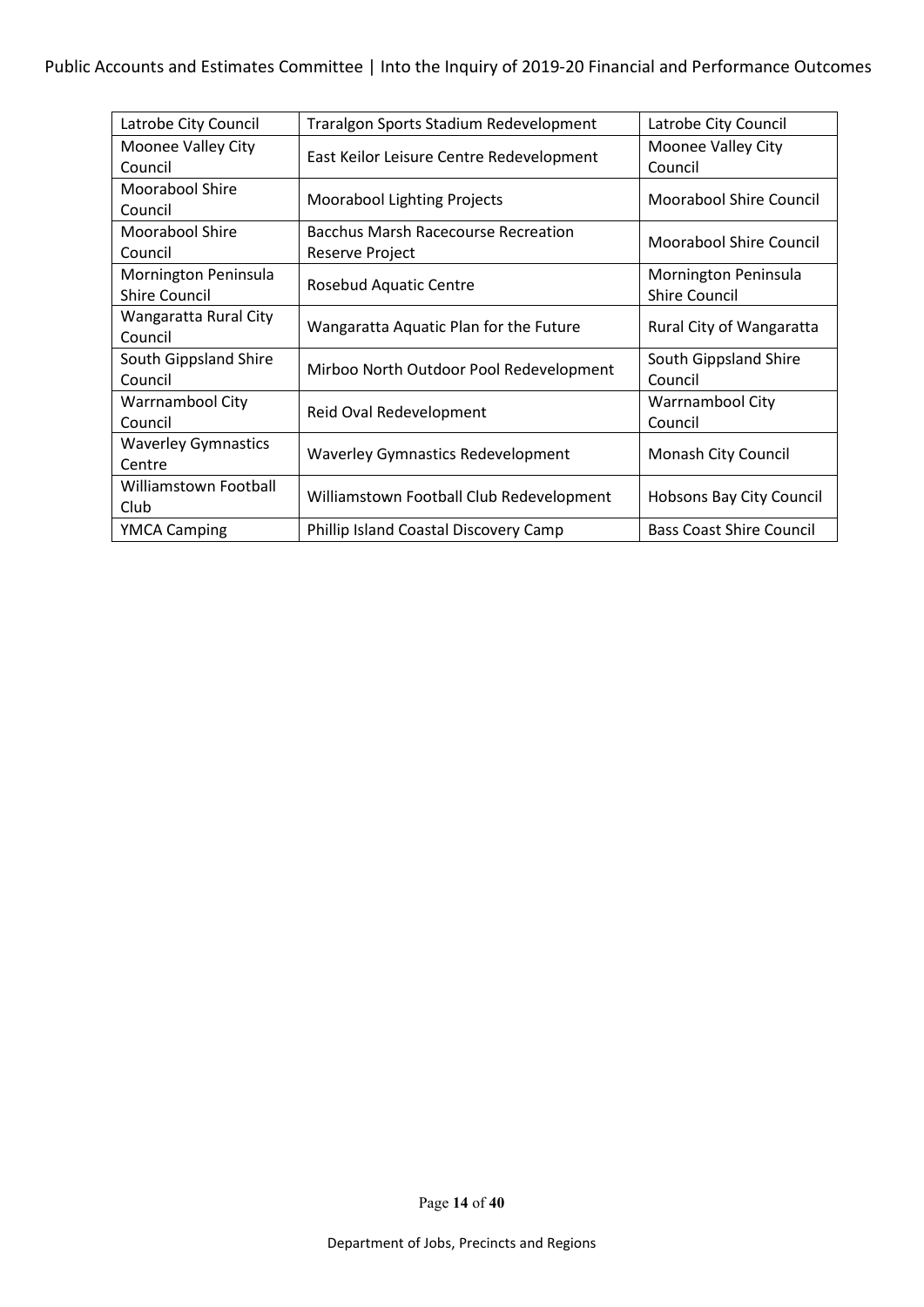| Latrobe City Council       | Traralgon Sports Stadium Redevelopment     | Latrobe City Council            |
|----------------------------|--------------------------------------------|---------------------------------|
| Moonee Valley City         | East Keilor Leisure Centre Redevelopment   | Moonee Valley City              |
| Council                    |                                            | Council                         |
| Moorabool Shire            | <b>Moorabool Lighting Projects</b>         | Moorabool Shire Council         |
| Council                    |                                            |                                 |
| Moorabool Shire            | <b>Bacchus Marsh Racecourse Recreation</b> | Moorabool Shire Council         |
| Council                    | Reserve Project                            |                                 |
| Mornington Peninsula       |                                            | Mornington Peninsula            |
| <b>Shire Council</b>       | <b>Rosebud Aquatic Centre</b>              | <b>Shire Council</b>            |
| Wangaratta Rural City      |                                            |                                 |
| Council                    | Wangaratta Aquatic Plan for the Future     | Rural City of Wangaratta        |
| South Gippsland Shire      |                                            | South Gippsland Shire           |
| Council                    | Mirboo North Outdoor Pool Redevelopment    | Council                         |
| Warrnambool City           |                                            | Warrnambool City                |
| Council                    | Reid Oval Redevelopment                    | Council                         |
| <b>Waverley Gymnastics</b> |                                            |                                 |
| Centre                     | <b>Waverley Gymnastics Redevelopment</b>   | Monash City Council             |
| Williamstown Football      |                                            |                                 |
| Club                       | Williamstown Football Club Redevelopment   | Hobsons Bay City Council        |
| <b>YMCA Camping</b>        | Phillip Island Coastal Discovery Camp      | <b>Bass Coast Shire Council</b> |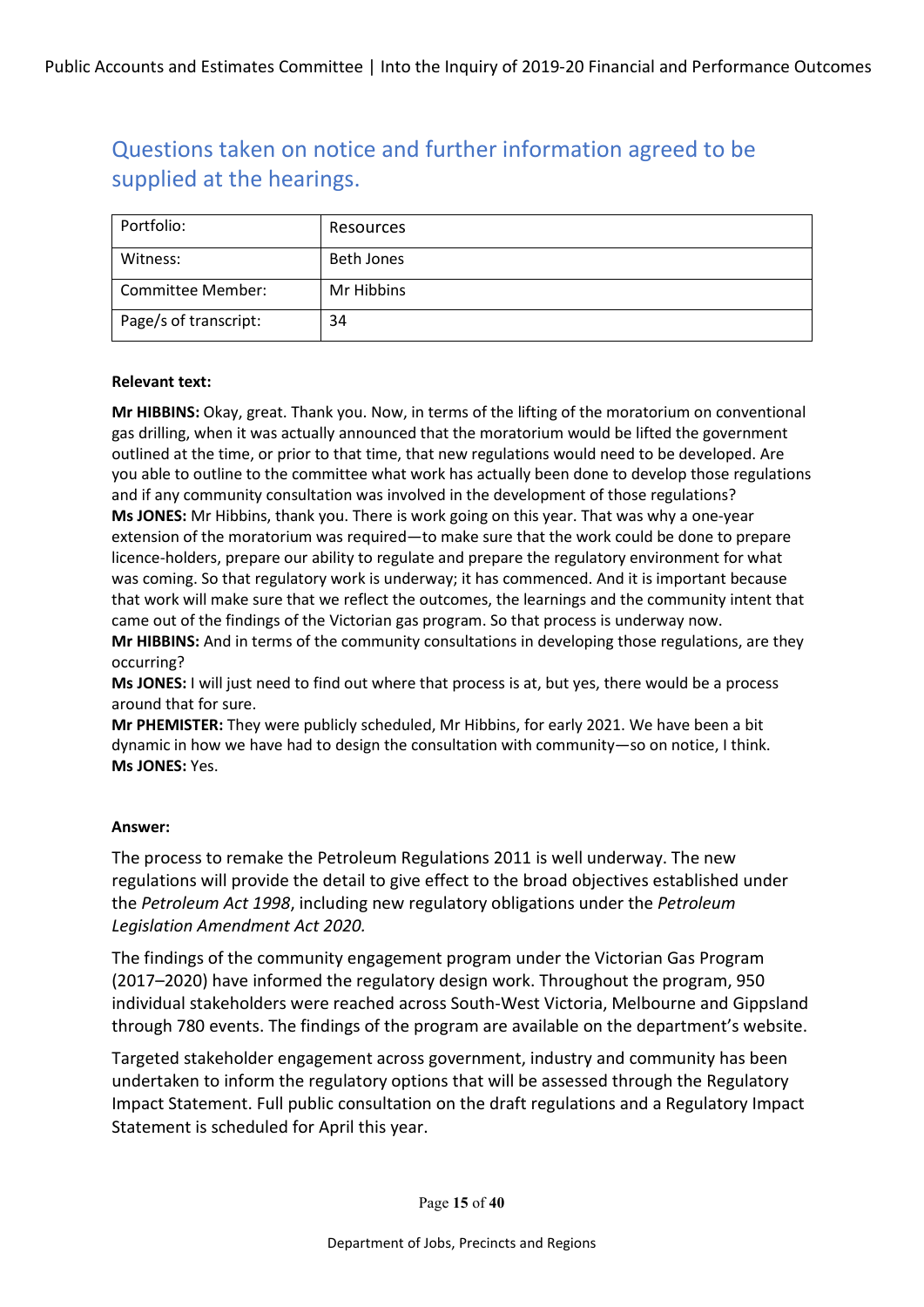| Portfolio:            | Resources         |
|-----------------------|-------------------|
| Witness:              | <b>Beth Jones</b> |
| Committee Member:     | Mr Hibbins        |
| Page/s of transcript: | 34                |

#### **Relevant text:**

**Mr HIBBINS:** Okay, great. Thank you. Now, in terms of the lifting of the moratorium on conventional gas drilling, when it was actually announced that the moratorium would be lifted the government outlined at the time, or prior to that time, that new regulations would need to be developed. Are you able to outline to the committee what work has actually been done to develop those regulations and if any community consultation was involved in the development of those regulations? **Ms JONES:** Mr Hibbins, thank you. There is work going on this year. That was why a one-year extension of the moratorium was required—to make sure that the work could be done to prepare licence-holders, prepare our ability to regulate and prepare the regulatory environment for what was coming. So that regulatory work is underway; it has commenced. And it is important because that work will make sure that we reflect the outcomes, the learnings and the community intent that came out of the findings of the Victorian gas program. So that process is underway now.

**Mr HIBBINS:** And in terms of the community consultations in developing those regulations, are they occurring?

**Ms JONES:** I will just need to find out where that process is at, but yes, there would be a process around that for sure.

**Mr PHEMISTER:** They were publicly scheduled, Mr Hibbins, for early 2021. We have been a bit dynamic in how we have had to design the consultation with community—so on notice, I think. **Ms JONES:** Yes.

#### **Answer:**

The process to remake the Petroleum Regulations 2011 is well underway. The new regulations will provide the detail to give effect to the broad objectives established under the *Petroleum Act 1998*, including new regulatory obligations under the *Petroleum Legislation Amendment Act 2020.*

The findings of the community engagement program under the Victorian Gas Program (2017–2020) have informed the regulatory design work. Throughout the program, 950 individual stakeholders were reached across South-West Victoria, Melbourne and Gippsland through 780 events. The findings of the program are available on the department's website.

Targeted stakeholder engagement across government, industry and community has been undertaken to inform the regulatory options that will be assessed through the Regulatory Impact Statement. Full public consultation on the draft regulations and a Regulatory Impact Statement is scheduled for April this year.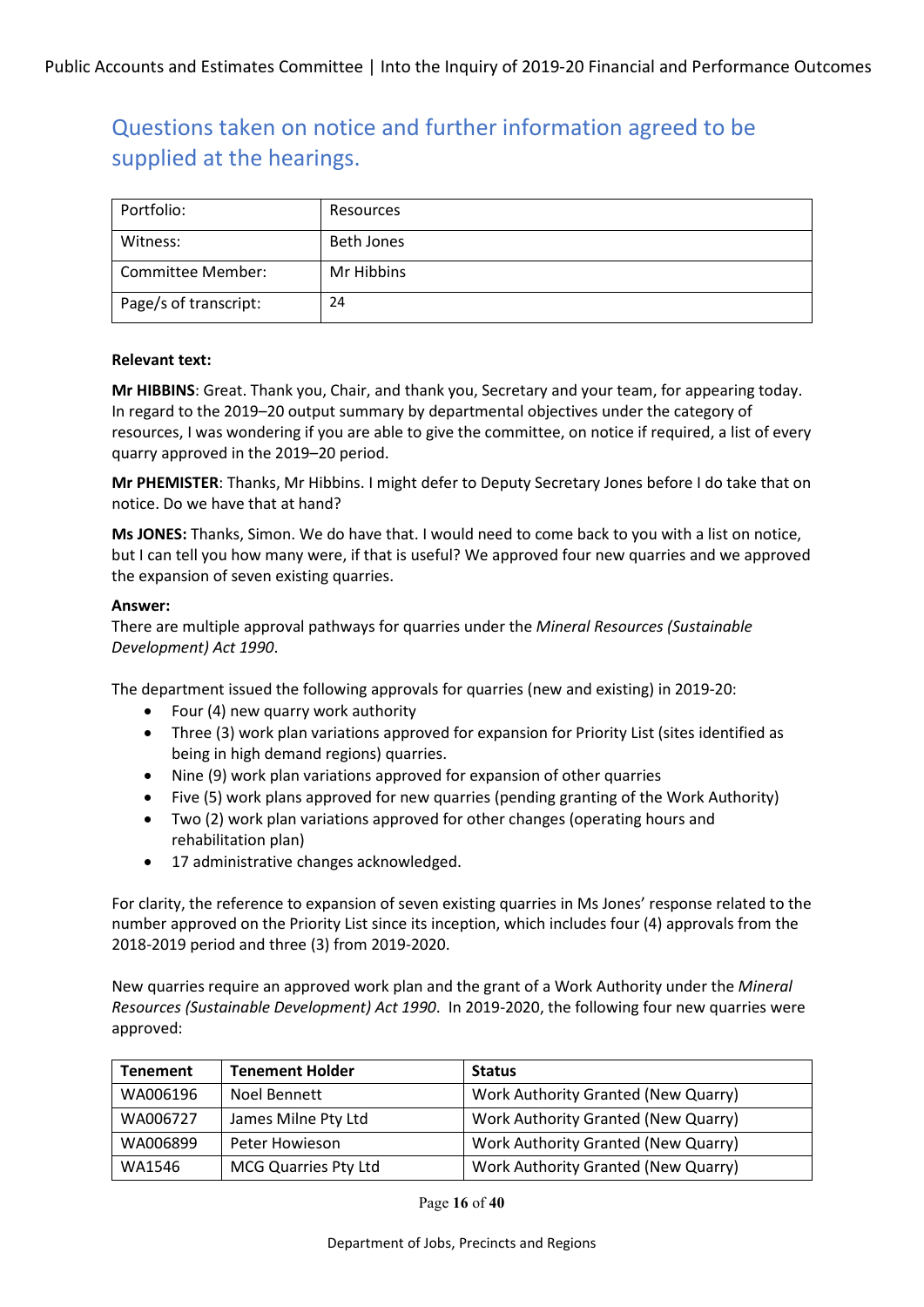| Portfolio:            | Resources         |
|-----------------------|-------------------|
| Witness:              | <b>Beth Jones</b> |
| Committee Member:     | Mr Hibbins        |
| Page/s of transcript: | 24                |

#### **Relevant text:**

**Mr HIBBINS**: Great. Thank you, Chair, and thank you, Secretary and your team, for appearing today. In regard to the 2019–20 output summary by departmental objectives under the category of resources, I was wondering if you are able to give the committee, on notice if required, a list of every quarry approved in the 2019–20 period.

**Mr PHEMISTER**: Thanks, Mr Hibbins. I might defer to Deputy Secretary Jones before I do take that on notice. Do we have that at hand?

**Ms JONES:** Thanks, Simon. We do have that. I would need to come back to you with a list on notice, but I can tell you how many were, if that is useful? We approved four new quarries and we approved the expansion of seven existing quarries.

#### **Answer:**

There are multiple approval pathways for quarries under the *Mineral Resources (Sustainable Development) Act 1990*.

The department issued the following approvals for quarries (new and existing) in 2019-20:

- Four (4) new quarry work authority
- Three (3) work plan variations approved for expansion for Priority List (sites identified as being in high demand regions) quarries.
- Nine (9) work plan variations approved for expansion of other quarries
- Five (5) work plans approved for new quarries (pending granting of the Work Authority)
- Two (2) work plan variations approved for other changes (operating hours and rehabilitation plan)
- 17 administrative changes acknowledged.

For clarity, the reference to expansion of seven existing quarries in Ms Jones' response related to the number approved on the Priority List since its inception, which includes four (4) approvals from the 2018-2019 period and three (3) from 2019-2020.

New quarries require an approved work plan and the grant of a Work Authority under the *Mineral Resources (Sustainable Development) Act 1990*. In 2019-2020, the following four new quarries were approved:

| <b>Tenement</b> | <b>Tenement Holder</b>      | <b>Status</b>                       |
|-----------------|-----------------------------|-------------------------------------|
| WA006196        | Noel Bennett                | Work Authority Granted (New Quarry) |
| WA006727        | James Milne Pty Ltd         | Work Authority Granted (New Quarry) |
| WA006899        | Peter Howieson              | Work Authority Granted (New Quarry) |
| WA1546          | <b>MCG Quarries Pty Ltd</b> | Work Authority Granted (New Quarry) |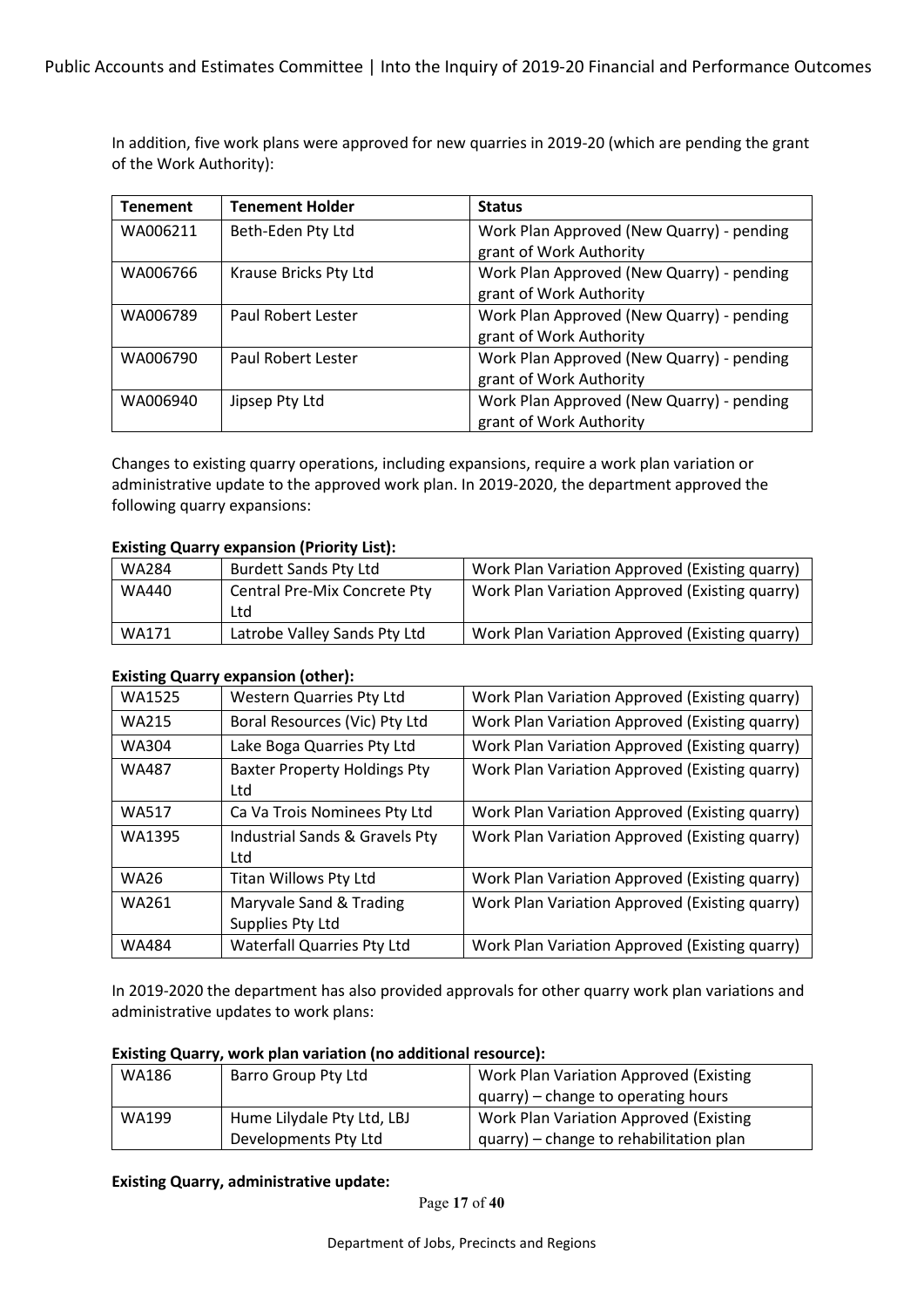In addition, five work plans were approved for new quarries in 2019-20 (which are pending the grant of the Work Authority):

| <b>Tenement</b> | <b>Tenement Holder</b> | <b>Status</b>                             |
|-----------------|------------------------|-------------------------------------------|
| WA006211        | Beth-Eden Pty Ltd      | Work Plan Approved (New Quarry) - pending |
|                 |                        | grant of Work Authority                   |
| WA006766        | Krause Bricks Pty Ltd  | Work Plan Approved (New Quarry) - pending |
|                 |                        | grant of Work Authority                   |
| WA006789        | Paul Robert Lester     | Work Plan Approved (New Quarry) - pending |
|                 |                        | grant of Work Authority                   |
| WA006790        | Paul Robert Lester     | Work Plan Approved (New Quarry) - pending |
|                 |                        | grant of Work Authority                   |
| WA006940        | Jipsep Pty Ltd         | Work Plan Approved (New Quarry) - pending |
|                 |                        | grant of Work Authority                   |

Changes to existing quarry operations, including expansions, require a work plan variation or administrative update to the approved work plan. In 2019-2020, the department approved the following quarry expansions:

### **Existing Quarry expansion (Priority List):**

| WA284 | <b>Burdett Sands Pty Ltd</b>        | Work Plan Variation Approved (Existing quarry) |
|-------|-------------------------------------|------------------------------------------------|
| WA440 | <b>Central Pre-Mix Concrete Pty</b> | Work Plan Variation Approved (Existing quarry) |
|       | Ltd                                 |                                                |
| WA171 | Latrobe Valley Sands Pty Ltd        | Work Plan Variation Approved (Existing quarry) |

#### **Existing Quarry expansion (other):**

| WA1525       | <b>Western Quarries Pty Ltd</b>            | Work Plan Variation Approved (Existing quarry) |
|--------------|--------------------------------------------|------------------------------------------------|
| <b>WA215</b> | Boral Resources (Vic) Pty Ltd              | Work Plan Variation Approved (Existing quarry) |
| <b>WA304</b> | Lake Boga Quarries Pty Ltd                 | Work Plan Variation Approved (Existing quarry) |
| <b>WA487</b> | <b>Baxter Property Holdings Pty</b><br>Ltd | Work Plan Variation Approved (Existing quarry) |
| <b>WA517</b> | Ca Va Trois Nominees Pty Ltd               | Work Plan Variation Approved (Existing quarry) |
| WA1395       | Industrial Sands & Gravels Pty<br>Ltd      | Work Plan Variation Approved (Existing quarry) |
| <b>WA26</b>  | Titan Willows Pty Ltd                      | Work Plan Variation Approved (Existing quarry) |
| WA261        | Maryvale Sand & Trading                    | Work Plan Variation Approved (Existing quarry) |
|              | Supplies Pty Ltd                           |                                                |
| <b>WA484</b> | <b>Waterfall Quarries Pty Ltd</b>          | Work Plan Variation Approved (Existing quarry) |

In 2019-2020 the department has also provided approvals for other quarry work plan variations and administrative updates to work plans:

#### **Existing Quarry, work plan variation (no additional resource):**

| WA186 | Barro Group Pty Ltd        | Work Plan Variation Approved (Existing        |
|-------|----------------------------|-----------------------------------------------|
|       |                            | quarry) – change to operating hours           |
| WA199 | Hume Lilydale Pty Ltd, LBJ | <b>Work Plan Variation Approved (Existing</b> |
|       | Developments Pty Ltd       | quarry) - change to rehabilitation plan       |

**Existing Quarry, administrative update:**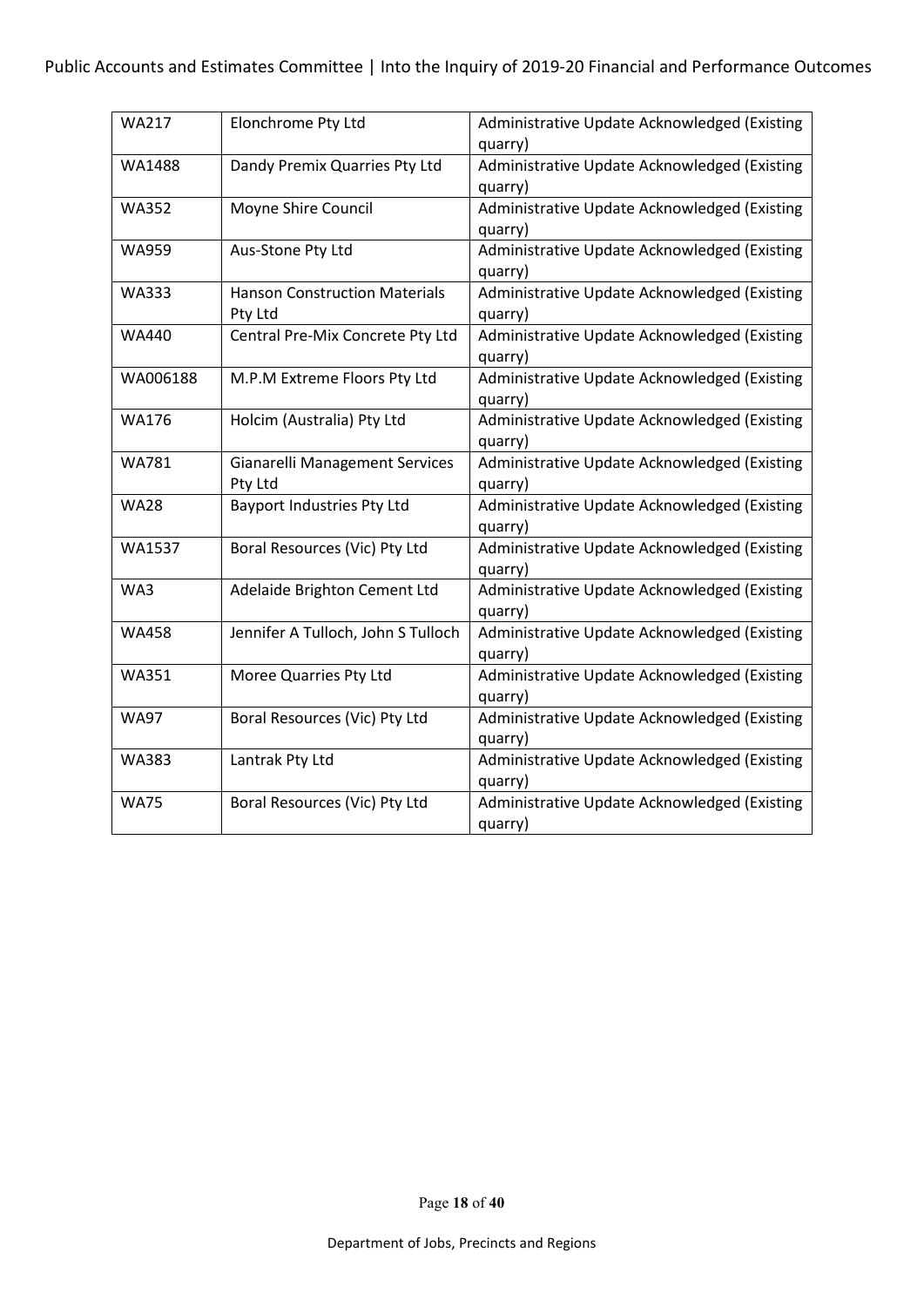| <b>WA217</b> | Elonchrome Pty Ltd                    | Administrative Update Acknowledged (Existing |
|--------------|---------------------------------------|----------------------------------------------|
|              |                                       | quarry)                                      |
| WA1488       | Dandy Premix Quarries Pty Ltd         | Administrative Update Acknowledged (Existing |
|              |                                       | quarry)                                      |
| <b>WA352</b> | Moyne Shire Council                   | Administrative Update Acknowledged (Existing |
|              |                                       | quarry)                                      |
| <b>WA959</b> | Aus-Stone Pty Ltd                     | Administrative Update Acknowledged (Existing |
|              |                                       | quarry)                                      |
| <b>WA333</b> | <b>Hanson Construction Materials</b>  | Administrative Update Acknowledged (Existing |
|              | Pty Ltd                               | quarry)                                      |
| WA440        | Central Pre-Mix Concrete Pty Ltd      | Administrative Update Acknowledged (Existing |
|              |                                       | quarry)                                      |
| WA006188     | M.P.M Extreme Floors Pty Ltd          | Administrative Update Acknowledged (Existing |
|              |                                       | quarry)                                      |
| <b>WA176</b> | Holcim (Australia) Pty Ltd            | Administrative Update Acknowledged (Existing |
|              |                                       | quarry)                                      |
| <b>WA781</b> | <b>Gianarelli Management Services</b> | Administrative Update Acknowledged (Existing |
|              | Pty Ltd                               | quarry)                                      |
| <b>WA28</b>  | <b>Bayport Industries Pty Ltd</b>     | Administrative Update Acknowledged (Existing |
|              |                                       | quarry)                                      |
| WA1537       | Boral Resources (Vic) Pty Ltd         | Administrative Update Acknowledged (Existing |
|              |                                       | quarry)                                      |
| WA3          | Adelaide Brighton Cement Ltd          | Administrative Update Acknowledged (Existing |
|              |                                       | quarry)                                      |
| <b>WA458</b> | Jennifer A Tulloch, John S Tulloch    | Administrative Update Acknowledged (Existing |
|              |                                       | quarry)                                      |
| WA351        | Moree Quarries Pty Ltd                | Administrative Update Acknowledged (Existing |
|              |                                       | quarry)                                      |
| <b>WA97</b>  | Boral Resources (Vic) Pty Ltd         | Administrative Update Acknowledged (Existing |
|              |                                       | quarry)                                      |
| WA383        | Lantrak Pty Ltd                       | Administrative Update Acknowledged (Existing |
|              |                                       | quarry)                                      |
| <b>WA75</b>  | Boral Resources (Vic) Pty Ltd         | Administrative Update Acknowledged (Existing |
|              |                                       | quarry)                                      |
|              |                                       |                                              |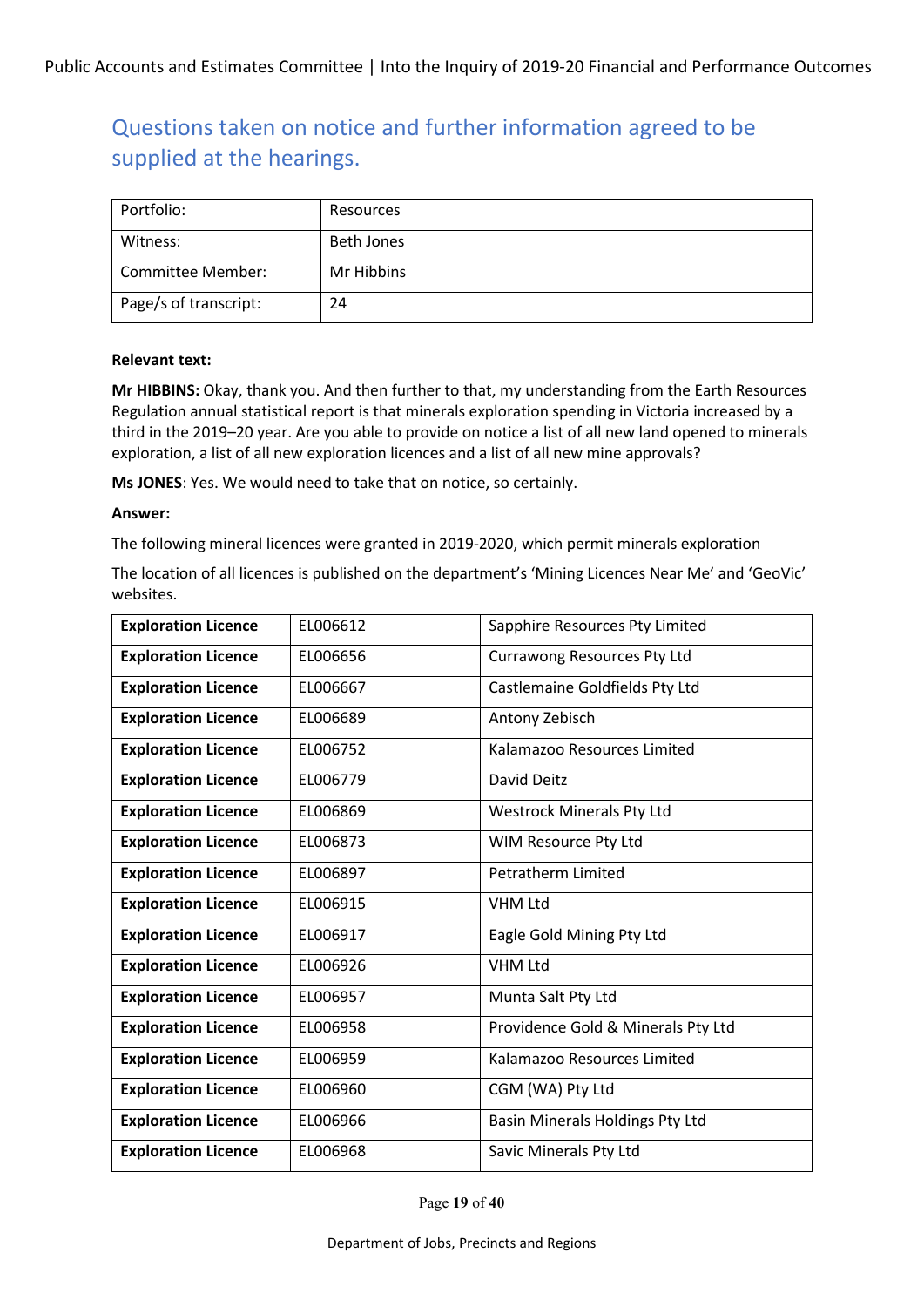| Portfolio:            | Resources  |
|-----------------------|------------|
| Witness:              | Beth Jones |
| Committee Member:     | Mr Hibbins |
| Page/s of transcript: | 24         |

#### **Relevant text:**

**Mr HIBBINS:** Okay, thank you. And then further to that, my understanding from the Earth Resources Regulation annual statistical report is that minerals exploration spending in Victoria increased by a third in the 2019–20 year. Are you able to provide on notice a list of all new land opened to minerals exploration, a list of all new exploration licences and a list of all new mine approvals?

**Ms JONES**: Yes. We would need to take that on notice, so certainly.

#### **Answer:**

The following mineral licences were granted in 2019-2020, which permit minerals exploration

The location of all licences is published on the department's 'Mining Licences Near Me' and 'GeoVic' websites.

| <b>Exploration Licence</b> | EL006612 | Sapphire Resources Pty Limited     |
|----------------------------|----------|------------------------------------|
| <b>Exploration Licence</b> | EL006656 | Currawong Resources Pty Ltd        |
| <b>Exploration Licence</b> | EL006667 | Castlemaine Goldfields Pty Ltd     |
| <b>Exploration Licence</b> | EL006689 | Antony Zebisch                     |
| <b>Exploration Licence</b> | EL006752 | Kalamazoo Resources Limited        |
| <b>Exploration Licence</b> | EL006779 | David Deitz                        |
| <b>Exploration Licence</b> | EL006869 | <b>Westrock Minerals Pty Ltd</b>   |
| <b>Exploration Licence</b> | EL006873 | WIM Resource Pty Ltd               |
| <b>Exploration Licence</b> | EL006897 | <b>Petratherm Limited</b>          |
| <b>Exploration Licence</b> | EL006915 | <b>VHM Ltd</b>                     |
| <b>Exploration Licence</b> | EL006917 | Eagle Gold Mining Pty Ltd          |
| <b>Exploration Licence</b> | EL006926 | <b>VHM Ltd</b>                     |
| <b>Exploration Licence</b> | EL006957 | Munta Salt Pty Ltd                 |
| <b>Exploration Licence</b> | EL006958 | Providence Gold & Minerals Pty Ltd |
| <b>Exploration Licence</b> | EL006959 | Kalamazoo Resources Limited        |
| <b>Exploration Licence</b> | EL006960 | CGM (WA) Pty Ltd                   |
| <b>Exploration Licence</b> | EL006966 | Basin Minerals Holdings Pty Ltd    |
| <b>Exploration Licence</b> | EL006968 | Savic Minerals Pty Ltd             |

Page **19** of **40**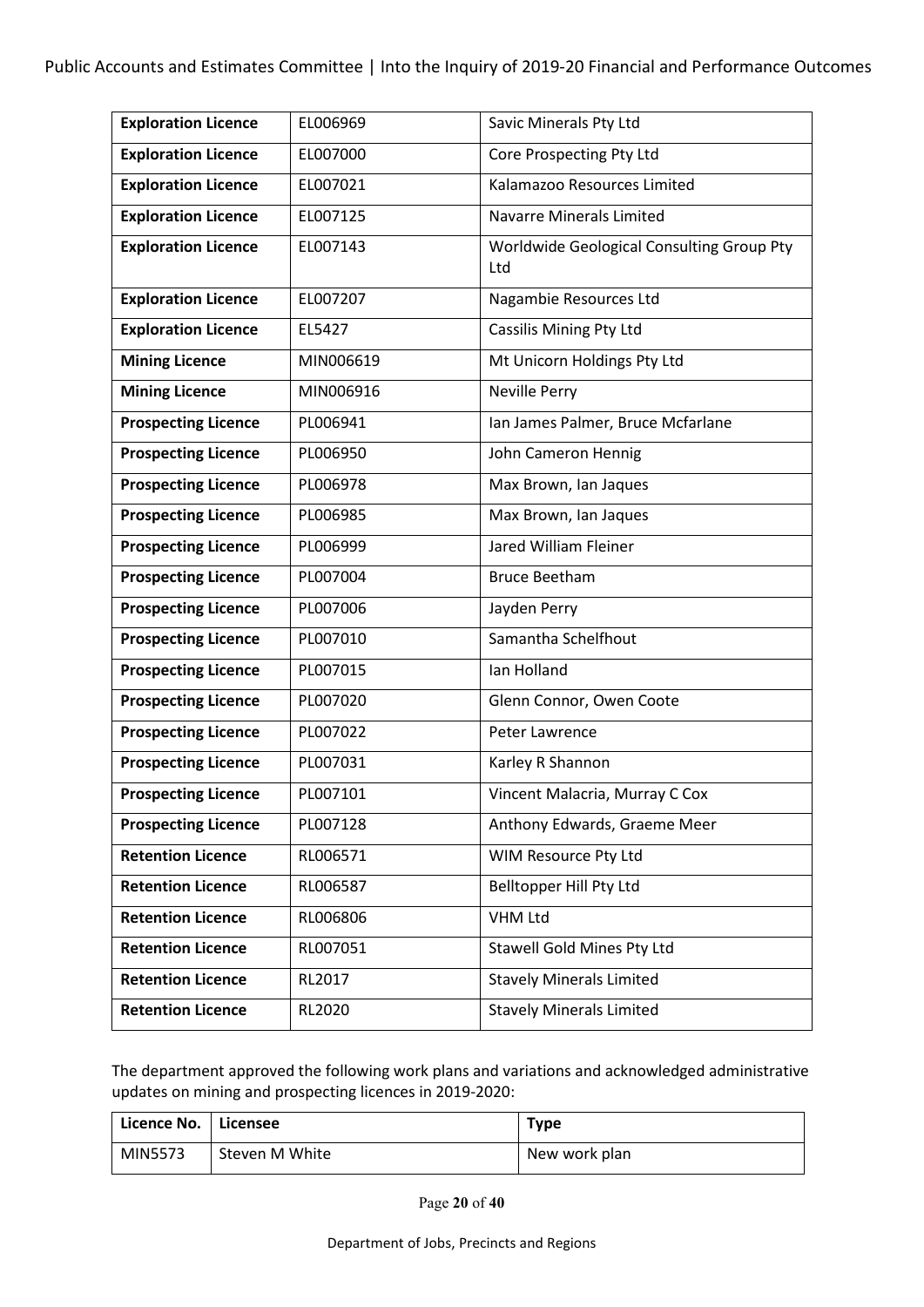| <b>Exploration Licence</b> | EL006969  | Savic Minerals Pty Ltd                           |
|----------------------------|-----------|--------------------------------------------------|
| <b>Exploration Licence</b> | EL007000  | Core Prospecting Pty Ltd                         |
| <b>Exploration Licence</b> | EL007021  | Kalamazoo Resources Limited                      |
| <b>Exploration Licence</b> | EL007125  | <b>Navarre Minerals Limited</b>                  |
| <b>Exploration Licence</b> | EL007143  | Worldwide Geological Consulting Group Pty<br>Ltd |
| <b>Exploration Licence</b> | EL007207  | Nagambie Resources Ltd                           |
| <b>Exploration Licence</b> | EL5427    | <b>Cassilis Mining Pty Ltd</b>                   |
| <b>Mining Licence</b>      | MIN006619 | Mt Unicorn Holdings Pty Ltd                      |
| <b>Mining Licence</b>      | MIN006916 | <b>Neville Perry</b>                             |
| <b>Prospecting Licence</b> | PL006941  | Ian James Palmer, Bruce Mcfarlane                |
| <b>Prospecting Licence</b> | PL006950  | John Cameron Hennig                              |
| <b>Prospecting Licence</b> | PL006978  | Max Brown, Ian Jaques                            |
| <b>Prospecting Licence</b> | PL006985  | Max Brown, Ian Jaques                            |
| <b>Prospecting Licence</b> | PL006999  | Jared William Fleiner                            |
| <b>Prospecting Licence</b> | PL007004  | <b>Bruce Beetham</b>                             |
| <b>Prospecting Licence</b> | PL007006  | Jayden Perry                                     |
| <b>Prospecting Licence</b> | PL007010  | Samantha Schelfhout                              |
| <b>Prospecting Licence</b> | PL007015  | Ian Holland                                      |
| <b>Prospecting Licence</b> | PL007020  | Glenn Connor, Owen Coote                         |
| <b>Prospecting Licence</b> | PL007022  | Peter Lawrence                                   |
| <b>Prospecting Licence</b> | PL007031  | Karley R Shannon                                 |
| <b>Prospecting Licence</b> | PL007101  | Vincent Malacria, Murray C Cox                   |
| <b>Prospecting Licence</b> | PL007128  | Anthony Edwards, Graeme Meer                     |
| <b>Retention Licence</b>   | RL006571  | WIM Resource Pty Ltd                             |
| <b>Retention Licence</b>   | RL006587  | Belltopper Hill Pty Ltd                          |
| <b>Retention Licence</b>   | RL006806  | <b>VHM Ltd</b>                                   |
| <b>Retention Licence</b>   | RL007051  | Stawell Gold Mines Pty Ltd                       |
| <b>Retention Licence</b>   | RL2017    | <b>Stavely Minerals Limited</b>                  |
| <b>Retention Licence</b>   | RL2020    | <b>Stavely Minerals Limited</b>                  |

The department approved the following work plans and variations and acknowledged administrative updates on mining and prospecting licences in 2019-2020:

| Licence No.   Licensee |                | <b>Type</b>   |
|------------------------|----------------|---------------|
| MIN5573                | Steven M White | New work plan |

Page **20** of **40**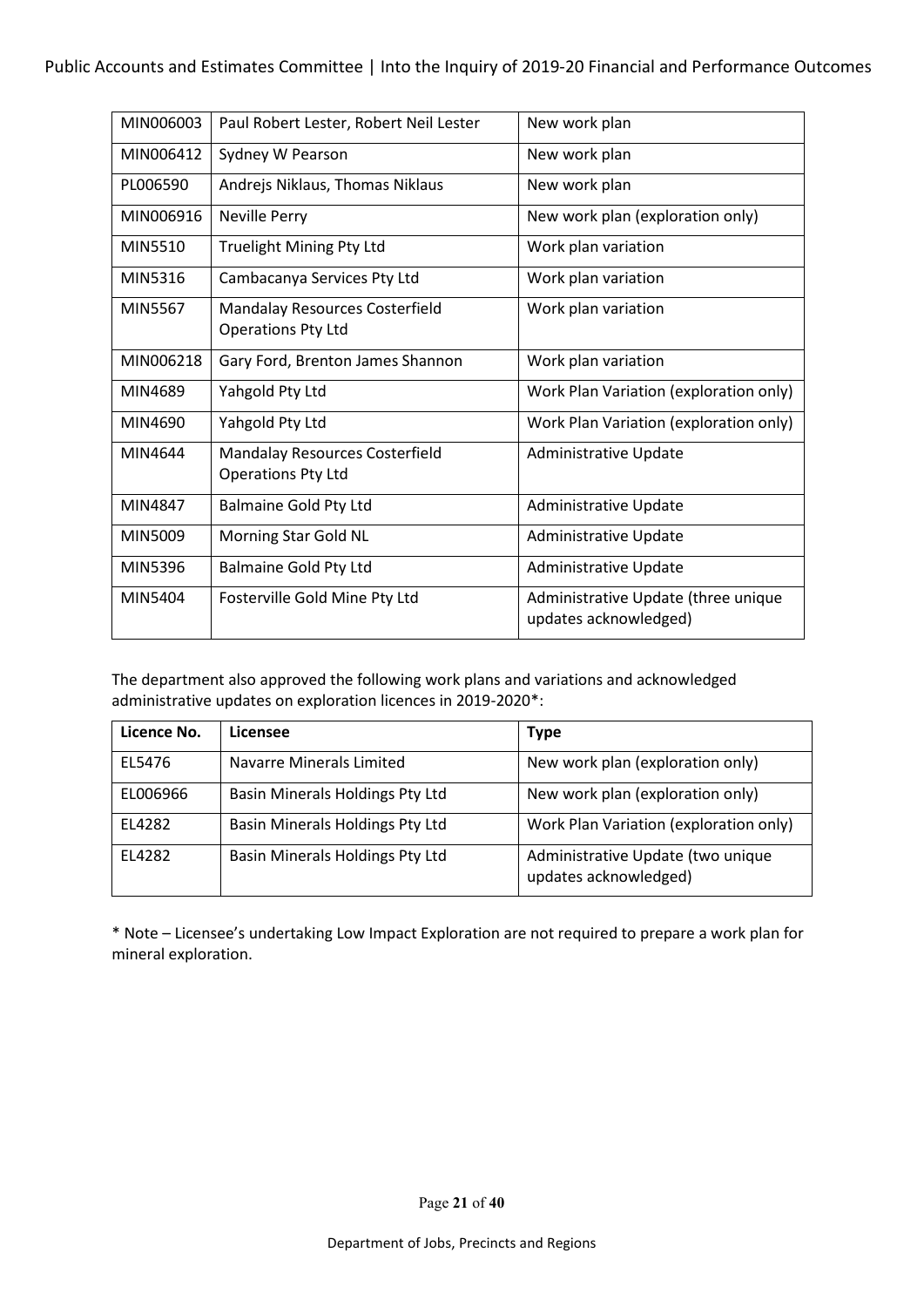| MIN006003      | Paul Robert Lester, Robert Neil Lester                             | New work plan                                                |
|----------------|--------------------------------------------------------------------|--------------------------------------------------------------|
| MIN006412      | Sydney W Pearson                                                   | New work plan                                                |
| PL006590       | Andrejs Niklaus, Thomas Niklaus                                    | New work plan                                                |
| MIN006916      | <b>Neville Perry</b>                                               | New work plan (exploration only)                             |
| MIN5510        | <b>Truelight Mining Pty Ltd</b>                                    | Work plan variation                                          |
| MIN5316        | Cambacanya Services Pty Ltd                                        | Work plan variation                                          |
| <b>MIN5567</b> | <b>Mandalay Resources Costerfield</b><br><b>Operations Pty Ltd</b> | Work plan variation                                          |
| MIN006218      | Gary Ford, Brenton James Shannon                                   | Work plan variation                                          |
| MIN4689        | Yahgold Pty Ltd                                                    | Work Plan Variation (exploration only)                       |
| MIN4690        | Yahgold Pty Ltd                                                    | Work Plan Variation (exploration only)                       |
| MIN4644        | Mandalay Resources Costerfield<br><b>Operations Pty Ltd</b>        | Administrative Update                                        |
| MIN4847        | <b>Balmaine Gold Pty Ltd</b>                                       | Administrative Update                                        |
| MIN5009        | Morning Star Gold NL                                               | Administrative Update                                        |
| MIN5396        | <b>Balmaine Gold Pty Ltd</b>                                       | Administrative Update                                        |
| MIN5404        | Fosterville Gold Mine Pty Ltd                                      | Administrative Update (three unique<br>updates acknowledged) |

The department also approved the following work plans and variations and acknowledged administrative updates on exploration licences in 2019-2020\*:

| Licence No. | Licensee                        | <b>Type</b>                                                |
|-------------|---------------------------------|------------------------------------------------------------|
| EL5476      | Navarre Minerals Limited        | New work plan (exploration only)                           |
| EL006966    | Basin Minerals Holdings Pty Ltd | New work plan (exploration only)                           |
| FL4282      | Basin Minerals Holdings Pty Ltd | Work Plan Variation (exploration only)                     |
| EL4282      | Basin Minerals Holdings Pty Ltd | Administrative Update (two unique<br>updates acknowledged) |

\* Note – Licensee's undertaking Low Impact Exploration are not required to prepare a work plan for mineral exploration.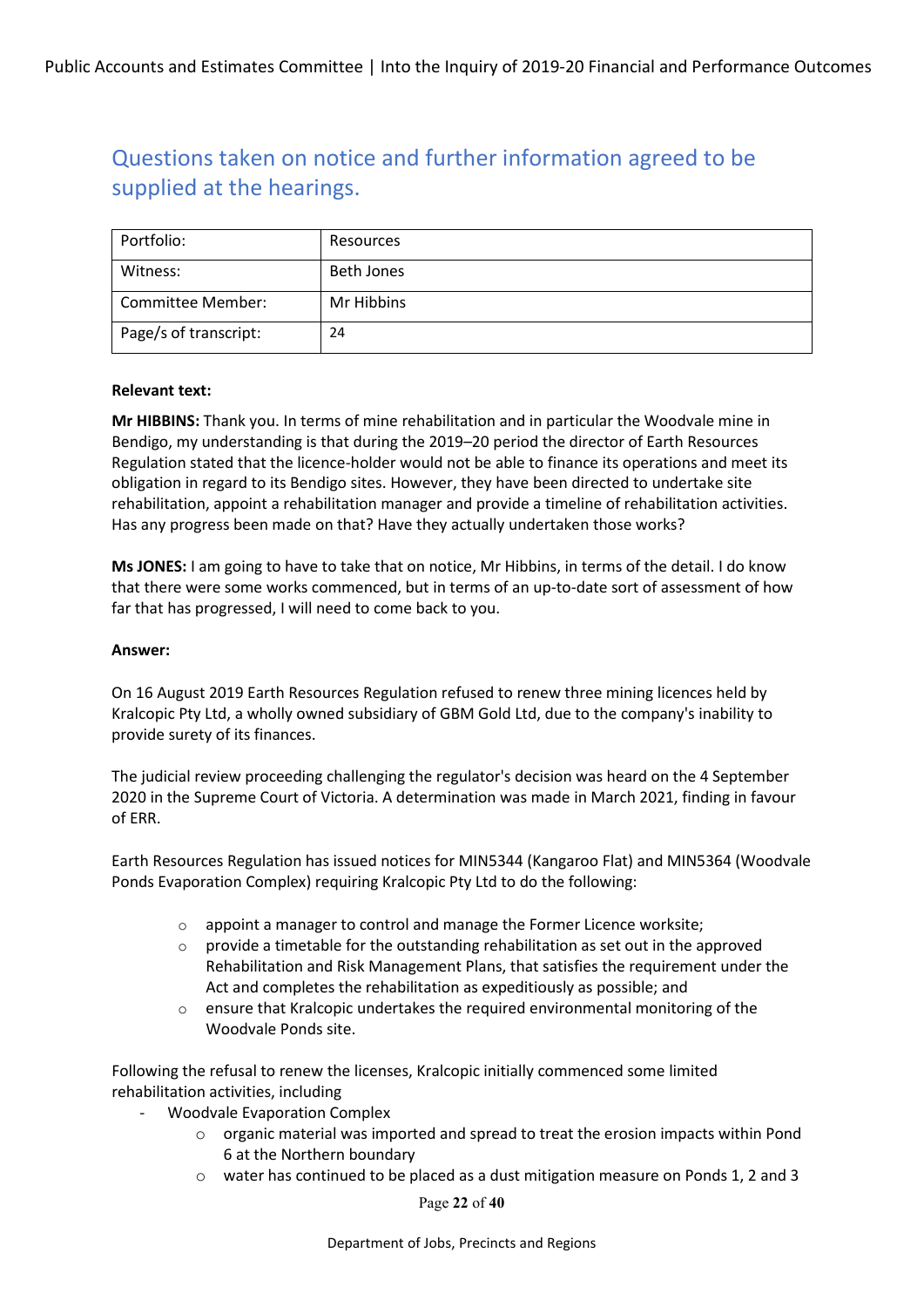| Portfolio:            | Resources  |
|-----------------------|------------|
| Witness:              | Beth Jones |
| Committee Member:     | Mr Hibbins |
| Page/s of transcript: | 24         |

#### **Relevant text:**

**Mr HIBBINS:** Thank you. In terms of mine rehabilitation and in particular the Woodvale mine in Bendigo, my understanding is that during the 2019–20 period the director of Earth Resources Regulation stated that the licence-holder would not be able to finance its operations and meet its obligation in regard to its Bendigo sites. However, they have been directed to undertake site rehabilitation, appoint a rehabilitation manager and provide a timeline of rehabilitation activities. Has any progress been made on that? Have they actually undertaken those works?

**Ms JONES:** I am going to have to take that on notice, Mr Hibbins, in terms of the detail. I do know that there were some works commenced, but in terms of an up-to-date sort of assessment of how far that has progressed, I will need to come back to you.

#### **Answer:**

On 16 August 2019 Earth Resources Regulation refused to renew three mining licences held by Kralcopic Pty Ltd, a wholly owned subsidiary of GBM Gold Ltd, due to the company's inability to provide surety of its finances.

The judicial review proceeding challenging the regulator's decision was heard on the 4 September 2020 in the Supreme Court of Victoria. A determination was made in March 2021, finding in favour of ERR.

Earth Resources Regulation has issued notices for MIN5344 (Kangaroo Flat) and MIN5364 (Woodvale Ponds Evaporation Complex) requiring Kralcopic Pty Ltd to do the following:

- o appoint a manager to control and manage the Former Licence worksite;
- $\circ$  provide a timetable for the outstanding rehabilitation as set out in the approved Rehabilitation and Risk Management Plans, that satisfies the requirement under the Act and completes the rehabilitation as expeditiously as possible; and
- $\circ$  ensure that Kralcopic undertakes the required environmental monitoring of the Woodvale Ponds site.

Following the refusal to renew the licenses, Kralcopic initially commenced some limited rehabilitation activities, including

- Woodvale Evaporation Complex
	- $\circ$  organic material was imported and spread to treat the erosion impacts within Pond 6 at the Northern boundary
	- o water has continued to be placed as a dust mitigation measure on Ponds 1, 2 and 3

Page **22** of **40**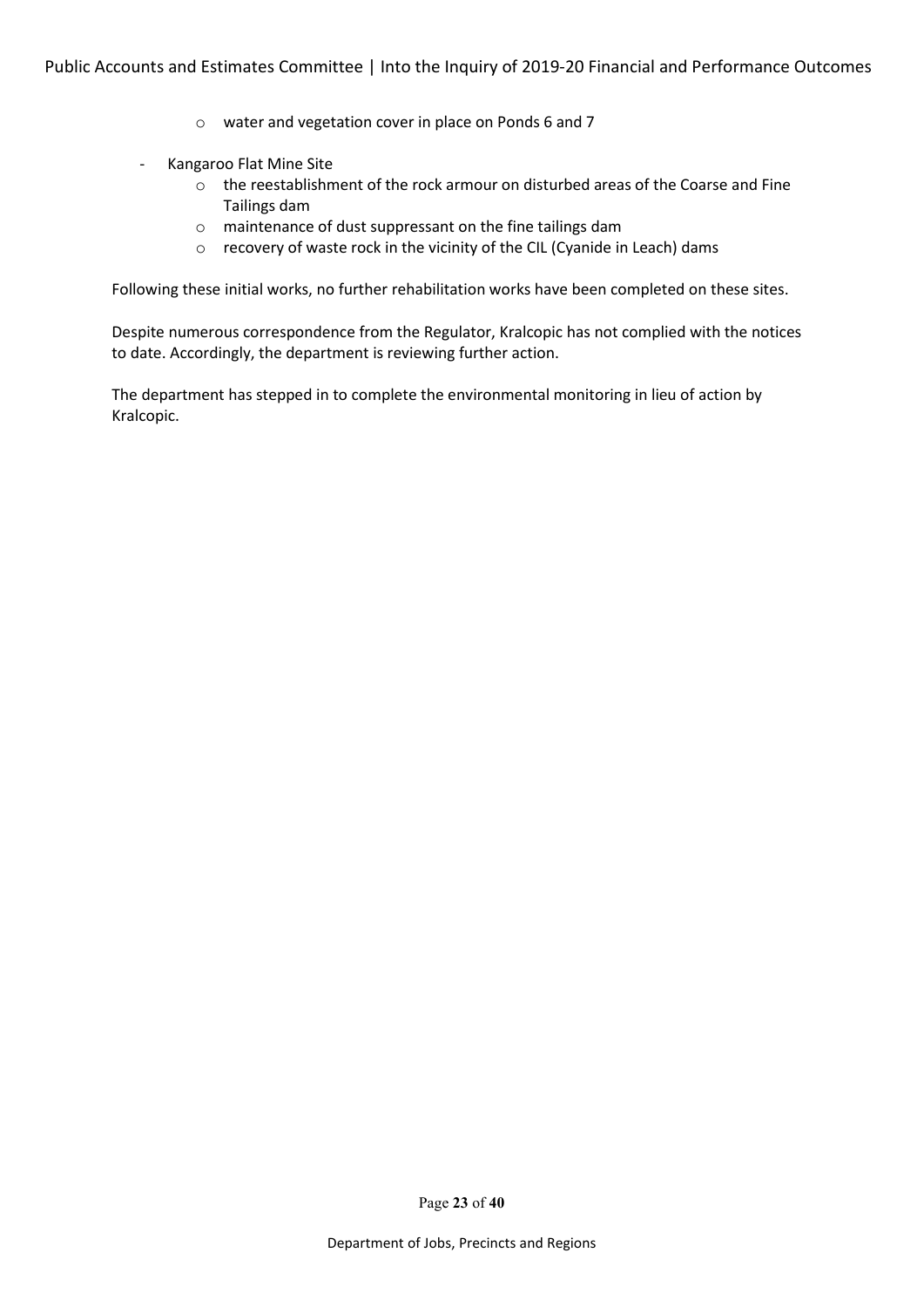- o water and vegetation cover in place on Ponds 6 and 7
- Kangaroo Flat Mine Site
	- o the reestablishment of the rock armour on disturbed areas of the Coarse and Fine Tailings dam
	- o maintenance of dust suppressant on the fine tailings dam
	- o recovery of waste rock in the vicinity of the CIL (Cyanide in Leach) dams

Following these initial works, no further rehabilitation works have been completed on these sites.

Despite numerous correspondence from the Regulator, Kralcopic has not complied with the notices to date. Accordingly, the department is reviewing further action.

The department has stepped in to complete the environmental monitoring in lieu of action by Kralcopic.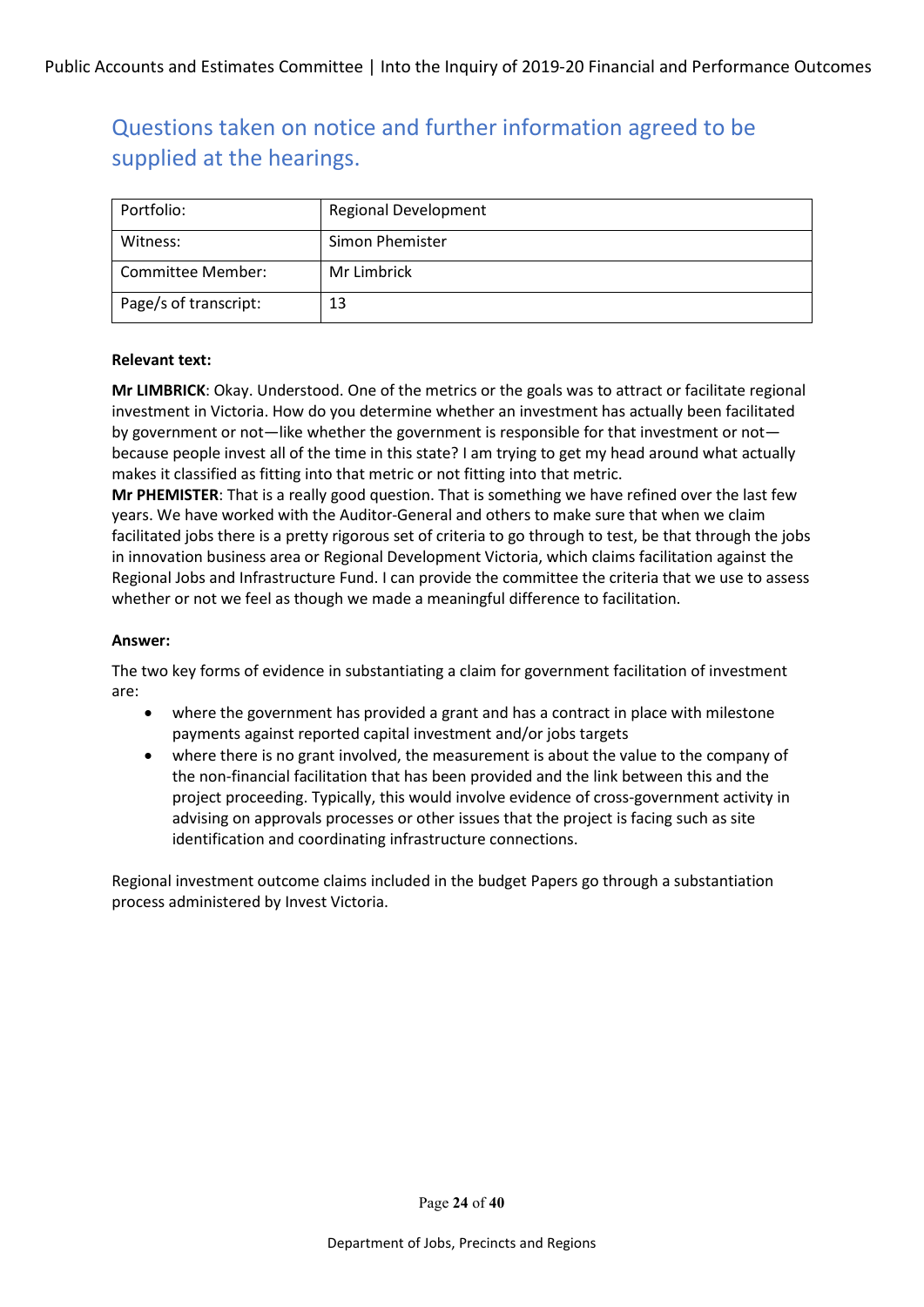| Portfolio:            | <b>Regional Development</b> |
|-----------------------|-----------------------------|
| Witness:              | Simon Phemister             |
| Committee Member:     | Mr Limbrick                 |
| Page/s of transcript: | 13                          |

#### **Relevant text:**

**Mr LIMBRICK**: Okay. Understood. One of the metrics or the goals was to attract or facilitate regional investment in Victoria. How do you determine whether an investment has actually been facilitated by government or not—like whether the government is responsible for that investment or not because people invest all of the time in this state? I am trying to get my head around what actually makes it classified as fitting into that metric or not fitting into that metric.

**Mr PHEMISTER**: That is a really good question. That is something we have refined over the last few years. We have worked with the Auditor-General and others to make sure that when we claim facilitated jobs there is a pretty rigorous set of criteria to go through to test, be that through the jobs in innovation business area or Regional Development Victoria, which claims facilitation against the Regional Jobs and Infrastructure Fund. I can provide the committee the criteria that we use to assess whether or not we feel as though we made a meaningful difference to facilitation.

### **Answer:**

The two key forms of evidence in substantiating a claim for government facilitation of investment are:

- where the government has provided a grant and has a contract in place with milestone payments against reported capital investment and/or jobs targets
- where there is no grant involved, the measurement is about the value to the company of the non-financial facilitation that has been provided and the link between this and the project proceeding. Typically, this would involve evidence of cross-government activity in advising on approvals processes or other issues that the project is facing such as site identification and coordinating infrastructure connections.

Regional investment outcome claims included in the budget Papers go through a substantiation process administered by Invest Victoria.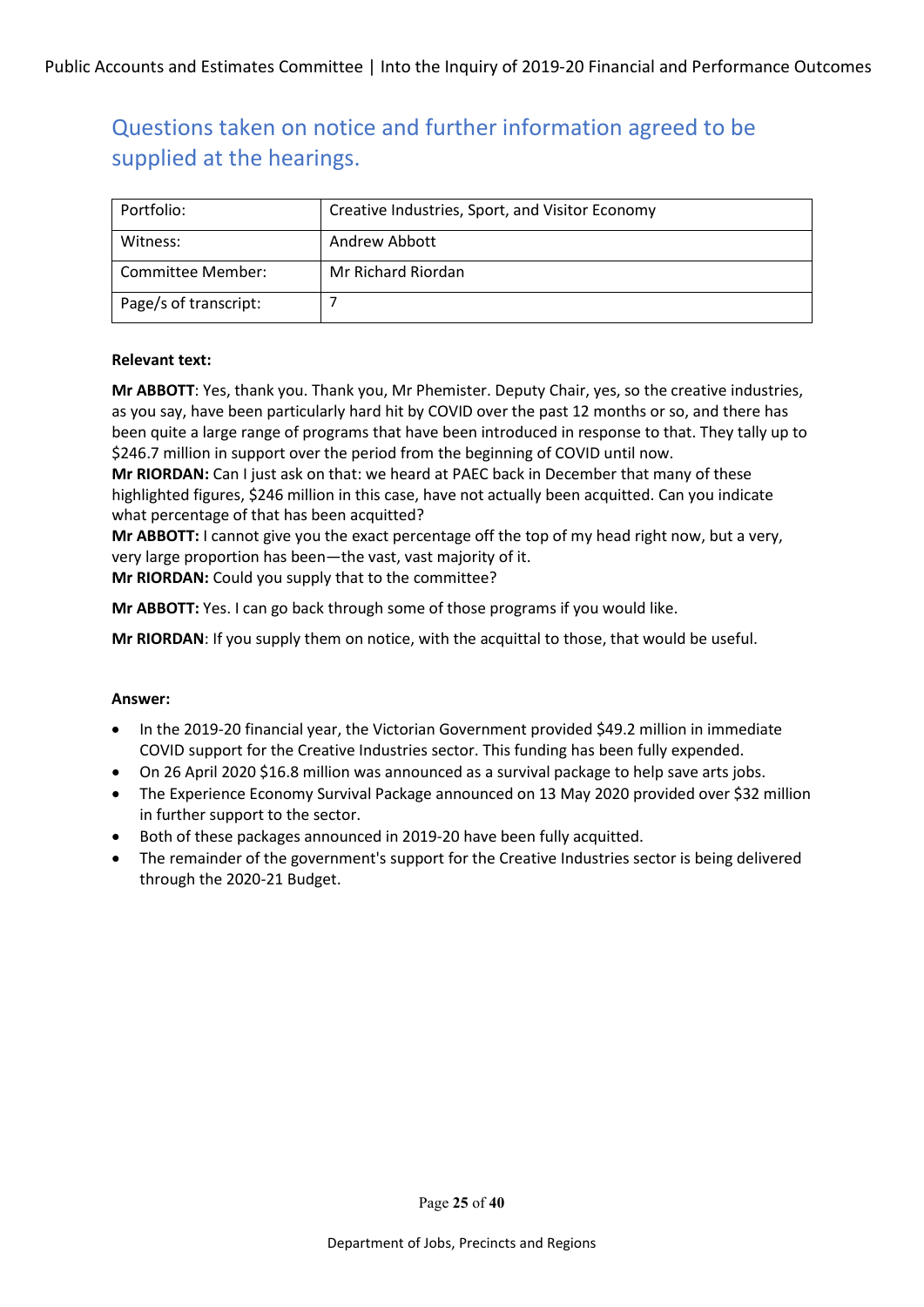| Portfolio:            | Creative Industries, Sport, and Visitor Economy |
|-----------------------|-------------------------------------------------|
| Witness:              | Andrew Abbott                                   |
| Committee Member:     | Mr Richard Riordan                              |
| Page/s of transcript: |                                                 |

### **Relevant text:**

**Mr ABBOTT**: Yes, thank you. Thank you, Mr Phemister. Deputy Chair, yes, so the creative industries, as you say, have been particularly hard hit by COVID over the past 12 months or so, and there has been quite a large range of programs that have been introduced in response to that. They tally up to \$246.7 million in support over the period from the beginning of COVID until now.

**Mr RIORDAN:** Can I just ask on that: we heard at PAEC back in December that many of these highlighted figures, \$246 million in this case, have not actually been acquitted. Can you indicate what percentage of that has been acquitted?

**Mr ABBOTT:** I cannot give you the exact percentage off the top of my head right now, but a very, very large proportion has been—the vast, vast majority of it. **Mr RIORDAN:** Could you supply that to the committee?

**Mr ABBOTT:** Yes. I can go back through some of those programs if you would like.

**Mr RIORDAN**: If you supply them on notice, with the acquittal to those, that would be useful.

#### **Answer:**

- In the 2019-20 financial year, the Victorian Government provided \$49.2 million in immediate COVID support for the Creative Industries sector. This funding has been fully expended.
- On 26 April 2020 \$16.8 million was announced as a survival package to help save arts jobs.
- The Experience Economy Survival Package announced on 13 May 2020 provided over \$32 million in further support to the sector.
- Both of these packages announced in 2019-20 have been fully acquitted.
- The remainder of the government's support for the Creative Industries sector is being delivered through the 2020-21 Budget.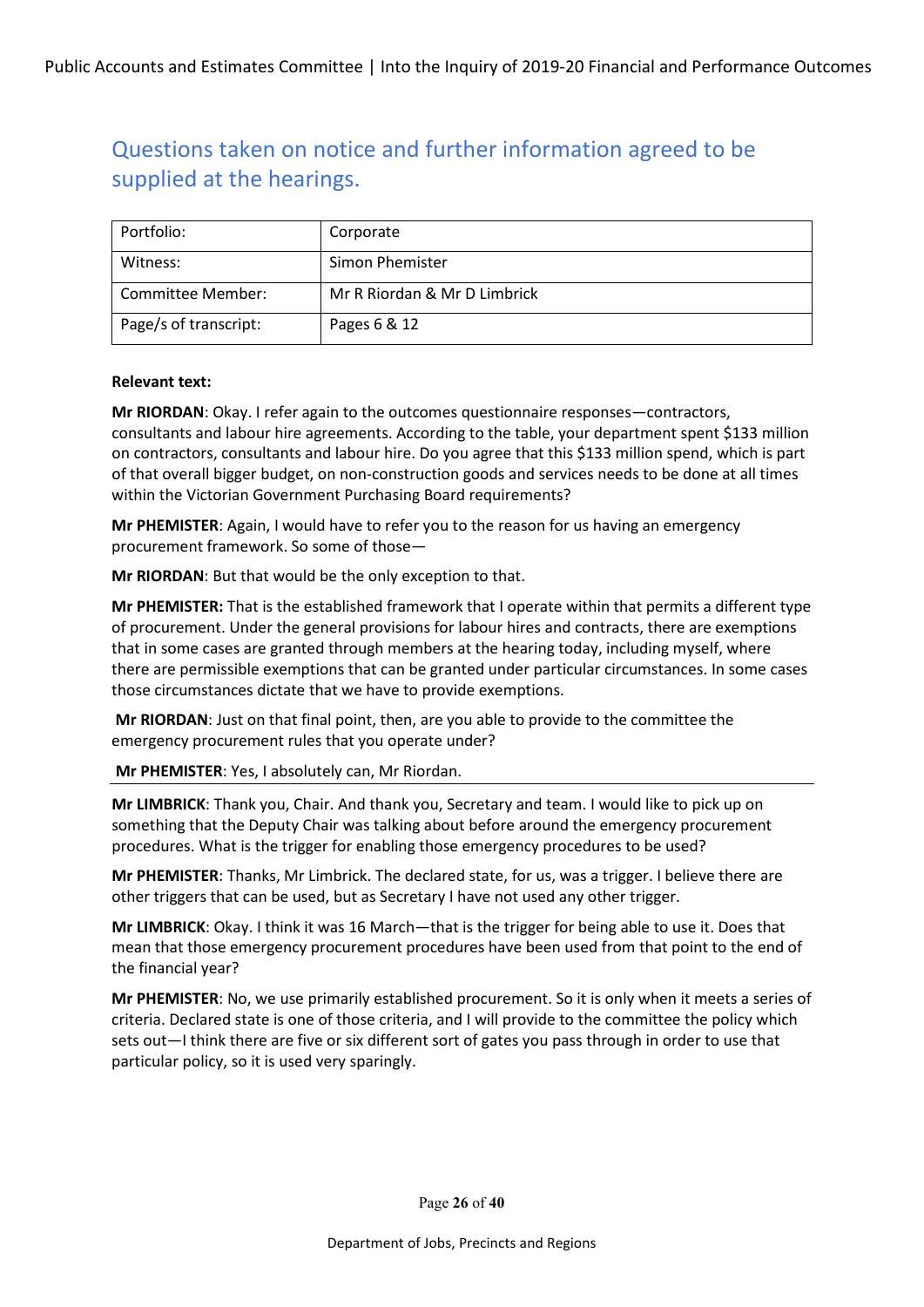| Portfolio:            | Corporate                    |
|-----------------------|------------------------------|
| Witness:              | Simon Phemister              |
| Committee Member:     | Mr R Riordan & Mr D Limbrick |
| Page/s of transcript: | Pages 6 & 12                 |

#### **Relevant text:**

**Mr RIORDAN**: Okay. I refer again to the outcomes questionnaire responses—contractors, consultants and labour hire agreements. According to the table, your department spent \$133 million on contractors, consultants and labour hire. Do you agree that this \$133 million spend, which is part of that overall bigger budget, on non-construction goods and services needs to be done at all times within the Victorian Government Purchasing Board requirements?

**Mr PHEMISTER**: Again, I would have to refer you to the reason for us having an emergency procurement framework. So some of those—

**Mr RIORDAN**: But that would be the only exception to that.

**Mr PHEMISTER:** That is the established framework that I operate within that permits a different type of procurement. Under the general provisions for labour hires and contracts, there are exemptions that in some cases are granted through members at the hearing today, including myself, where there are permissible exemptions that can be granted under particular circumstances. In some cases those circumstances dictate that we have to provide exemptions.

**Mr RIORDAN**: Just on that final point, then, are you able to provide to the committee the emergency procurement rules that you operate under?

**Mr PHEMISTER**: Yes, I absolutely can, Mr Riordan.

**Mr LIMBRICK**: Thank you, Chair. And thank you, Secretary and team. I would like to pick up on something that the Deputy Chair was talking about before around the emergency procurement procedures. What is the trigger for enabling those emergency procedures to be used?

**Mr PHEMISTER**: Thanks, Mr Limbrick. The declared state, for us, was a trigger. I believe there are other triggers that can be used, but as Secretary I have not used any other trigger.

**Mr LIMBRICK**: Okay. I think it was 16 March—that is the trigger for being able to use it. Does that mean that those emergency procurement procedures have been used from that point to the end of the financial year?

**Mr PHEMISTER**: No, we use primarily established procurement. So it is only when it meets a series of criteria. Declared state is one of those criteria, and I will provide to the committee the policy which sets out—I think there are five or six different sort of gates you pass through in order to use that particular policy, so it is used very sparingly.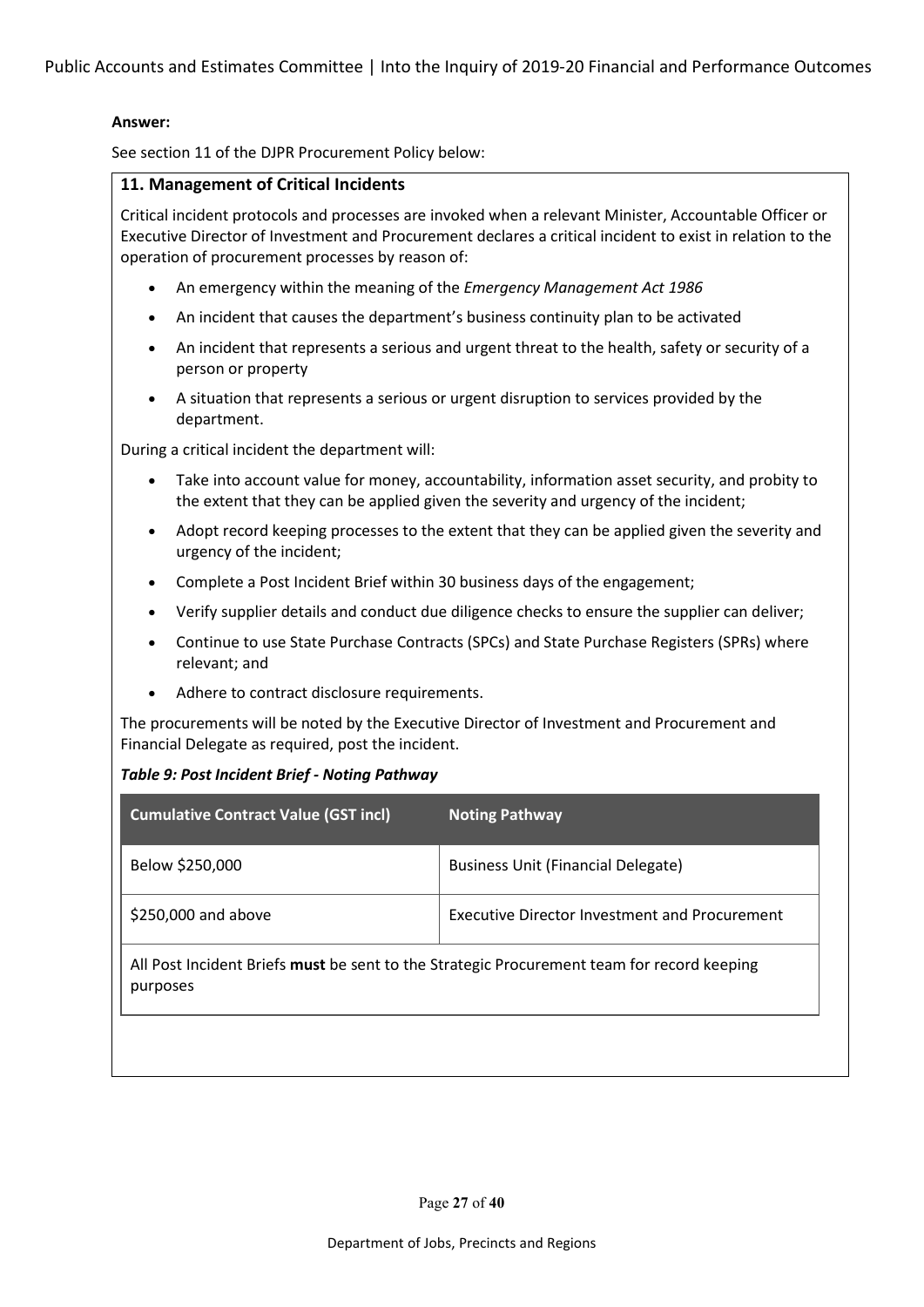Public Accounts and Estimates Committee | Into the Inquiry of 2019-20 Financial and Performance Outcomes

#### **Answer:**

See section 11 of the DJPR Procurement Policy below:

### **11. Management of Critical Incidents**

Critical incident protocols and processes are invoked when a relevant Minister, Accountable Officer or Executive Director of Investment and Procurement declares a critical incident to exist in relation to the operation of procurement processes by reason of:

- An emergency within the meaning of the *Emergency Management Act 1986*
- An incident that causes the department's business continuity plan to be activated
- An incident that represents a serious and urgent threat to the health, safety or security of a person or property
- A situation that represents a serious or urgent disruption to services provided by the department.

During a critical incident the department will:

- Take into account value for money, accountability, information asset security, and probity to the extent that they can be applied given the severity and urgency of the incident;
- Adopt record keeping processes to the extent that they can be applied given the severity and urgency of the incident;
- Complete a Post Incident Brief within 30 business days of the engagement;
- Verify supplier details and conduct due diligence checks to ensure the supplier can deliver;
- Continue to use State Purchase Contracts (SPCs) and State Purchase Registers (SPRs) where relevant; and
- Adhere to contract disclosure requirements.

The procurements will be noted by the Executive Director of Investment and Procurement and Financial Delegate as required, post the incident.

#### *Table 9: Post Incident Brief - Noting Pathway*

| <b>Cumulative Contract Value (GST incl)</b>                                                            | <b>Noting Pathway</b>                                |
|--------------------------------------------------------------------------------------------------------|------------------------------------------------------|
| Below \$250,000                                                                                        | <b>Business Unit (Financial Delegate)</b>            |
| \$250,000 and above                                                                                    | <b>Executive Director Investment and Procurement</b> |
| All Post Incident Briefs must be sent to the Strategic Procurement team for record keeping<br>purposes |                                                      |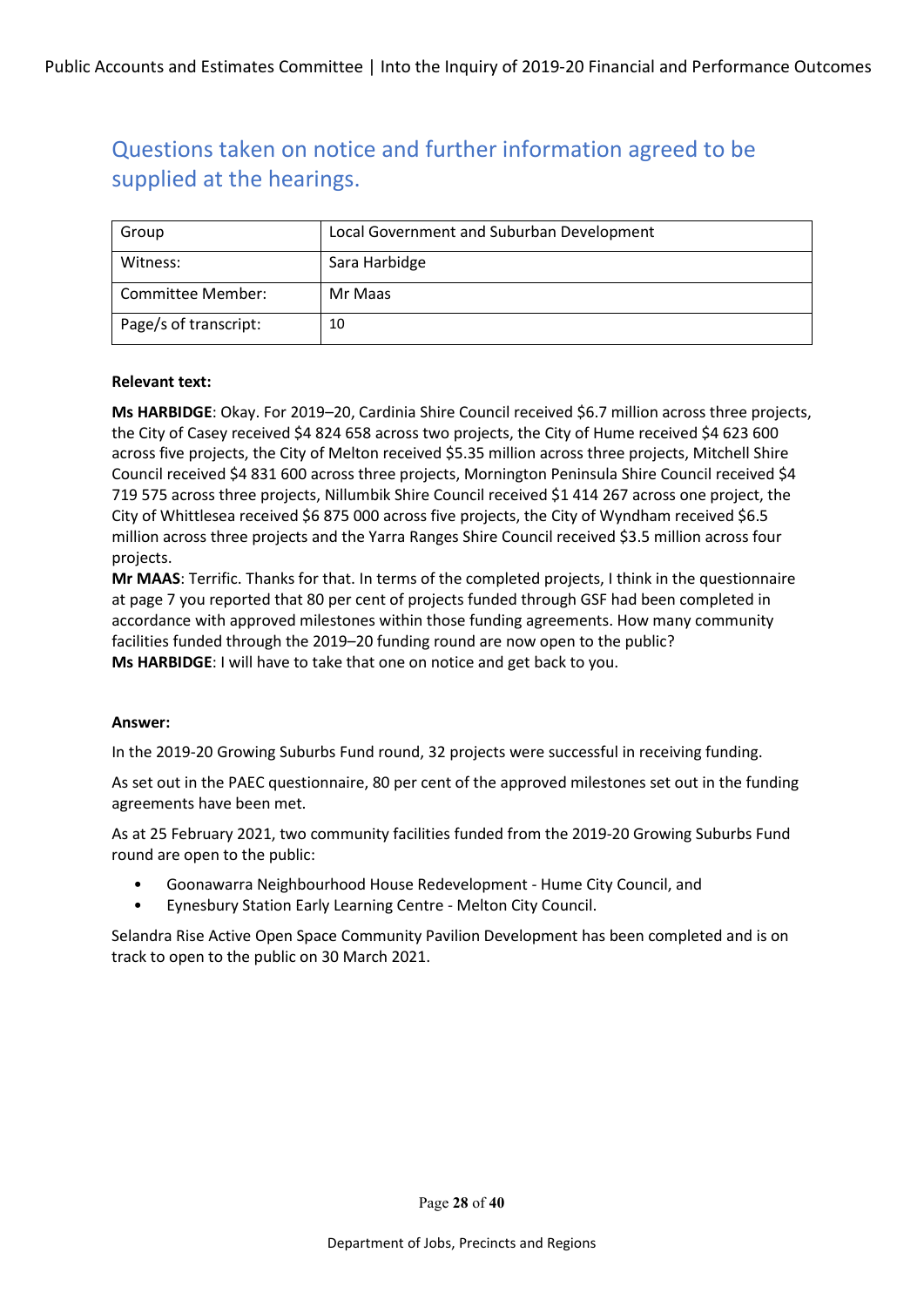| Group                 | Local Government and Suburban Development |
|-----------------------|-------------------------------------------|
| Witness:              | Sara Harbidge                             |
| Committee Member:     | Mr Maas                                   |
| Page/s of transcript: | 10                                        |

#### **Relevant text:**

**Ms HARBIDGE**: Okay. For 2019–20, Cardinia Shire Council received \$6.7 million across three projects, the City of Casey received \$4 824 658 across two projects, the City of Hume received \$4 623 600 across five projects, the City of Melton received \$5.35 million across three projects, Mitchell Shire Council received \$4 831 600 across three projects, Mornington Peninsula Shire Council received \$4 719 575 across three projects, Nillumbik Shire Council received \$1 414 267 across one project, the City of Whittlesea received \$6 875 000 across five projects, the City of Wyndham received \$6.5 million across three projects and the Yarra Ranges Shire Council received \$3.5 million across four projects.

**Mr MAAS**: Terrific. Thanks for that. In terms of the completed projects, I think in the questionnaire at page 7 you reported that 80 per cent of projects funded through GSF had been completed in accordance with approved milestones within those funding agreements. How many community facilities funded through the 2019–20 funding round are now open to the public? **Ms HARBIDGE**: I will have to take that one on notice and get back to you.

#### **Answer:**

In the 2019-20 Growing Suburbs Fund round, 32 projects were successful in receiving funding.

As set out in the PAEC questionnaire, 80 per cent of the approved milestones set out in the funding agreements have been met.

As at 25 February 2021, two community facilities funded from the 2019-20 Growing Suburbs Fund round are open to the public:

- Goonawarra Neighbourhood House Redevelopment Hume City Council, and
- Eynesbury Station Early Learning Centre Melton City Council.

Selandra Rise Active Open Space Community Pavilion Development has been completed and is on track to open to the public on 30 March 2021.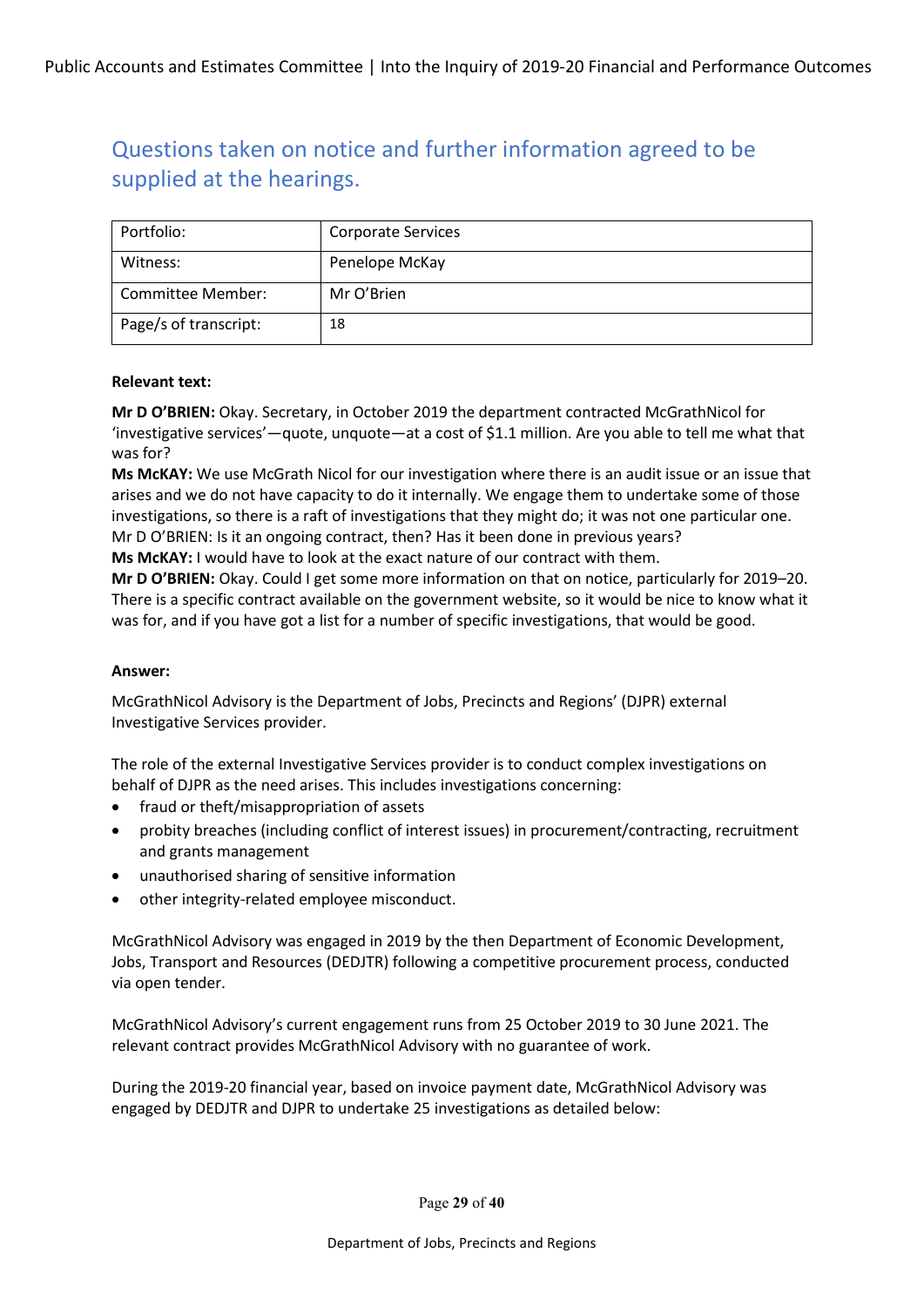| Portfolio:            | <b>Corporate Services</b> |
|-----------------------|---------------------------|
| Witness:              | Penelope McKay            |
| Committee Member:     | Mr O'Brien                |
| Page/s of transcript: | 18                        |

#### **Relevant text:**

**Mr D O'BRIEN:** Okay. Secretary, in October 2019 the department contracted McGrathNicol for 'investigative services'—quote, unquote—at a cost of \$1.1 million. Are you able to tell me what that was for?

**Ms McKAY:** We use McGrath Nicol for our investigation where there is an audit issue or an issue that arises and we do not have capacity to do it internally. We engage them to undertake some of those investigations, so there is a raft of investigations that they might do; it was not one particular one. Mr D O'BRIEN: Is it an ongoing contract, then? Has it been done in previous years?

**Ms McKAY:** I would have to look at the exact nature of our contract with them.

**Mr D O'BRIEN:** Okay. Could I get some more information on that on notice, particularly for 2019–20. There is a specific contract available on the government website, so it would be nice to know what it was for, and if you have got a list for a number of specific investigations, that would be good.

#### **Answer:**

McGrathNicol Advisory is the Department of Jobs, Precincts and Regions' (DJPR) external Investigative Services provider.

The role of the external Investigative Services provider is to conduct complex investigations on behalf of DJPR as the need arises. This includes investigations concerning:

- fraud or theft/misappropriation of assets
- probity breaches (including conflict of interest issues) in procurement/contracting, recruitment and grants management
- unauthorised sharing of sensitive information
- other integrity-related employee misconduct.

McGrathNicol Advisory was engaged in 2019 by the then Department of Economic Development, Jobs, Transport and Resources (DEDJTR) following a competitive procurement process, conducted via open tender.

McGrathNicol Advisory's current engagement runs from 25 October 2019 to 30 June 2021. The relevant contract provides McGrathNicol Advisory with no guarantee of work.

During the 2019-20 financial year, based on invoice payment date, McGrathNicol Advisory was engaged by DEDJTR and DJPR to undertake 25 investigations as detailed below:

Page **29** of **40**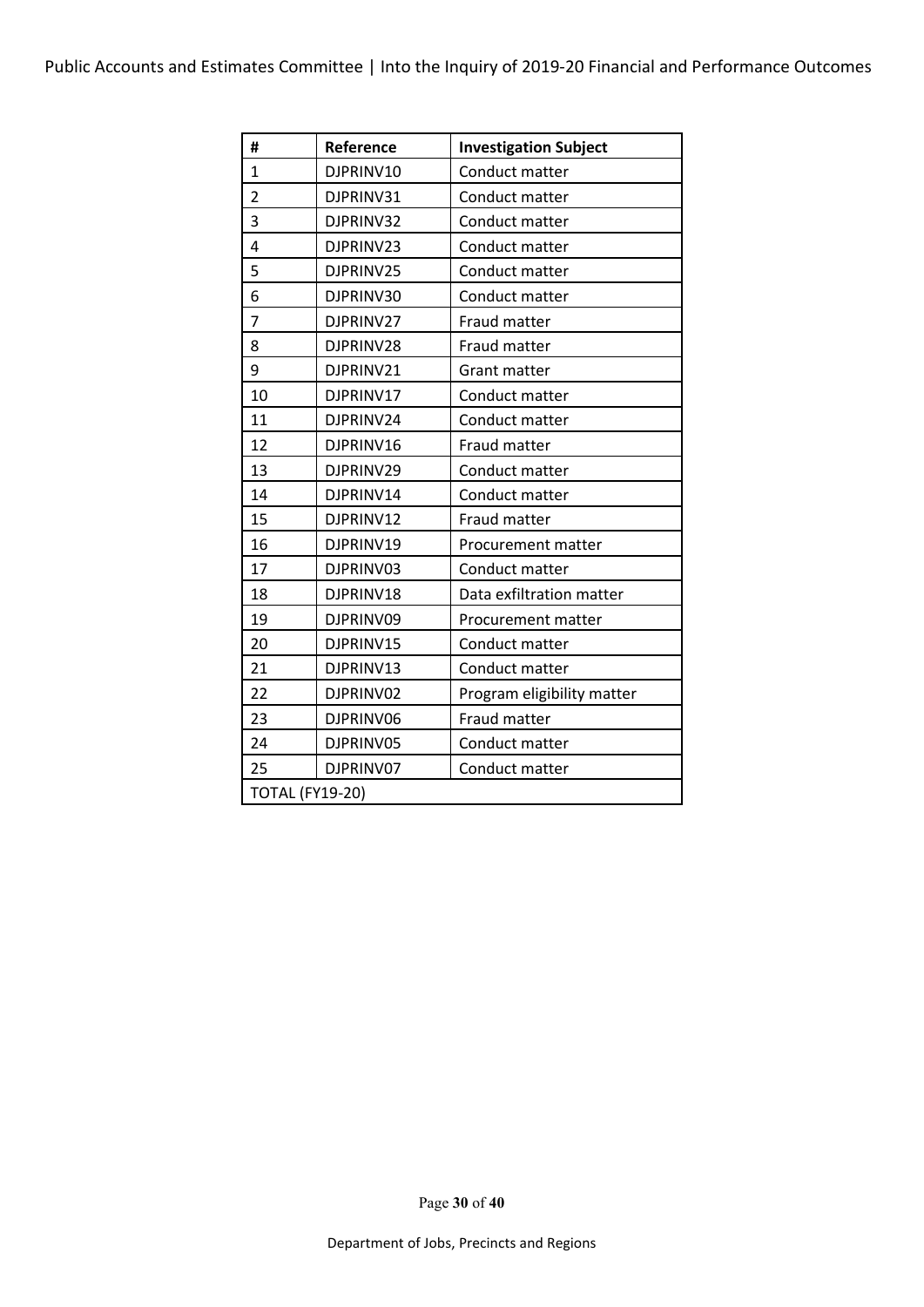| #                      | Reference | <b>Investigation Subject</b> |
|------------------------|-----------|------------------------------|
| $\mathbf{1}$           | DJPRINV10 | Conduct matter               |
| $\overline{2}$         | DJPRINV31 | Conduct matter               |
| 3                      | DJPRINV32 | Conduct matter               |
| $\overline{4}$         | DJPRINV23 | Conduct matter               |
| 5                      | DJPRINV25 | Conduct matter               |
| 6                      | DJPRINV30 | Conduct matter               |
| $\overline{7}$         | DJPRINV27 | Fraud matter                 |
| 8                      | DJPRINV28 | Fraud matter                 |
| 9                      | DJPRINV21 | Grant matter                 |
| 10                     | DJPRINV17 | Conduct matter               |
| 11                     | DJPRINV24 | Conduct matter               |
| 12                     | DJPRINV16 | Fraud matter                 |
| 13                     | DJPRINV29 | Conduct matter               |
| 14                     | DJPRINV14 | Conduct matter               |
| 15                     | DJPRINV12 | Fraud matter                 |
| 16                     | DJPRINV19 | Procurement matter           |
| 17                     | DJPRINV03 | Conduct matter               |
| 18                     | DJPRINV18 | Data exfiltration matter     |
| 19                     | DJPRINV09 | Procurement matter           |
| 20                     | DJPRINV15 | Conduct matter               |
| 21                     | DJPRINV13 | Conduct matter               |
| 22                     | DJPRINV02 | Program eligibility matter   |
| 23                     | DJPRINV06 | Fraud matter                 |
| 24                     | DJPRINV05 | Conduct matter               |
| 25                     | DJPRINV07 | Conduct matter               |
| <b>TOTAL (FY19-20)</b> |           |                              |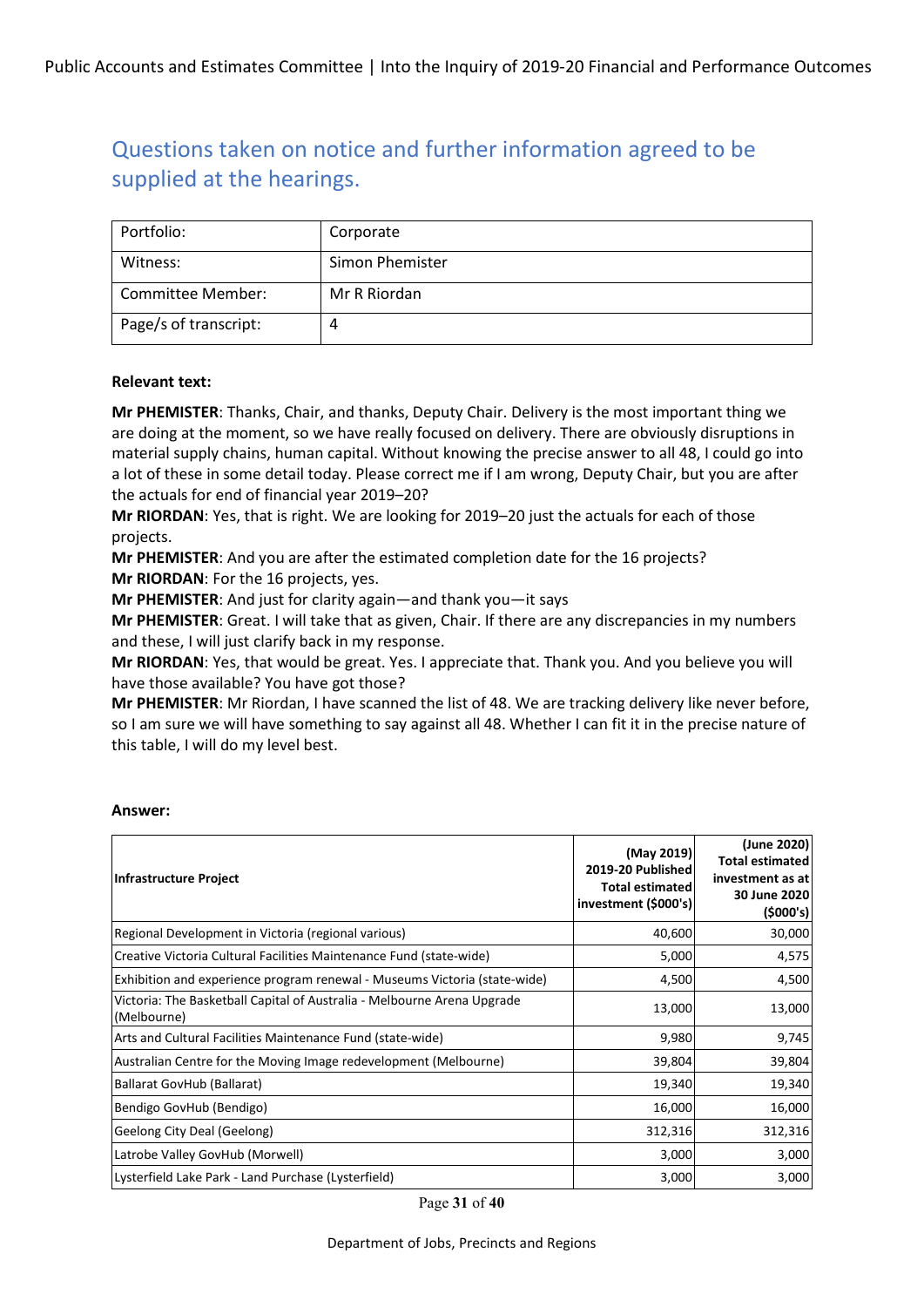| Portfolio:            | Corporate       |
|-----------------------|-----------------|
| Witness:              | Simon Phemister |
| Committee Member:     | Mr R Riordan    |
| Page/s of transcript: | 4               |

#### **Relevant text:**

**Mr PHEMISTER**: Thanks, Chair, and thanks, Deputy Chair. Delivery is the most important thing we are doing at the moment, so we have really focused on delivery. There are obviously disruptions in material supply chains, human capital. Without knowing the precise answer to all 48, I could go into a lot of these in some detail today. Please correct me if I am wrong, Deputy Chair, but you are after the actuals for end of financial year 2019–20?

**Mr RIORDAN**: Yes, that is right. We are looking for 2019–20 just the actuals for each of those projects.

**Mr PHEMISTER**: And you are after the estimated completion date for the 16 projects? **Mr RIORDAN**: For the 16 projects, yes.

**Mr PHEMISTER**: And just for clarity again—and thank you—it says

**Mr PHEMISTER**: Great. I will take that as given, Chair. If there are any discrepancies in my numbers and these, I will just clarify back in my response.

**Mr RIORDAN**: Yes, that would be great. Yes. I appreciate that. Thank you. And you believe you will have those available? You have got those?

**Mr PHEMISTER**: Mr Riordan, I have scanned the list of 48. We are tracking delivery like never before, so I am sure we will have something to say against all 48. Whether I can fit it in the precise nature of this table, I will do my level best.

| <b>Infrastructure Project</b>                                                          | (May 2019)<br>2019-20 Published<br><b>Total estimated</b><br>investment (\$000's) | (June 2020)<br><b>Total estimated</b><br>investment as at<br>30 June 2020<br>(5000's) |
|----------------------------------------------------------------------------------------|-----------------------------------------------------------------------------------|---------------------------------------------------------------------------------------|
| Regional Development in Victoria (regional various)                                    | 40,600                                                                            | 30,000                                                                                |
| Creative Victoria Cultural Facilities Maintenance Fund (state-wide)                    | 5,000                                                                             | 4,575                                                                                 |
| Exhibition and experience program renewal - Museums Victoria (state-wide)              | 4,500                                                                             | 4,500                                                                                 |
| Victoria: The Basketball Capital of Australia - Melbourne Arena Upgrade<br>(Melbourne) | 13,000                                                                            | 13,000                                                                                |
| Arts and Cultural Facilities Maintenance Fund (state-wide)                             | 9,980                                                                             | 9,745                                                                                 |
| Australian Centre for the Moving Image redevelopment (Melbourne)                       | 39,804                                                                            | 39,804                                                                                |
| Ballarat GovHub (Ballarat)                                                             | 19,340                                                                            | 19,340                                                                                |
| Bendigo GovHub (Bendigo)                                                               | 16,000                                                                            | 16,000                                                                                |
| Geelong City Deal (Geelong)                                                            | 312,316                                                                           | 312,316                                                                               |
| Latrobe Valley GovHub (Morwell)                                                        | 3,000                                                                             | 3,000                                                                                 |
| Lysterfield Lake Park - Land Purchase (Lysterfield)                                    | 3,000                                                                             | 3,000                                                                                 |

#### **Answer:**

Page **31** of **40**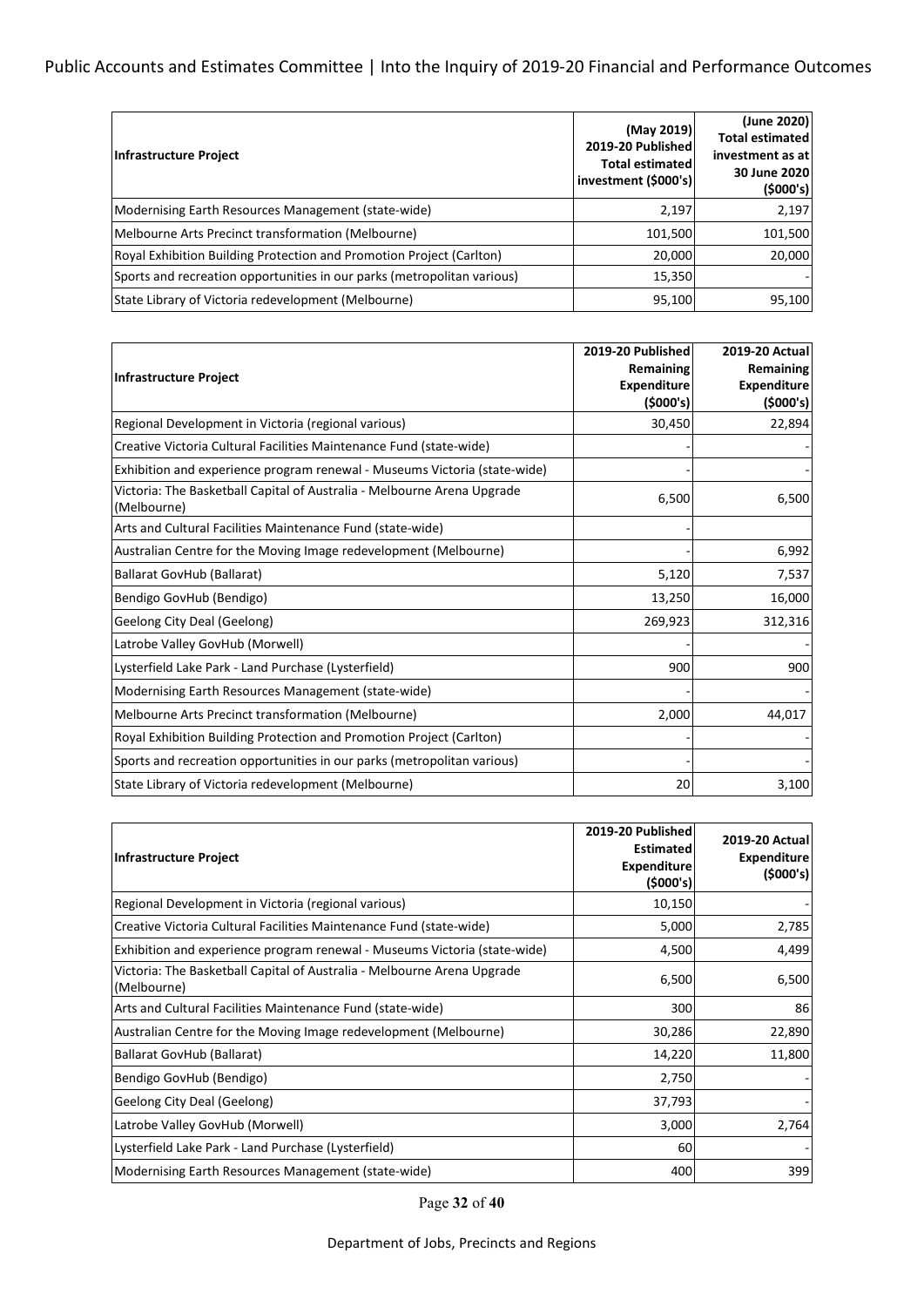### Public Accounts and Estimates Committee | Into the Inquiry of 2019-20 Financial and Performance Outcomes

| Infrastructure Project                                                   | (May 2019)<br>2019-20 Published<br><b>Total estimated</b><br>investment (\$000's) | (June 2020)<br><b>Total estimated</b><br>investment as at<br>30 June 2020<br>(5000's) |
|--------------------------------------------------------------------------|-----------------------------------------------------------------------------------|---------------------------------------------------------------------------------------|
| Modernising Earth Resources Management (state-wide)                      | 2,197                                                                             | 2,197                                                                                 |
| Melbourne Arts Precinct transformation (Melbourne)                       | 101,500                                                                           | 101,500                                                                               |
| Royal Exhibition Building Protection and Promotion Project (Carlton)     | 20,000                                                                            | 20,000                                                                                |
| (Sports and recreation opportunities in our parks (metropolitan various) | 15,350                                                                            |                                                                                       |
| State Library of Victoria redevelopment (Melbourne)                      | 95,100                                                                            | 95,100                                                                                |

|                                                                                        | 2019-20 Published  | <b>2019-20 Actual</b> |
|----------------------------------------------------------------------------------------|--------------------|-----------------------|
| Infrastructure Project                                                                 | Remaining          | Remaining             |
|                                                                                        | <b>Expenditure</b> | <b>Expenditure</b>    |
|                                                                                        | (5000's)           | (\$000's)             |
| Regional Development in Victoria (regional various)                                    | 30,450             | 22,894                |
| Creative Victoria Cultural Facilities Maintenance Fund (state-wide)                    |                    |                       |
| Exhibition and experience program renewal - Museums Victoria (state-wide)              |                    |                       |
| Victoria: The Basketball Capital of Australia - Melbourne Arena Upgrade<br>(Melbourne) | 6,500              | 6,500                 |
| Arts and Cultural Facilities Maintenance Fund (state-wide)                             |                    |                       |
| Australian Centre for the Moving Image redevelopment (Melbourne)                       |                    | 6,992                 |
| <b>Ballarat GovHub (Ballarat)</b>                                                      | 5,120              | 7,537                 |
| Bendigo GovHub (Bendigo)                                                               | 13,250             | 16,000                |
| Geelong City Deal (Geelong)                                                            | 269,923            | 312,316               |
| Latrobe Valley GovHub (Morwell)                                                        |                    |                       |
| Lysterfield Lake Park - Land Purchase (Lysterfield)                                    | 900                | 900                   |
| Modernising Earth Resources Management (state-wide)                                    |                    |                       |
| Melbourne Arts Precinct transformation (Melbourne)                                     | 2,000              | 44,017                |
| Royal Exhibition Building Protection and Promotion Project (Carlton)                   |                    |                       |
| Sports and recreation opportunities in our parks (metropolitan various)                |                    |                       |
| State Library of Victoria redevelopment (Melbourne)                                    | 20                 | 3,100                 |

| <b>Infrastructure Project</b>                                                          | 2019-20 Published<br><b>Estimated</b><br><b>Expenditure</b><br>(5000's) | <b>2019-20 Actuall</b><br>Expenditure<br>(\$000's) |
|----------------------------------------------------------------------------------------|-------------------------------------------------------------------------|----------------------------------------------------|
| Regional Development in Victoria (regional various)                                    | 10,150                                                                  |                                                    |
| Creative Victoria Cultural Facilities Maintenance Fund (state-wide)                    | 5,000                                                                   | 2,785                                              |
| Exhibition and experience program renewal - Museums Victoria (state-wide)              | 4,500                                                                   | 4,499                                              |
| Victoria: The Basketball Capital of Australia - Melbourne Arena Upgrade<br>(Melbourne) | 6,500                                                                   | 6,500                                              |
| Arts and Cultural Facilities Maintenance Fund (state-wide)                             | 300                                                                     | 86                                                 |
| Australian Centre for the Moving Image redevelopment (Melbourne)                       | 30,286                                                                  | 22,890                                             |
| Ballarat GovHub (Ballarat)                                                             | 14,220                                                                  | 11,800                                             |
| Bendigo GovHub (Bendigo)                                                               | 2,750                                                                   |                                                    |
| Geelong City Deal (Geelong)                                                            | 37,793                                                                  |                                                    |
| Latrobe Valley GovHub (Morwell)                                                        | 3,000                                                                   | 2,764                                              |
| Lysterfield Lake Park - Land Purchase (Lysterfield)                                    | 60                                                                      |                                                    |
| Modernising Earth Resources Management (state-wide)                                    | 400                                                                     | 399                                                |

Page **32** of **40**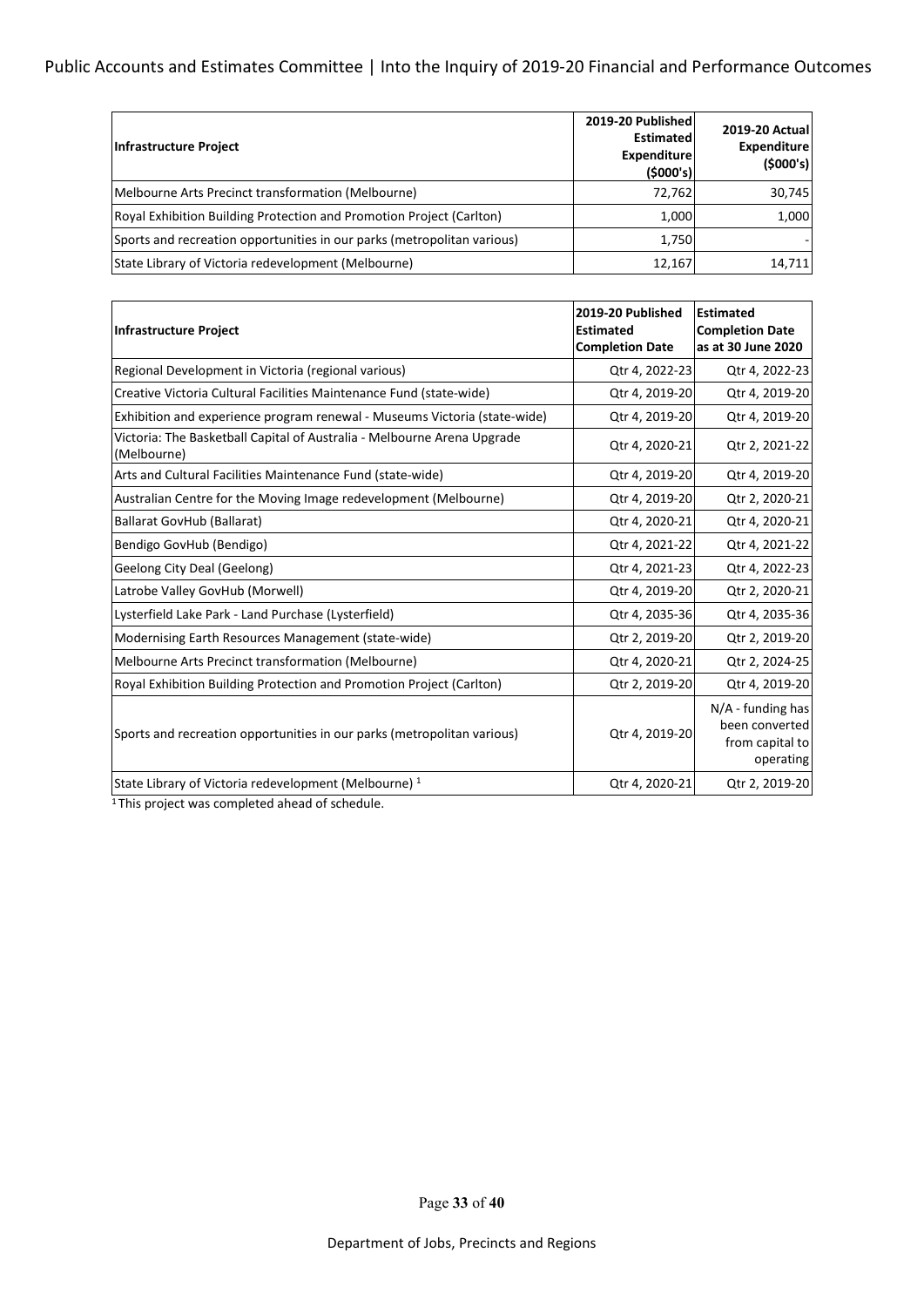### Public Accounts and Estimates Committee | Into the Inquiry of 2019-20 Financial and Performance Outcomes

| Infrastructure Project                                                  | 2019-20 Published<br><b>Estimated</b><br><b>Expenditure</b><br>(5000's) | <b>2019-20 Actual</b><br><b>Expenditure</b><br>(5000's) |
|-------------------------------------------------------------------------|-------------------------------------------------------------------------|---------------------------------------------------------|
| Melbourne Arts Precinct transformation (Melbourne)                      | 72,762                                                                  | 30,745                                                  |
| Royal Exhibition Building Protection and Promotion Project (Carlton)    | 1,000                                                                   | 1,000                                                   |
| Sports and recreation opportunities in our parks (metropolitan various) | 1,750                                                                   |                                                         |
| State Library of Victoria redevelopment (Melbourne)                     | 12,167                                                                  | 14,711                                                  |

| <b>Infrastructure Project</b>                                                          | 2019-20 Published<br><b>Estimated</b><br><b>Completion Date</b> | <b>Estimated</b><br><b>Completion Date</b><br>as at 30 June 2020      |
|----------------------------------------------------------------------------------------|-----------------------------------------------------------------|-----------------------------------------------------------------------|
| Regional Development in Victoria (regional various)                                    | Qtr 4, 2022-23                                                  | Qtr 4, 2022-23                                                        |
| Creative Victoria Cultural Facilities Maintenance Fund (state-wide)                    | Qtr 4, 2019-20                                                  | Qtr 4, 2019-20                                                        |
| Exhibition and experience program renewal - Museums Victoria (state-wide)              | Qtr 4, 2019-20                                                  | Qtr 4, 2019-20                                                        |
| Victoria: The Basketball Capital of Australia - Melbourne Arena Upgrade<br>(Melbourne) | Qtr 4, 2020-21                                                  | Qtr 2, 2021-22                                                        |
| Arts and Cultural Facilities Maintenance Fund (state-wide)                             | Qtr 4, 2019-20                                                  | Qtr 4, 2019-20                                                        |
| Australian Centre for the Moving Image redevelopment (Melbourne)                       | Qtr 4, 2019-20                                                  | Qtr 2, 2020-21                                                        |
| <b>Ballarat GovHub (Ballarat)</b>                                                      | Qtr 4, 2020-21                                                  | Qtr 4, 2020-21                                                        |
| Bendigo GovHub (Bendigo)                                                               | Qtr 4, 2021-22                                                  | Qtr 4, 2021-22                                                        |
| Geelong City Deal (Geelong)                                                            | Qtr 4, 2021-23                                                  | Qtr 4, 2022-23                                                        |
| Latrobe Valley GovHub (Morwell)                                                        | Qtr 4, 2019-20                                                  | Qtr 2, 2020-21                                                        |
| Lysterfield Lake Park - Land Purchase (Lysterfield)                                    | Qtr 4, 2035-36                                                  | Qtr 4, 2035-36                                                        |
| Modernising Earth Resources Management (state-wide)                                    | Qtr 2, 2019-20                                                  | Qtr 2, 2019-20                                                        |
| Melbourne Arts Precinct transformation (Melbourne)                                     | Qtr 4, 2020-21                                                  | Qtr 2, 2024-25                                                        |
| Royal Exhibition Building Protection and Promotion Project (Carlton)                   | Qtr 2, 2019-20                                                  | Qtr 4, 2019-20                                                        |
| Sports and recreation opportunities in our parks (metropolitan various)                | Qtr 4, 2019-20                                                  | $N/A$ - funding has<br>been converted<br>from capital to<br>operating |
| State Library of Victoria redevelopment (Melbourne) <sup>1</sup>                       | Qtr 4, 2020-21                                                  | Qtr 2, 2019-20                                                        |

<sup>1</sup>This project was completed ahead of schedule.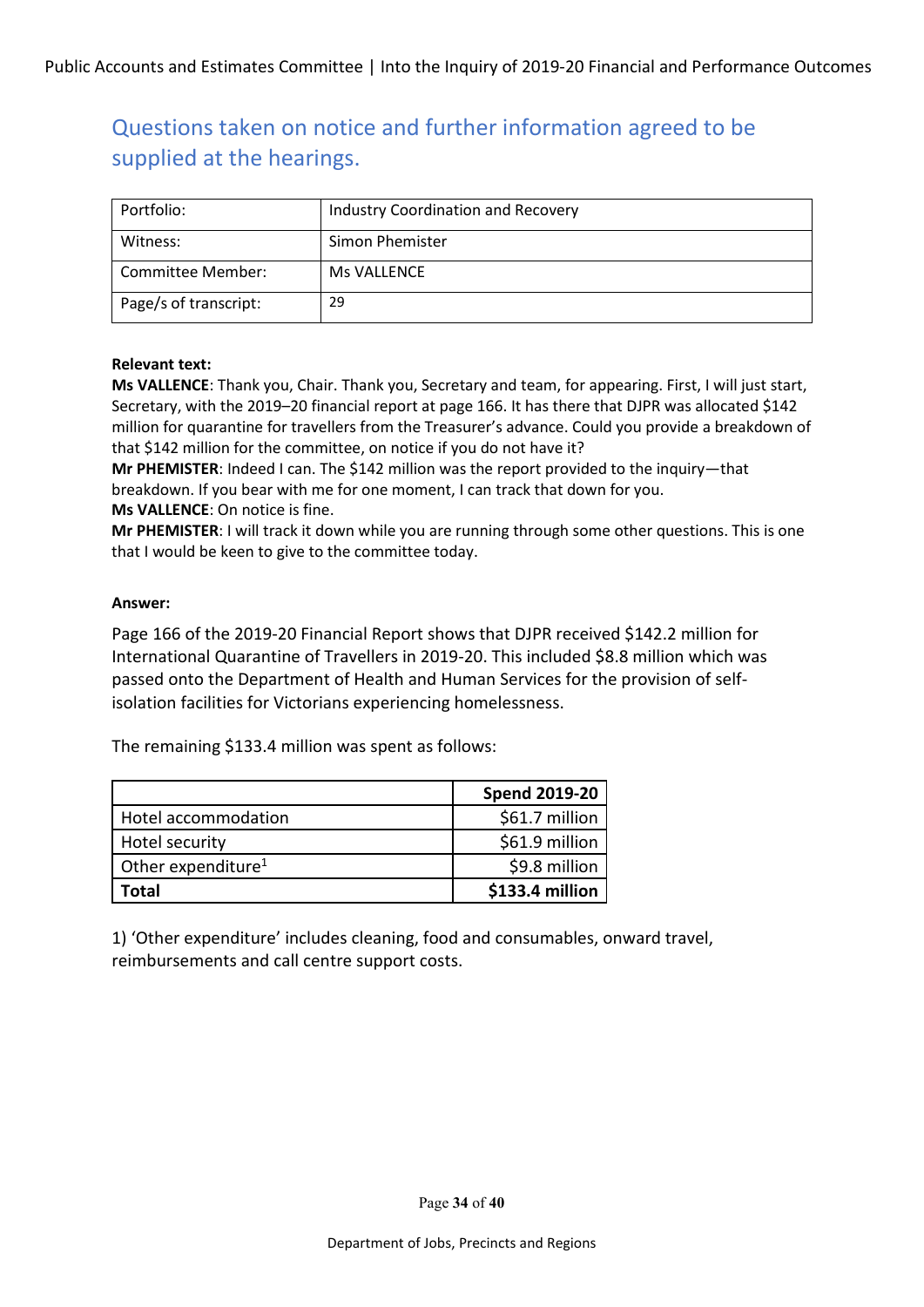| Portfolio:            | Industry Coordination and Recovery |
|-----------------------|------------------------------------|
| Witness:              | Simon Phemister                    |
| Committee Member:     | Ms VALLENCE                        |
| Page/s of transcript: | 29                                 |

#### **Relevant text:**

**Ms VALLENCE**: Thank you, Chair. Thank you, Secretary and team, for appearing. First, I will just start, Secretary, with the 2019–20 financial report at page 166. It has there that DJPR was allocated \$142 million for quarantine for travellers from the Treasurer's advance. Could you provide a breakdown of that \$142 million for the committee, on notice if you do not have it?

**Mr PHEMISTER**: Indeed I can. The \$142 million was the report provided to the inquiry—that breakdown. If you bear with me for one moment, I can track that down for you. **Ms VALLENCE**: On notice is fine.

**Mr PHEMISTER**: I will track it down while you are running through some other questions. This is one that I would be keen to give to the committee today.

### **Answer:**

Page 166 of the 2019-20 Financial Report shows that DJPR received \$142.2 million for International Quarantine of Travellers in 2019-20. This included \$8.8 million which was passed onto the Department of Health and Human Services for the provision of selfisolation facilities for Victorians experiencing homelessness.

The remaining \$133.4 million was spent as follows:

|                                | <b>Spend 2019-20</b> |
|--------------------------------|----------------------|
| Hotel accommodation            | \$61.7 million       |
| Hotel security                 | \$61.9 million       |
| Other expenditure <sup>1</sup> | \$9.8 million        |
| Total                          | \$133.4 million      |

1) 'Other expenditure' includes cleaning, food and consumables, onward travel, reimbursements and call centre support costs.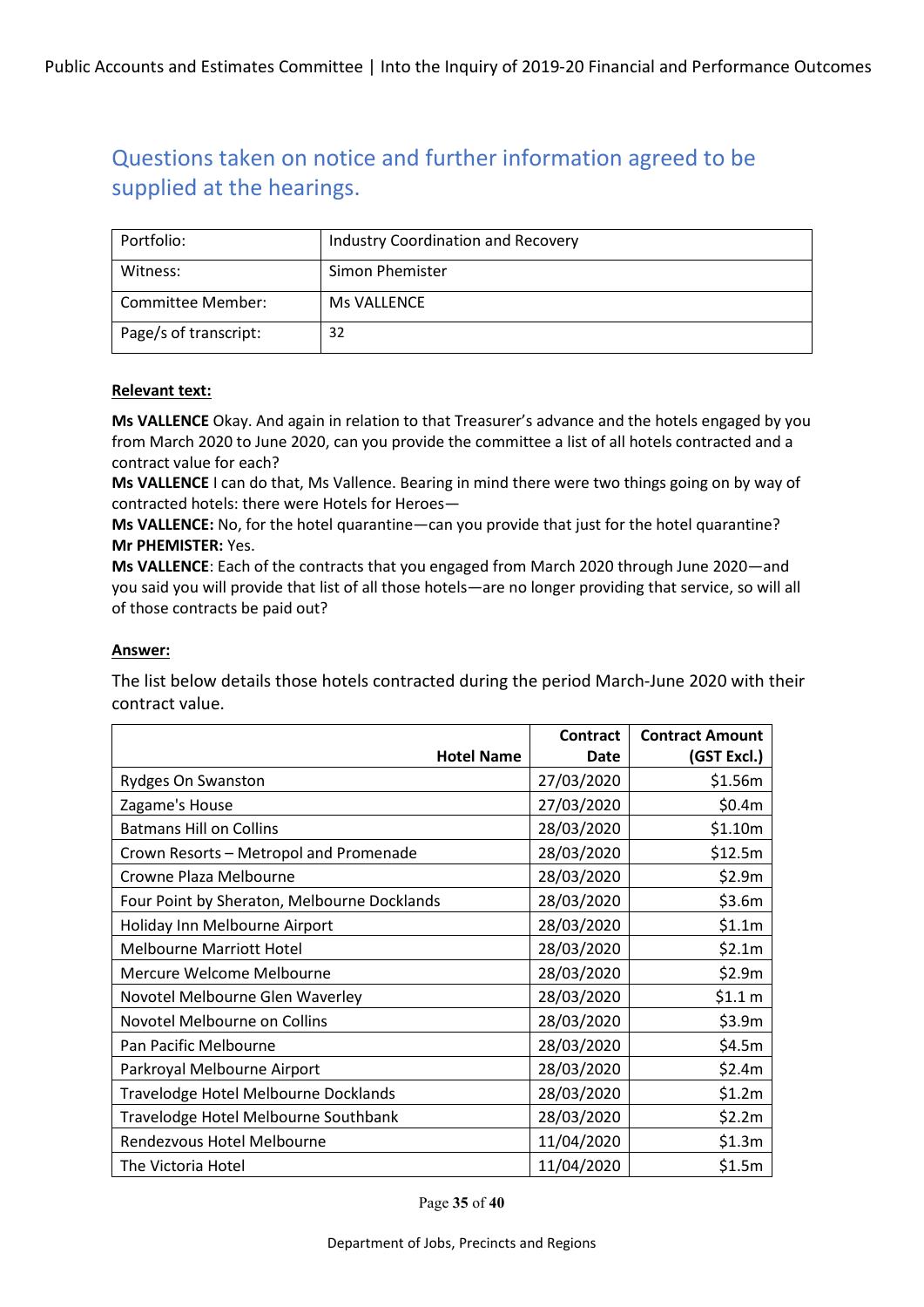| Portfolio:            | <b>Industry Coordination and Recovery</b> |
|-----------------------|-------------------------------------------|
| Witness:              | Simon Phemister                           |
| Committee Member:     | Ms VALLENCE                               |
| Page/s of transcript: | 32                                        |

#### **Relevant text:**

**Ms VALLENCE** Okay. And again in relation to that Treasurer's advance and the hotels engaged by you from March 2020 to June 2020, can you provide the committee a list of all hotels contracted and a contract value for each?

**Ms VALLENCE** I can do that, Ms Vallence. Bearing in mind there were two things going on by way of contracted hotels: there were Hotels for Heroes—

**Ms VALLENCE:** No, for the hotel quarantine—can you provide that just for the hotel quarantine? **Mr PHEMISTER:** Yes.

**Ms VALLENCE**: Each of the contracts that you engaged from March 2020 through June 2020—and you said you will provide that list of all those hotels—are no longer providing that service, so will all of those contracts be paid out?

### **Answer:**

The list below details those hotels contracted during the period March-June 2020 with their contract value.

|                                             | Contract    | <b>Contract Amount</b> |
|---------------------------------------------|-------------|------------------------|
| <b>Hotel Name</b>                           | <b>Date</b> | (GST Excl.)            |
| <b>Rydges On Swanston</b>                   | 27/03/2020  | \$1.56m                |
| Zagame's House                              | 27/03/2020  | \$0.4m                 |
| <b>Batmans Hill on Collins</b>              | 28/03/2020  | \$1.10m                |
| Crown Resorts - Metropol and Promenade      | 28/03/2020  | \$12.5m                |
| Crowne Plaza Melbourne                      | 28/03/2020  | \$2.9m                 |
| Four Point by Sheraton, Melbourne Docklands | 28/03/2020  | \$3.6m                 |
| Holiday Inn Melbourne Airport               | 28/03/2020  | \$1.1m                 |
| <b>Melbourne Marriott Hotel</b>             | 28/03/2020  | \$2.1m                 |
| Mercure Welcome Melbourne                   | 28/03/2020  | \$2.9m                 |
| Novotel Melbourne Glen Waverley             | 28/03/2020  | \$1.1 m                |
| Novotel Melbourne on Collins                | 28/03/2020  | \$3.9m                 |
| Pan Pacific Melbourne                       | 28/03/2020  | \$4.5m                 |
| Parkroyal Melbourne Airport                 | 28/03/2020  | \$2.4m                 |
| Travelodge Hotel Melbourne Docklands        | 28/03/2020  | \$1.2m                 |
| Travelodge Hotel Melbourne Southbank        | 28/03/2020  | \$2.2m                 |
| Rendezvous Hotel Melbourne                  | 11/04/2020  | \$1.3m                 |
| The Victoria Hotel                          | 11/04/2020  | \$1.5m                 |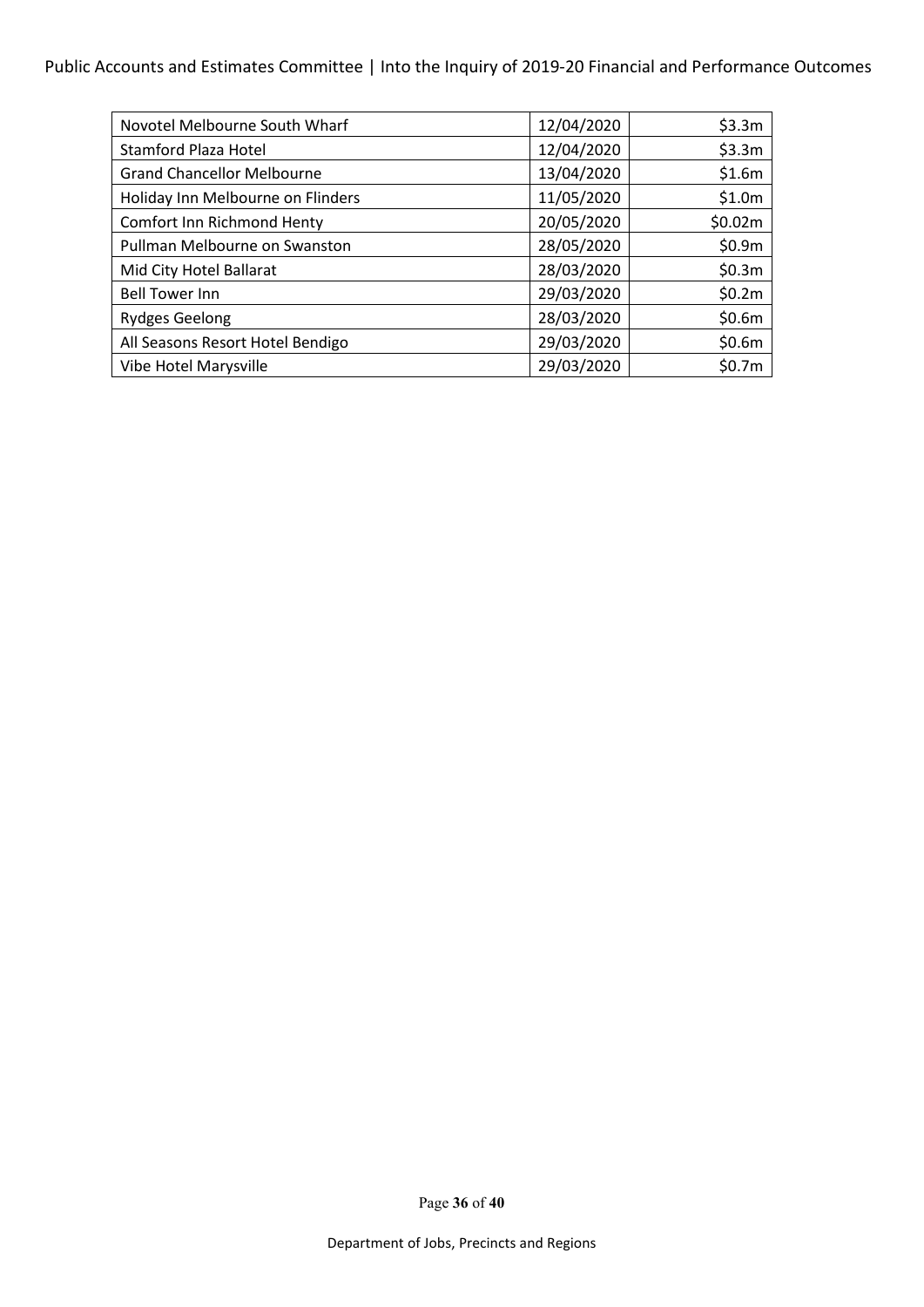### Public Accounts and Estimates Committee | Into the Inquiry of 2019-20 Financial and Performance Outcomes

| Novotel Melbourne South Wharf     | 12/04/2020 | \$3.3m  |
|-----------------------------------|------------|---------|
| Stamford Plaza Hotel              | 12/04/2020 | \$3.3m  |
| <b>Grand Chancellor Melbourne</b> | 13/04/2020 | \$1.6m  |
| Holiday Inn Melbourne on Flinders | 11/05/2020 | \$1.0m  |
| Comfort Inn Richmond Henty        | 20/05/2020 | \$0.02m |
| Pullman Melbourne on Swanston     | 28/05/2020 | \$0.9m  |
| Mid City Hotel Ballarat           | 28/03/2020 | \$0.3m  |
| <b>Bell Tower Inn</b>             | 29/03/2020 | \$0.2m  |
| <b>Rydges Geelong</b>             | 28/03/2020 | \$0.6m  |
| All Seasons Resort Hotel Bendigo  | 29/03/2020 | \$0.6m  |
| Vibe Hotel Marysville             | 29/03/2020 | \$0.7m  |

Page **36** of **40**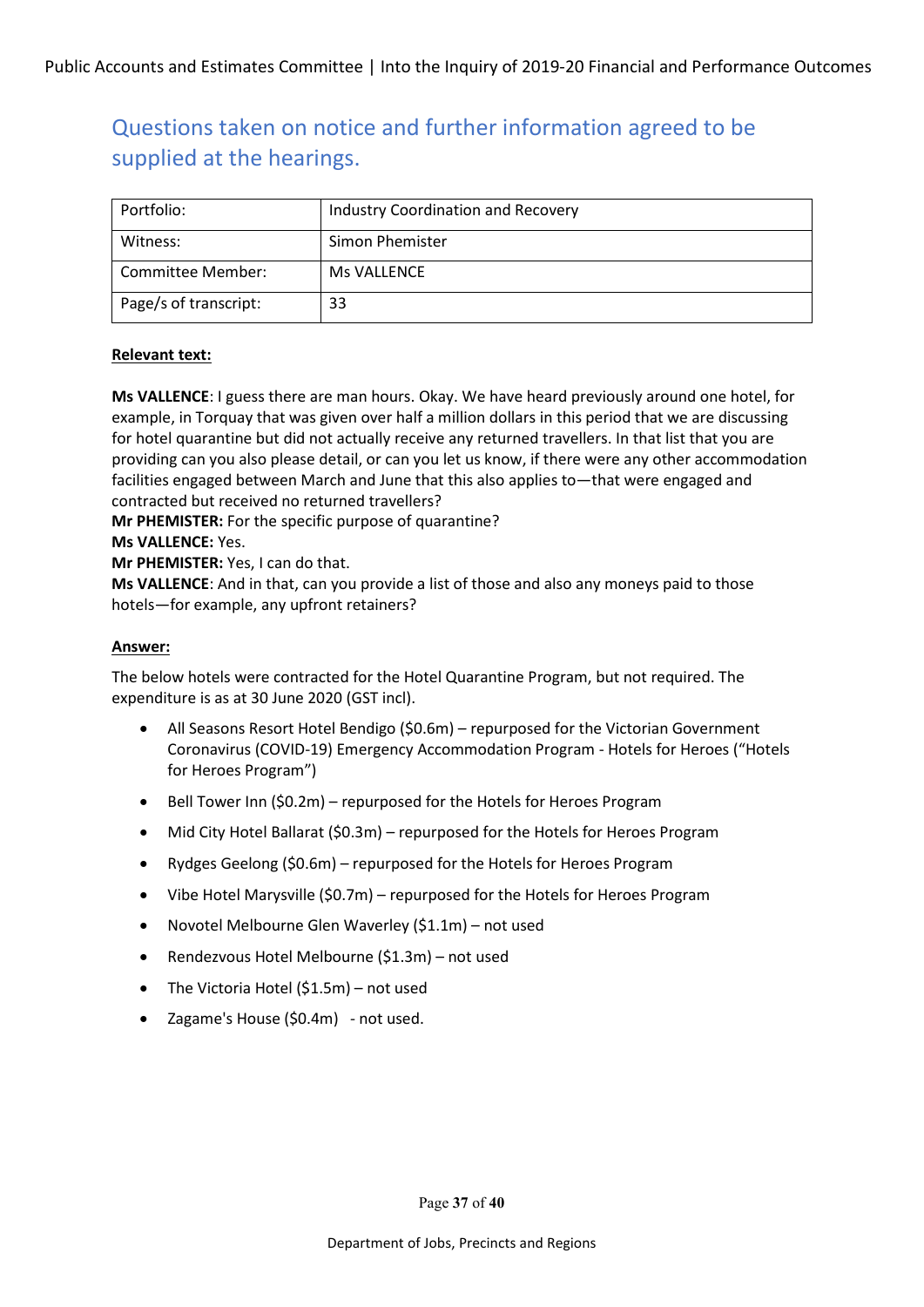| Portfolio:            | Industry Coordination and Recovery |
|-----------------------|------------------------------------|
| Witness:              | Simon Phemister                    |
| Committee Member:     | Ms VALLENCE                        |
| Page/s of transcript: | 33                                 |

#### **Relevant text:**

**Ms VALLENCE**: I guess there are man hours. Okay. We have heard previously around one hotel, for example, in Torquay that was given over half a million dollars in this period that we are discussing for hotel quarantine but did not actually receive any returned travellers. In that list that you are providing can you also please detail, or can you let us know, if there were any other accommodation facilities engaged between March and June that this also applies to—that were engaged and contracted but received no returned travellers?

**Mr PHEMISTER:** For the specific purpose of quarantine?

#### **Ms VALLENCE:** Yes.

**Mr PHEMISTER:** Yes, I can do that.

**Ms VALLENCE**: And in that, can you provide a list of those and also any moneys paid to those hotels—for example, any upfront retainers?

#### **Answer:**

The below hotels were contracted for the Hotel Quarantine Program, but not required. The expenditure is as at 30 June 2020 (GST incl).

- All Seasons Resort Hotel Bendigo (\$0.6m) repurposed for the Victorian Government Coronavirus (COVID-19) Emergency Accommodation Program - Hotels for Heroes ("Hotels for Heroes Program")
- Bell Tower Inn (\$0.2m) repurposed for the Hotels for Heroes Program
- Mid City Hotel Ballarat (\$0.3m) repurposed for the Hotels for Heroes Program
- Rydges Geelong (\$0.6m) repurposed for the Hotels for Heroes Program
- Vibe Hotel Marysville (\$0.7m) repurposed for the Hotels for Heroes Program
- Novotel Melbourne Glen Waverley (\$1.1m) not used
- Rendezvous Hotel Melbourne (\$1.3m) not used
- The Victoria Hotel (\$1.5m) not used
- Zagame's House (\$0.4m) not used.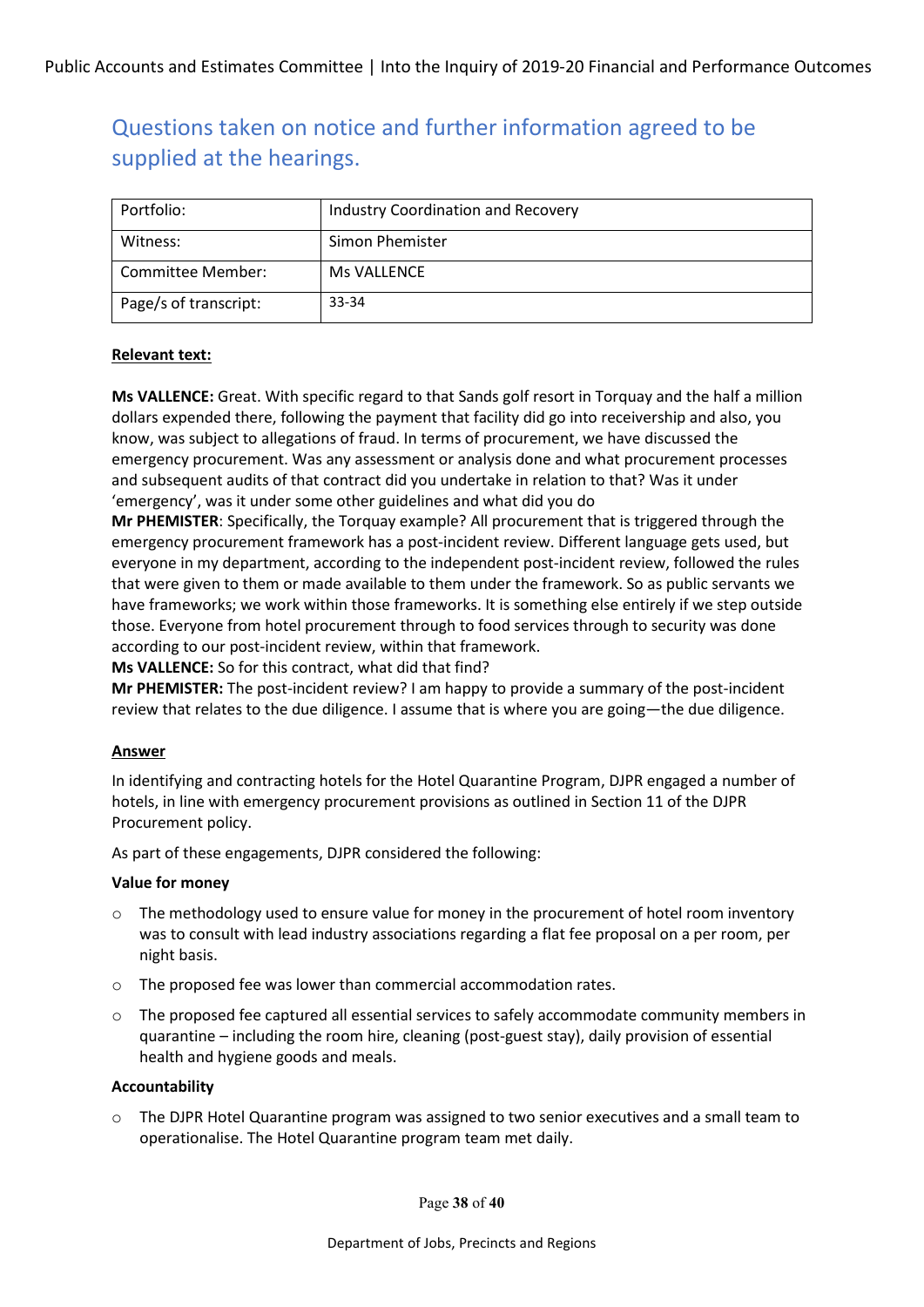| Portfolio:            | Industry Coordination and Recovery |
|-----------------------|------------------------------------|
| Witness:              | Simon Phemister                    |
| Committee Member:     | Ms VALLENCE                        |
| Page/s of transcript: | 33-34                              |

#### **Relevant text:**

**Ms VALLENCE:** Great. With specific regard to that Sands golf resort in Torquay and the half a million dollars expended there, following the payment that facility did go into receivership and also, you know, was subject to allegations of fraud. In terms of procurement, we have discussed the emergency procurement. Was any assessment or analysis done and what procurement processes and subsequent audits of that contract did you undertake in relation to that? Was it under 'emergency', was it under some other guidelines and what did you do

**Mr PHEMISTER**: Specifically, the Torquay example? All procurement that is triggered through the emergency procurement framework has a post-incident review. Different language gets used, but everyone in my department, according to the independent post-incident review, followed the rules that were given to them or made available to them under the framework. So as public servants we have frameworks; we work within those frameworks. It is something else entirely if we step outside those. Everyone from hotel procurement through to food services through to security was done according to our post-incident review, within that framework.

**Ms VALLENCE:** So for this contract, what did that find?

**Mr PHEMISTER:** The post-incident review? I am happy to provide a summary of the post-incident review that relates to the due diligence. I assume that is where you are going—the due diligence.

#### **Answer**

In identifying and contracting hotels for the Hotel Quarantine Program, DJPR engaged a number of hotels, in line with emergency procurement provisions as outlined in Section 11 of the DJPR Procurement policy.

As part of these engagements, DJPR considered the following:

#### **Value for money**

- $\circ$  The methodology used to ensure value for money in the procurement of hotel room inventory was to consult with lead industry associations regarding a flat fee proposal on a per room, per night basis.
- o The proposed fee was lower than commercial accommodation rates.
- $\circ$  The proposed fee captured all essential services to safely accommodate community members in quarantine – including the room hire, cleaning (post-guest stay), daily provision of essential health and hygiene goods and meals.

#### **Accountability**

o The DJPR Hotel Quarantine program was assigned to two senior executives and a small team to operationalise. The Hotel Quarantine program team met daily.

Page **38** of **40**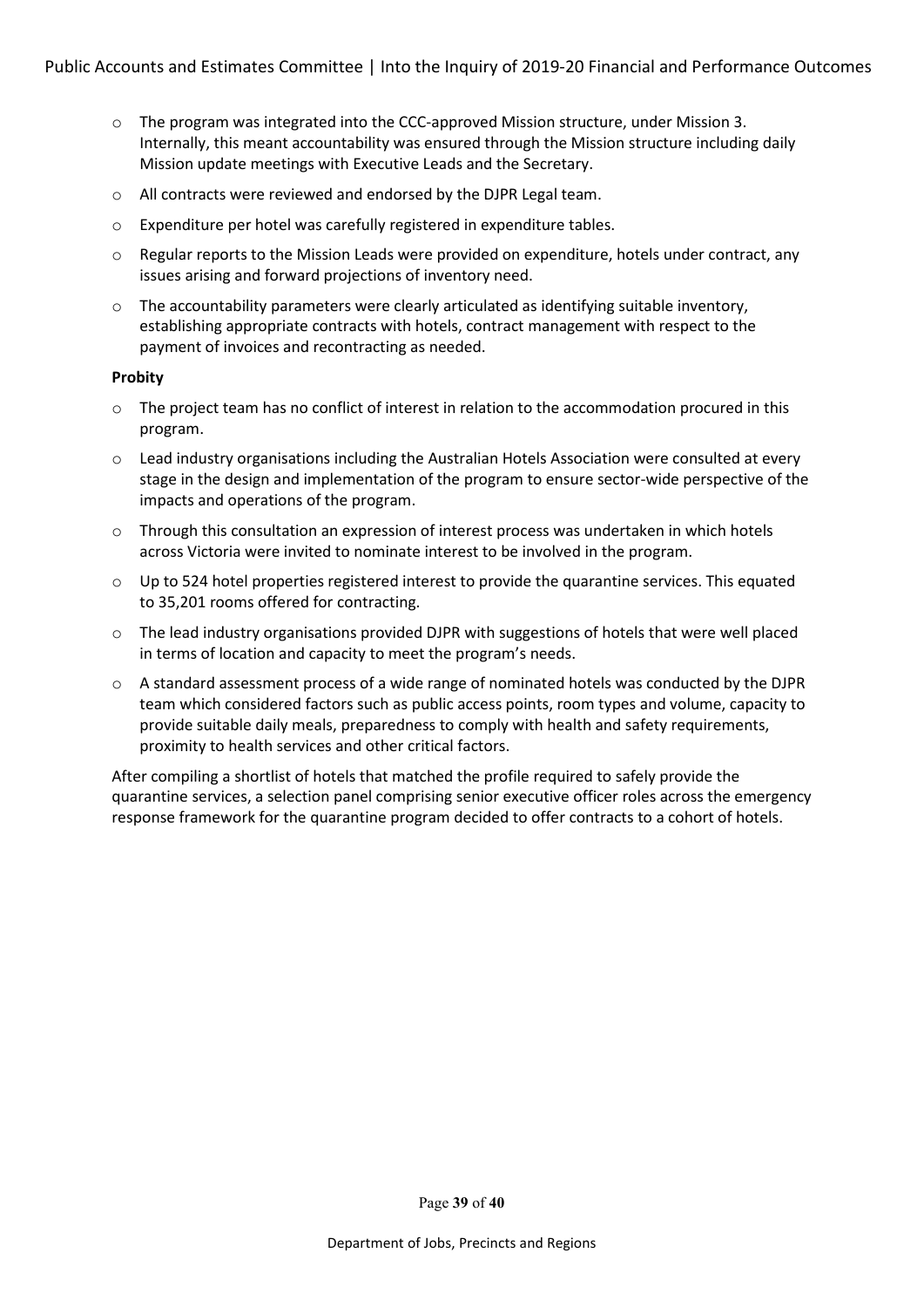- o The program was integrated into the CCC-approved Mission structure, under Mission 3. Internally, this meant accountability was ensured through the Mission structure including daily Mission update meetings with Executive Leads and the Secretary.
- o All contracts were reviewed and endorsed by the DJPR Legal team.
- o Expenditure per hotel was carefully registered in expenditure tables.
- $\circ$  Regular reports to the Mission Leads were provided on expenditure, hotels under contract, any issues arising and forward projections of inventory need.
- $\circ$  The accountability parameters were clearly articulated as identifying suitable inventory, establishing appropriate contracts with hotels, contract management with respect to the payment of invoices and recontracting as needed.

#### **Probity**

- $\circ$  The project team has no conflict of interest in relation to the accommodation procured in this program.
- o Lead industry organisations including the Australian Hotels Association were consulted at every stage in the design and implementation of the program to ensure sector-wide perspective of the impacts and operations of the program.
- $\circ$  Through this consultation an expression of interest process was undertaken in which hotels across Victoria were invited to nominate interest to be involved in the program.
- $\circ$  Up to 524 hotel properties registered interest to provide the quarantine services. This equated to 35,201 rooms offered for contracting.
- o The lead industry organisations provided DJPR with suggestions of hotels that were well placed in terms of location and capacity to meet the program's needs.
- o A standard assessment process of a wide range of nominated hotels was conducted by the DJPR team which considered factors such as public access points, room types and volume, capacity to provide suitable daily meals, preparedness to comply with health and safety requirements, proximity to health services and other critical factors.

After compiling a shortlist of hotels that matched the profile required to safely provide the quarantine services, a selection panel comprising senior executive officer roles across the emergency response framework for the quarantine program decided to offer contracts to a cohort of hotels.